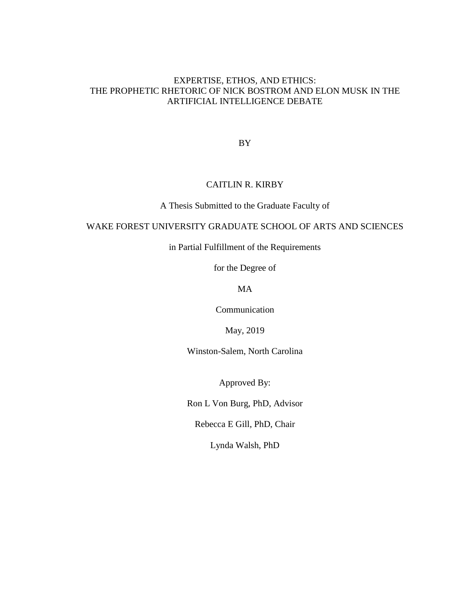# EXPERTISE, ETHOS, AND ETHICS: THE PROPHETIC RHETORIC OF NICK BOSTROM AND ELON MUSK IN THE ARTIFICIAL INTELLIGENCE DEBATE

BY

# CAITLIN R. KIRBY

A Thesis Submitted to the Graduate Faculty of

# WAKE FOREST UNIVERSITY GRADUATE SCHOOL OF ARTS AND SCIENCES

in Partial Fulfillment of the Requirements

for the Degree of

MA

Communication

May, 2019

Winston-Salem, North Carolina

Approved By:

Ron L Von Burg, PhD, Advisor

Rebecca E Gill, PhD, Chair

Lynda Walsh, PhD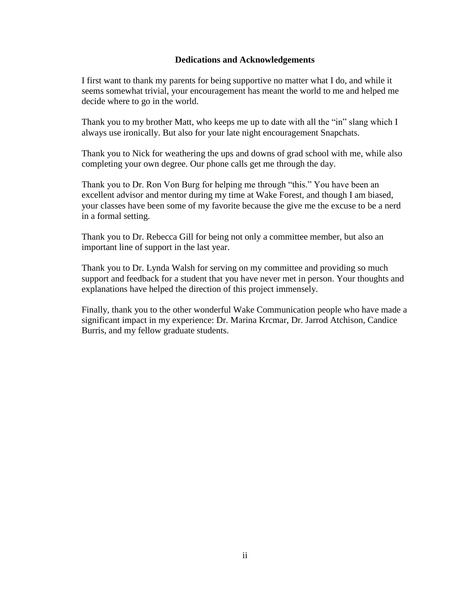## **Dedications and Acknowledgements**

I first want to thank my parents for being supportive no matter what I do, and while it seems somewhat trivial, your encouragement has meant the world to me and helped me decide where to go in the world.

Thank you to my brother Matt, who keeps me up to date with all the "in" slang which I always use ironically. But also for your late night encouragement Snapchats.

Thank you to Nick for weathering the ups and downs of grad school with me, while also completing your own degree. Our phone calls get me through the day.

Thank you to Dr. Ron Von Burg for helping me through "this." You have been an excellent advisor and mentor during my time at Wake Forest, and though I am biased, your classes have been some of my favorite because the give me the excuse to be a nerd in a formal setting.

Thank you to Dr. Rebecca Gill for being not only a committee member, but also an important line of support in the last year.

Thank you to Dr. Lynda Walsh for serving on my committee and providing so much support and feedback for a student that you have never met in person. Your thoughts and explanations have helped the direction of this project immensely.

Finally, thank you to the other wonderful Wake Communication people who have made a significant impact in my experience: Dr. Marina Krcmar, Dr. Jarrod Atchison, Candice Burris, and my fellow graduate students.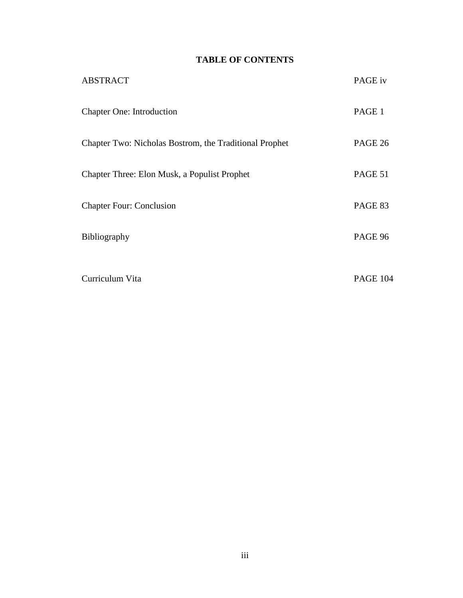# **TABLE OF CONTENTS**

| <b>ABSTRACT</b>                                        | PAGE iv         |
|--------------------------------------------------------|-----------------|
| <b>Chapter One: Introduction</b>                       | PAGE 1          |
| Chapter Two: Nicholas Bostrom, the Traditional Prophet | PAGE 26         |
| Chapter Three: Elon Musk, a Populist Prophet           | PAGE 51         |
| <b>Chapter Four: Conclusion</b>                        | PAGE 83         |
| Bibliography                                           | PAGE 96         |
| Curriculum Vita                                        | <b>PAGE 104</b> |
|                                                        |                 |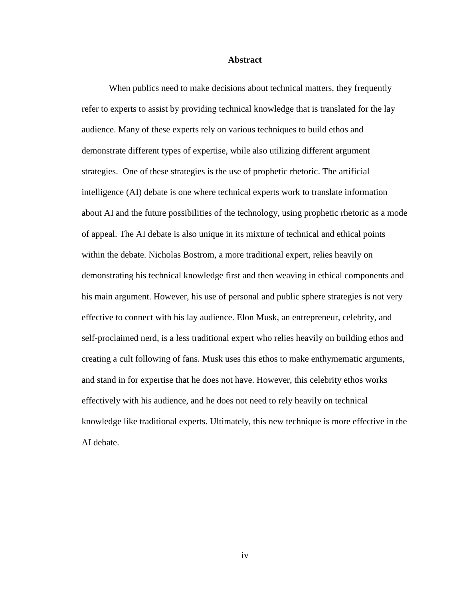#### **Abstract**

When publics need to make decisions about technical matters, they frequently refer to experts to assist by providing technical knowledge that is translated for the lay audience. Many of these experts rely on various techniques to build ethos and demonstrate different types of expertise, while also utilizing different argument strategies. One of these strategies is the use of prophetic rhetoric. The artificial intelligence (AI) debate is one where technical experts work to translate information about AI and the future possibilities of the technology, using prophetic rhetoric as a mode of appeal. The AI debate is also unique in its mixture of technical and ethical points within the debate. Nicholas Bostrom, a more traditional expert, relies heavily on demonstrating his technical knowledge first and then weaving in ethical components and his main argument. However, his use of personal and public sphere strategies is not very effective to connect with his lay audience. Elon Musk, an entrepreneur, celebrity, and self-proclaimed nerd, is a less traditional expert who relies heavily on building ethos and creating a cult following of fans. Musk uses this ethos to make enthymematic arguments, and stand in for expertise that he does not have. However, this celebrity ethos works effectively with his audience, and he does not need to rely heavily on technical knowledge like traditional experts. Ultimately, this new technique is more effective in the AI debate.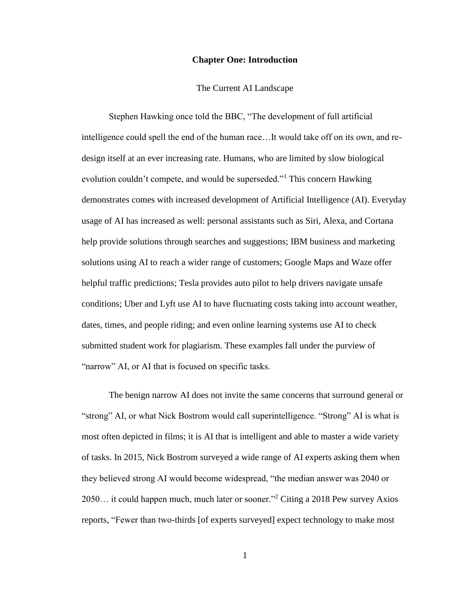#### **Chapter One: Introduction**

The Current AI Landscape

Stephen Hawking once told the BBC, "The development of full artificial intelligence could spell the end of the human race…It would take off on its own, and redesign itself at an ever increasing rate. Humans, who are limited by slow biological evolution couldn't compete, and would be superseded."<sup>1</sup> This concern Hawking demonstrates comes with increased development of Artificial Intelligence (AI). Everyday usage of AI has increased as well: personal assistants such as Siri, Alexa, and Cortana help provide solutions through searches and suggestions; IBM business and marketing solutions using AI to reach a wider range of customers; Google Maps and Waze offer helpful traffic predictions; Tesla provides auto pilot to help drivers navigate unsafe conditions; Uber and Lyft use AI to have fluctuating costs taking into account weather, dates, times, and people riding; and even online learning systems use AI to check submitted student work for plagiarism. These examples fall under the purview of "narrow" AI, or AI that is focused on specific tasks.

The benign narrow AI does not invite the same concerns that surround general or "strong" AI, or what Nick Bostrom would call superintelligence. "Strong" AI is what is most often depicted in films; it is AI that is intelligent and able to master a wide variety of tasks. In 2015, Nick Bostrom surveyed a wide range of AI experts asking them when they believed strong AI would become widespread, "the median answer was 2040 or 2050… it could happen much, much later or sooner."<sup>2</sup> Citing a 2018 Pew survey Axios reports, "Fewer than two-thirds [of experts surveyed] expect technology to make most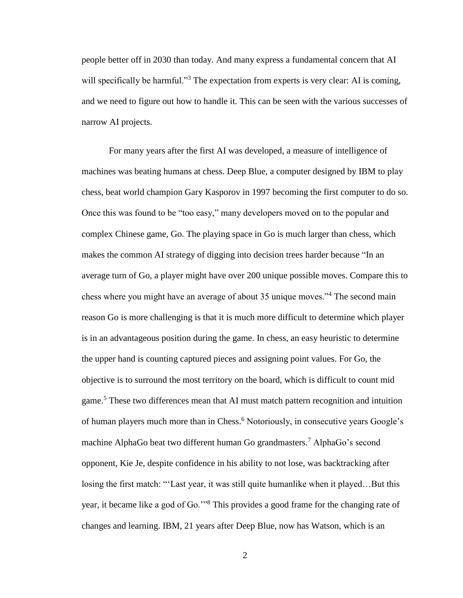people better off in 2030 than today. And many express a fundamental concern that AI will specifically be harmful."<sup>3</sup> The expectation from experts is very clear: AI is coming, and we need to figure out how to handle it. This can be seen with the various successes of narrow AI projects.

For many years after the first AI was developed, a measure of intelligence of machines was beating humans at chess. Deep Blue, a computer designed by IBM to play chess, beat world champion Gary Kasporov in 1997 becoming the first computer to do so. Once this was found to be "too easy," many developers moved on to the popular and complex Chinese game, Go. The playing space in Go is much larger than chess, which makes the common AI strategy of digging into decision trees harder because "In an average turn of Go, a player might have over 200 unique possible moves. Compare this to chess where you might have an average of about 35 unique moves."<sup>4</sup> The second main reason Go is more challenging is that it is much more difficult to determine which player is in an advantageous position during the game. In chess, an easy heuristic to determine the upper hand is counting captured pieces and assigning point values. For Go, the objective is to surround the most territory on the board, which is difficult to count mid game.<sup>5</sup> These two differences mean that AI must match pattern recognition and intuition of human players much more than in Chess.<sup>6</sup> Notoriously, in consecutive years Google's machine AlphaGo beat two different human Go grandmasters.<sup>7</sup> AlphaGo's second opponent, Kie Je, despite confidence in his ability to not lose, was backtracking after losing the first match: "'Last year, it was still quite humanlike when it played…But this year, it became like a god of Go.'"<sup>8</sup> This provides a good frame for the changing rate of changes and learning. IBM, 21 years after Deep Blue, now has Watson, which is an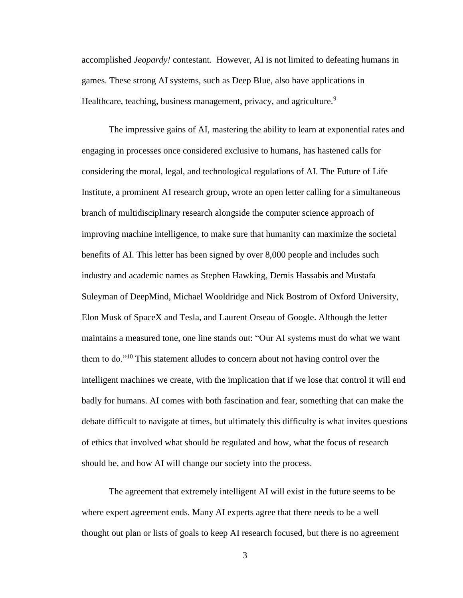accomplished *Jeopardy!* contestant. However, AI is not limited to defeating humans in games. These strong AI systems, such as Deep Blue, also have applications in Healthcare, teaching, business management, privacy, and agriculture.<sup>9</sup>

The impressive gains of AI, mastering the ability to learn at exponential rates and engaging in processes once considered exclusive to humans, has hastened calls for considering the moral, legal, and technological regulations of AI. The Future of Life Institute, a prominent AI research group, wrote an open letter calling for a simultaneous branch of multidisciplinary research alongside the computer science approach of improving machine intelligence, to make sure that humanity can maximize the societal benefits of AI. This letter has been signed by over 8,000 people and includes such industry and academic names as Stephen Hawking, Demis Hassabis and Mustafa Suleyman of DeepMind, Michael Wooldridge and Nick Bostrom of Oxford University, Elon Musk of SpaceX and Tesla, and Laurent Orseau of Google. Although the letter maintains a measured tone, one line stands out: "Our AI systems must do what we want them to do."<sup>10</sup> This statement alludes to concern about not having control over the intelligent machines we create, with the implication that if we lose that control it will end badly for humans. AI comes with both fascination and fear, something that can make the debate difficult to navigate at times, but ultimately this difficulty is what invites questions of ethics that involved what should be regulated and how, what the focus of research should be, and how AI will change our society into the process.

The agreement that extremely intelligent AI will exist in the future seems to be where expert agreement ends. Many AI experts agree that there needs to be a well thought out plan or lists of goals to keep AI research focused, but there is no agreement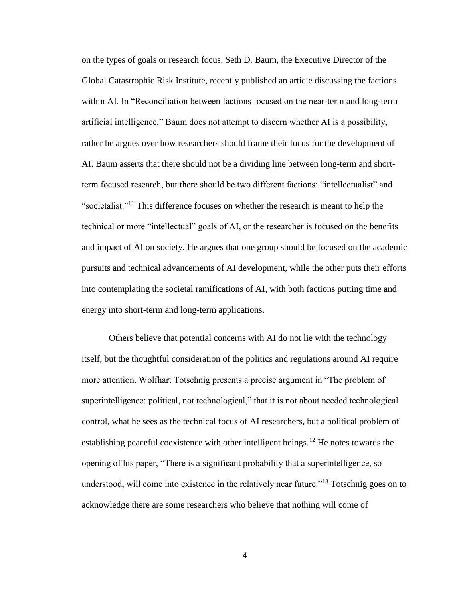on the types of goals or research focus. Seth D. Baum, the Executive Director of the Global Catastrophic Risk Institute, recently published an article discussing the factions within AI. In "Reconciliation between factions focused on the near-term and long-term artificial intelligence," Baum does not attempt to discern whether AI is a possibility, rather he argues over how researchers should frame their focus for the development of AI. Baum asserts that there should not be a dividing line between long-term and shortterm focused research, but there should be two different factions: "intellectualist" and "societalist."<sup>11</sup> This difference focuses on whether the research is meant to help the technical or more "intellectual" goals of AI, or the researcher is focused on the benefits and impact of AI on society. He argues that one group should be focused on the academic pursuits and technical advancements of AI development, while the other puts their efforts into contemplating the societal ramifications of AI, with both factions putting time and energy into short-term and long-term applications.

Others believe that potential concerns with AI do not lie with the technology itself, but the thoughtful consideration of the politics and regulations around AI require more attention. Wolfhart Totschnig presents a precise argument in "The problem of superintelligence: political, not technological," that it is not about needed technological control, what he sees as the technical focus of AI researchers, but a political problem of establishing peaceful coexistence with other intelligent beings.<sup>12</sup> He notes towards the opening of his paper, "There is a significant probability that a superintelligence, so understood, will come into existence in the relatively near future.<sup> $13$ </sup> Totschnig goes on to acknowledge there are some researchers who believe that nothing will come of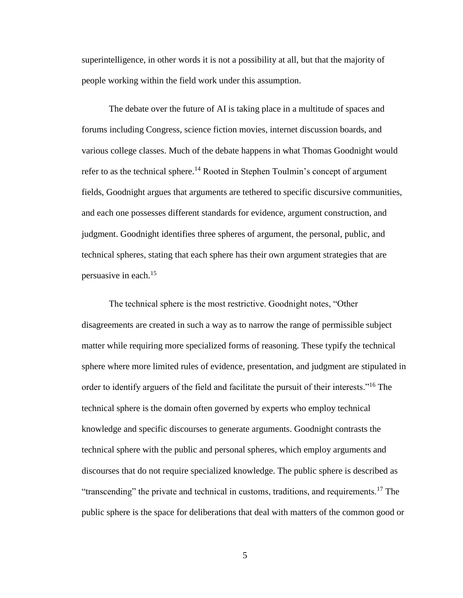superintelligence, in other words it is not a possibility at all, but that the majority of people working within the field work under this assumption.

The debate over the future of AI is taking place in a multitude of spaces and forums including Congress, science fiction movies, internet discussion boards, and various college classes. Much of the debate happens in what Thomas Goodnight would refer to as the technical sphere.<sup>14</sup> Rooted in Stephen Toulmin's concept of argument fields, Goodnight argues that arguments are tethered to specific discursive communities, and each one possesses different standards for evidence, argument construction, and judgment. Goodnight identifies three spheres of argument, the personal, public, and technical spheres, stating that each sphere has their own argument strategies that are persuasive in each.<sup>15</sup>

The technical sphere is the most restrictive. Goodnight notes, "Other disagreements are created in such a way as to narrow the range of permissible subject matter while requiring more specialized forms of reasoning. These typify the technical sphere where more limited rules of evidence, presentation, and judgment are stipulated in order to identify arguers of the field and facilitate the pursuit of their interests."<sup>16</sup> The technical sphere is the domain often governed by experts who employ technical knowledge and specific discourses to generate arguments. Goodnight contrasts the technical sphere with the public and personal spheres, which employ arguments and discourses that do not require specialized knowledge. The public sphere is described as "transcending" the private and technical in customs, traditions, and requirements.<sup>17</sup> The public sphere is the space for deliberations that deal with matters of the common good or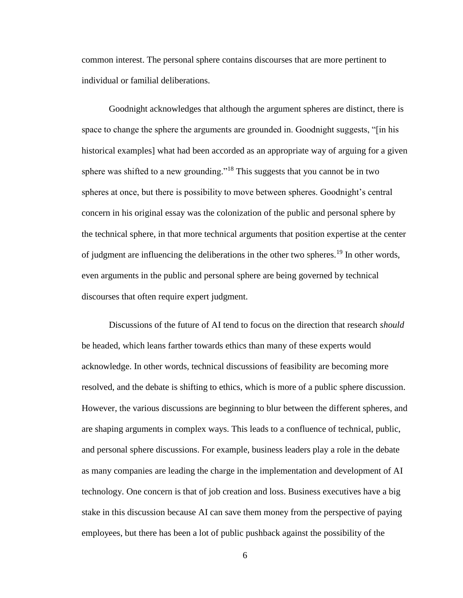common interest. The personal sphere contains discourses that are more pertinent to individual or familial deliberations.

Goodnight acknowledges that although the argument spheres are distinct, there is space to change the sphere the arguments are grounded in. Goodnight suggests, "[in his historical examples] what had been accorded as an appropriate way of arguing for a given sphere was shifted to a new grounding."<sup>18</sup> This suggests that you cannot be in two spheres at once, but there is possibility to move between spheres. Goodnight's central concern in his original essay was the colonization of the public and personal sphere by the technical sphere, in that more technical arguments that position expertise at the center of judgment are influencing the deliberations in the other two spheres.<sup>19</sup> In other words, even arguments in the public and personal sphere are being governed by technical discourses that often require expert judgment.

Discussions of the future of AI tend to focus on the direction that research *should* be headed, which leans farther towards ethics than many of these experts would acknowledge. In other words, technical discussions of feasibility are becoming more resolved, and the debate is shifting to ethics, which is more of a public sphere discussion. However, the various discussions are beginning to blur between the different spheres, and are shaping arguments in complex ways. This leads to a confluence of technical, public, and personal sphere discussions. For example, business leaders play a role in the debate as many companies are leading the charge in the implementation and development of AI technology. One concern is that of job creation and loss. Business executives have a big stake in this discussion because AI can save them money from the perspective of paying employees, but there has been a lot of public pushback against the possibility of the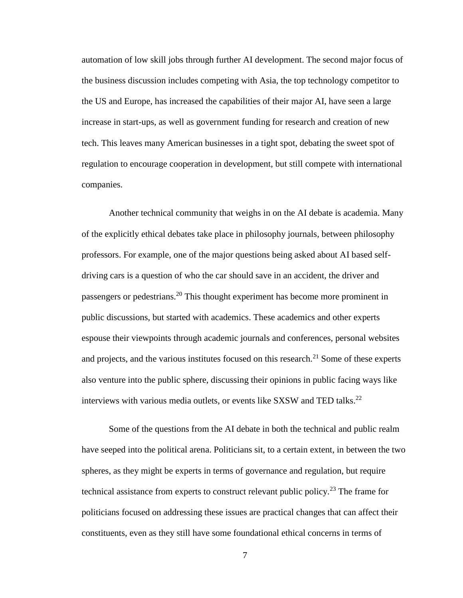automation of low skill jobs through further AI development. The second major focus of the business discussion includes competing with Asia, the top technology competitor to the US and Europe, has increased the capabilities of their major AI, have seen a large increase in start-ups, as well as government funding for research and creation of new tech. This leaves many American businesses in a tight spot, debating the sweet spot of regulation to encourage cooperation in development, but still compete with international companies.

Another technical community that weighs in on the AI debate is academia. Many of the explicitly ethical debates take place in philosophy journals, between philosophy professors. For example, one of the major questions being asked about AI based selfdriving cars is a question of who the car should save in an accident, the driver and passengers or pedestrians.<sup>20</sup> This thought experiment has become more prominent in public discussions, but started with academics. These academics and other experts espouse their viewpoints through academic journals and conferences, personal websites and projects, and the various institutes focused on this research.<sup>21</sup> Some of these experts also venture into the public sphere, discussing their opinions in public facing ways like interviews with various media outlets, or events like SXSW and TED talks.<sup>22</sup>

Some of the questions from the AI debate in both the technical and public realm have seeped into the political arena. Politicians sit, to a certain extent, in between the two spheres, as they might be experts in terms of governance and regulation, but require technical assistance from experts to construct relevant public policy.<sup>23</sup> The frame for politicians focused on addressing these issues are practical changes that can affect their constituents, even as they still have some foundational ethical concerns in terms of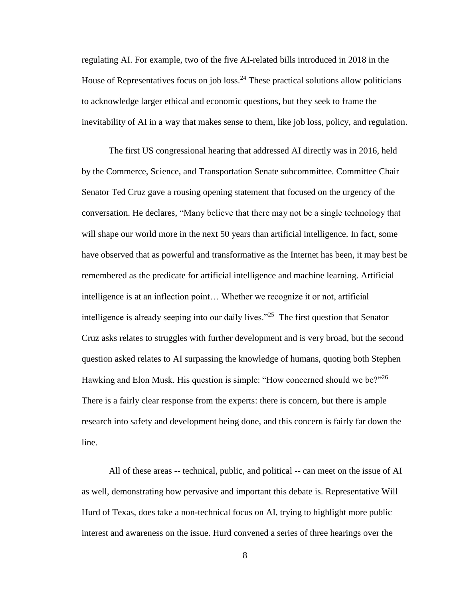regulating AI. For example, two of the five AI-related bills introduced in 2018 in the House of Representatives focus on job loss.<sup>24</sup> These practical solutions allow politicians to acknowledge larger ethical and economic questions, but they seek to frame the inevitability of AI in a way that makes sense to them, like job loss, policy, and regulation.

The first US congressional hearing that addressed AI directly was in 2016, held by the Commerce, Science, and Transportation Senate subcommittee. Committee Chair Senator Ted Cruz gave a rousing opening statement that focused on the urgency of the conversation. He declares, "Many believe that there may not be a single technology that will shape our world more in the next 50 years than artificial intelligence. In fact, some have observed that as powerful and transformative as the Internet has been, it may best be remembered as the predicate for artificial intelligence and machine learning. Artificial intelligence is at an inflection point… Whether we recognize it or not, artificial intelligence is already seeping into our daily lives."<sup>25</sup> The first question that Senator Cruz asks relates to struggles with further development and is very broad, but the second question asked relates to AI surpassing the knowledge of humans, quoting both Stephen Hawking and Elon Musk. His question is simple: "How concerned should we be?"<sup>26</sup> There is a fairly clear response from the experts: there is concern, but there is ample research into safety and development being done, and this concern is fairly far down the line.

All of these areas -- technical, public, and political -- can meet on the issue of AI as well, demonstrating how pervasive and important this debate is. Representative Will Hurd of Texas, does take a non-technical focus on AI, trying to highlight more public interest and awareness on the issue. Hurd convened a series of three hearings over the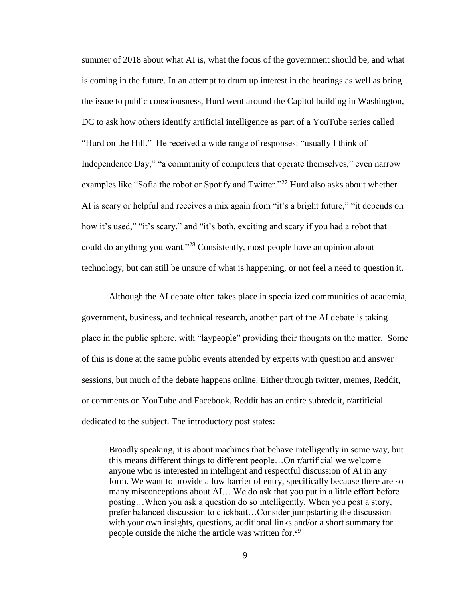summer of 2018 about what AI is, what the focus of the government should be, and what is coming in the future. In an attempt to drum up interest in the hearings as well as bring the issue to public consciousness, Hurd went around the Capitol building in Washington, DC to ask how others identify artificial intelligence as part of a YouTube series called "Hurd on the Hill." He received a wide range of responses: "usually I think of Independence Day," "a community of computers that operate themselves," even narrow examples like "Sofia the robot or Spotify and Twitter."<sup>27</sup> Hurd also asks about whether AI is scary or helpful and receives a mix again from "it's a bright future," "it depends on how it's used," "it's scary," and "it's both, exciting and scary if you had a robot that could do anything you want."<sup>28</sup> Consistently, most people have an opinion about technology, but can still be unsure of what is happening, or not feel a need to question it.

Although the AI debate often takes place in specialized communities of academia, government, business, and technical research, another part of the AI debate is taking place in the public sphere, with "laypeople" providing their thoughts on the matter. Some of this is done at the same public events attended by experts with question and answer sessions, but much of the debate happens online. Either through twitter, memes, Reddit, or comments on YouTube and Facebook. Reddit has an entire subreddit, r/artificial dedicated to the subject. The introductory post states:

Broadly speaking, it is about machines that behave intelligently in some way, but this means different things to different people…On r/artificial we welcome anyone who is interested in intelligent and respectful discussion of AI in any form. We want to provide a low barrier of entry, specifically because there are so many misconceptions about AI… We do ask that you put in a little effort before posting…When you ask a question do so intelligently. When you post a story, prefer balanced discussion to clickbait…Consider jumpstarting the discussion with your own insights, questions, additional links and/or a short summary for people outside the niche the article was written for.<sup>29</sup>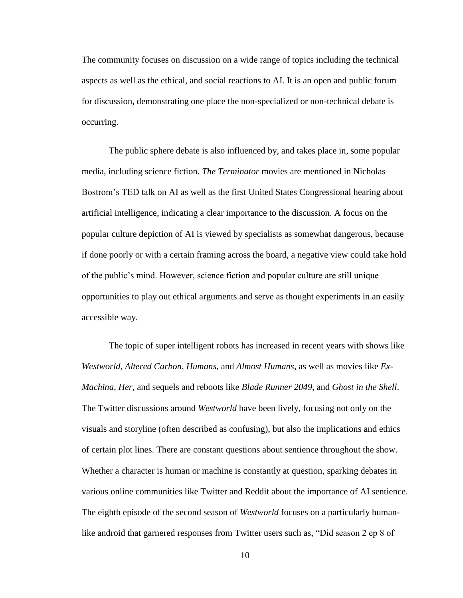The community focuses on discussion on a wide range of topics including the technical aspects as well as the ethical, and social reactions to AI. It is an open and public forum for discussion, demonstrating one place the non-specialized or non-technical debate is occurring.

The public sphere debate is also influenced by, and takes place in, some popular media, including science fiction. *The Terminator* movies are mentioned in Nicholas Bostrom's TED talk on AI as well as the first United States Congressional hearing about artificial intelligence, indicating a clear importance to the discussion. A focus on the popular culture depiction of AI is viewed by specialists as somewhat dangerous, because if done poorly or with a certain framing across the board, a negative view could take hold of the public's mind. However, science fiction and popular culture are still unique opportunities to play out ethical arguments and serve as thought experiments in an easily accessible way.

The topic of super intelligent robots has increased in recent years with shows like *Westworld*, *Altered Carbon*, *Humans*, and *Almost Humans*, as well as movies like *Ex-Machina*, *Her*, and sequels and reboots like *Blade Runner 2049*, and *Ghost in the Shell*. The Twitter discussions around *Westworld* have been lively, focusing not only on the visuals and storyline (often described as confusing), but also the implications and ethics of certain plot lines. There are constant questions about sentience throughout the show. Whether a character is human or machine is constantly at question, sparking debates in various online communities like Twitter and Reddit about the importance of AI sentience. The eighth episode of the second season of *Westworld* focuses on a particularly humanlike android that garnered responses from Twitter users such as, "Did season 2 ep 8 of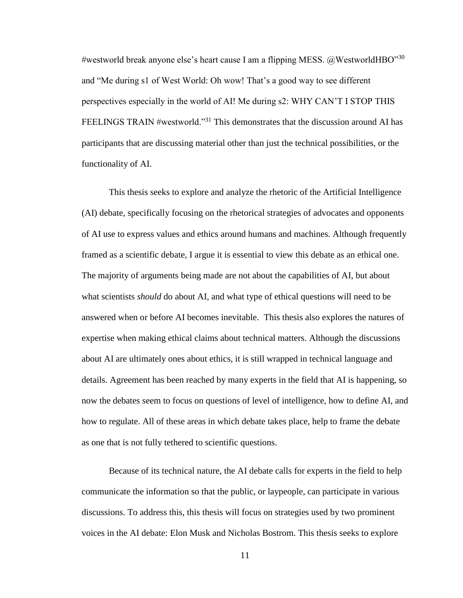#westworld break anyone else's heart cause I am a flipping MESS.  $@$ WestworldHBO"<sup>30</sup> and "Me during s1 of West World: Oh wow! That's a good way to see different perspectives especially in the world of AI! Me during s2: WHY CAN'T I STOP THIS FEELINGS TRAIN #westworld."<sup>31</sup> This demonstrates that the discussion around AI has participants that are discussing material other than just the technical possibilities, or the functionality of AI.

This thesis seeks to explore and analyze the rhetoric of the Artificial Intelligence (AI) debate, specifically focusing on the rhetorical strategies of advocates and opponents of AI use to express values and ethics around humans and machines. Although frequently framed as a scientific debate, I argue it is essential to view this debate as an ethical one. The majority of arguments being made are not about the capabilities of AI, but about what scientists *should* do about AI, and what type of ethical questions will need to be answered when or before AI becomes inevitable. This thesis also explores the natures of expertise when making ethical claims about technical matters. Although the discussions about AI are ultimately ones about ethics, it is still wrapped in technical language and details. Agreement has been reached by many experts in the field that AI is happening, so now the debates seem to focus on questions of level of intelligence, how to define AI, and how to regulate. All of these areas in which debate takes place, help to frame the debate as one that is not fully tethered to scientific questions.

Because of its technical nature, the AI debate calls for experts in the field to help communicate the information so that the public, or laypeople, can participate in various discussions. To address this, this thesis will focus on strategies used by two prominent voices in the AI debate: Elon Musk and Nicholas Bostrom. This thesis seeks to explore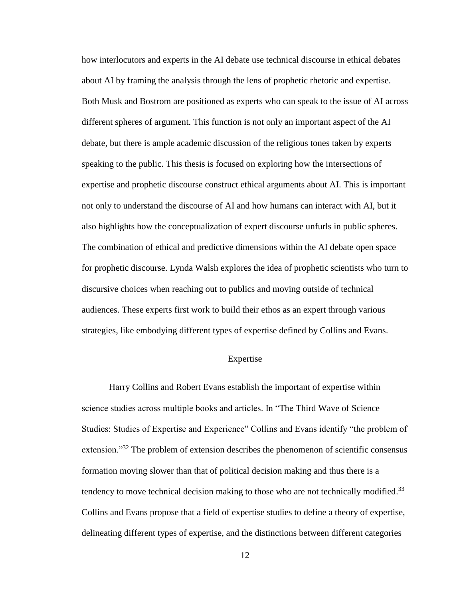how interlocutors and experts in the AI debate use technical discourse in ethical debates about AI by framing the analysis through the lens of prophetic rhetoric and expertise. Both Musk and Bostrom are positioned as experts who can speak to the issue of AI across different spheres of argument. This function is not only an important aspect of the AI debate, but there is ample academic discussion of the religious tones taken by experts speaking to the public. This thesis is focused on exploring how the intersections of expertise and prophetic discourse construct ethical arguments about AI. This is important not only to understand the discourse of AI and how humans can interact with AI, but it also highlights how the conceptualization of expert discourse unfurls in public spheres. The combination of ethical and predictive dimensions within the AI debate open space for prophetic discourse. Lynda Walsh explores the idea of prophetic scientists who turn to discursive choices when reaching out to publics and moving outside of technical audiences. These experts first work to build their ethos as an expert through various strategies, like embodying different types of expertise defined by Collins and Evans.

## Expertise

Harry Collins and Robert Evans establish the important of expertise within science studies across multiple books and articles. In "The Third Wave of Science Studies: Studies of Expertise and Experience" Collins and Evans identify "the problem of extension."<sup>32</sup> The problem of extension describes the phenomenon of scientific consensus formation moving slower than that of political decision making and thus there is a tendency to move technical decision making to those who are not technically modified.<sup>33</sup> Collins and Evans propose that a field of expertise studies to define a theory of expertise, delineating different types of expertise, and the distinctions between different categories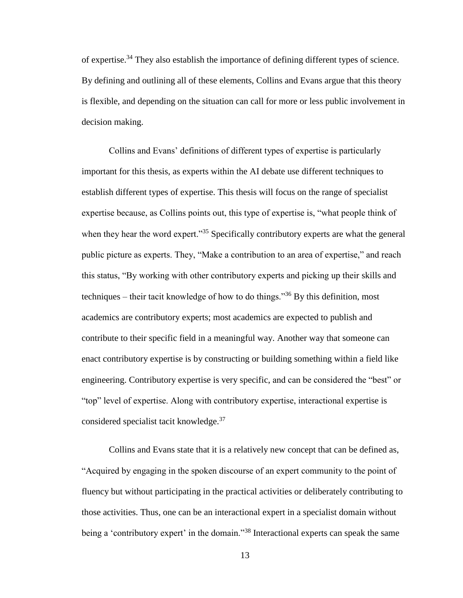of expertise.<sup>34</sup> They also establish the importance of defining different types of science. By defining and outlining all of these elements, Collins and Evans argue that this theory is flexible, and depending on the situation can call for more or less public involvement in decision making.

Collins and Evans' definitions of different types of expertise is particularly important for this thesis, as experts within the AI debate use different techniques to establish different types of expertise. This thesis will focus on the range of specialist expertise because, as Collins points out, this type of expertise is, "what people think of when they hear the word expert."<sup>35</sup> Specifically contributory experts are what the general public picture as experts. They, "Make a contribution to an area of expertise," and reach this status, "By working with other contributory experts and picking up their skills and techniques – their tacit knowledge of how to do things."<sup>36</sup> By this definition, most academics are contributory experts; most academics are expected to publish and contribute to their specific field in a meaningful way. Another way that someone can enact contributory expertise is by constructing or building something within a field like engineering. Contributory expertise is very specific, and can be considered the "best" or "top" level of expertise. Along with contributory expertise, interactional expertise is considered specialist tacit knowledge.<sup>37</sup>

Collins and Evans state that it is a relatively new concept that can be defined as, "Acquired by engaging in the spoken discourse of an expert community to the point of fluency but without participating in the practical activities or deliberately contributing to those activities. Thus, one can be an interactional expert in a specialist domain without being a 'contributory expert' in the domain."<sup>38</sup> Interactional experts can speak the same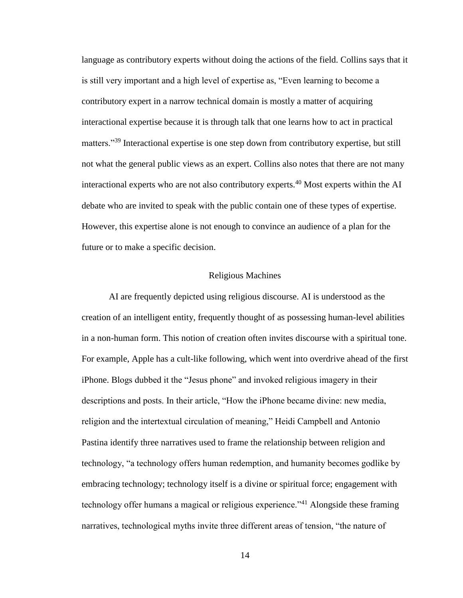language as contributory experts without doing the actions of the field. Collins says that it is still very important and a high level of expertise as, "Even learning to become a contributory expert in a narrow technical domain is mostly a matter of acquiring interactional expertise because it is through talk that one learns how to act in practical matters."<sup>39</sup> Interactional expertise is one step down from contributory expertise, but still not what the general public views as an expert. Collins also notes that there are not many interactional experts who are not also contributory experts.<sup>40</sup> Most experts within the AI debate who are invited to speak with the public contain one of these types of expertise. However, this expertise alone is not enough to convince an audience of a plan for the future or to make a specific decision.

## Religious Machines

AI are frequently depicted using religious discourse. AI is understood as the creation of an intelligent entity, frequently thought of as possessing human-level abilities in a non-human form. This notion of creation often invites discourse with a spiritual tone. For example, Apple has a cult-like following, which went into overdrive ahead of the first iPhone. Blogs dubbed it the "Jesus phone" and invoked religious imagery in their descriptions and posts. In their article, "How the iPhone became divine: new media, religion and the intertextual circulation of meaning," Heidi Campbell and Antonio Pastina identify three narratives used to frame the relationship between religion and technology, "a technology offers human redemption, and humanity becomes godlike by embracing technology; technology itself is a divine or spiritual force; engagement with technology offer humans a magical or religious experience.<sup> $341$ </sup> Alongside these framing narratives, technological myths invite three different areas of tension, "the nature of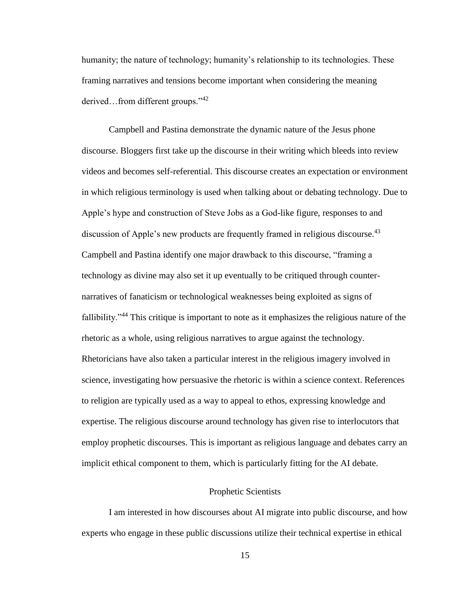humanity; the nature of technology; humanity's relationship to its technologies. These framing narratives and tensions become important when considering the meaning derived…from different groups."<sup>42</sup>

Campbell and Pastina demonstrate the dynamic nature of the Jesus phone discourse. Bloggers first take up the discourse in their writing which bleeds into review videos and becomes self-referential. This discourse creates an expectation or environment in which religious terminology is used when talking about or debating technology. Due to Apple's hype and construction of Steve Jobs as a God-like figure, responses to and discussion of Apple's new products are frequently framed in religious discourse.<sup>43</sup> Campbell and Pastina identify one major drawback to this discourse, "framing a technology as divine may also set it up eventually to be critiqued through counternarratives of fanaticism or technological weaknesses being exploited as signs of fallibility."<sup>44</sup> This critique is important to note as it emphasizes the religious nature of the rhetoric as a whole, using religious narratives to argue against the technology. Rhetoricians have also taken a particular interest in the religious imagery involved in science, investigating how persuasive the rhetoric is within a science context. References to religion are typically used as a way to appeal to ethos, expressing knowledge and expertise. The religious discourse around technology has given rise to interlocutors that employ prophetic discourses. This is important as religious language and debates carry an implicit ethical component to them, which is particularly fitting for the AI debate.

## Prophetic Scientists

I am interested in how discourses about AI migrate into public discourse, and how experts who engage in these public discussions utilize their technical expertise in ethical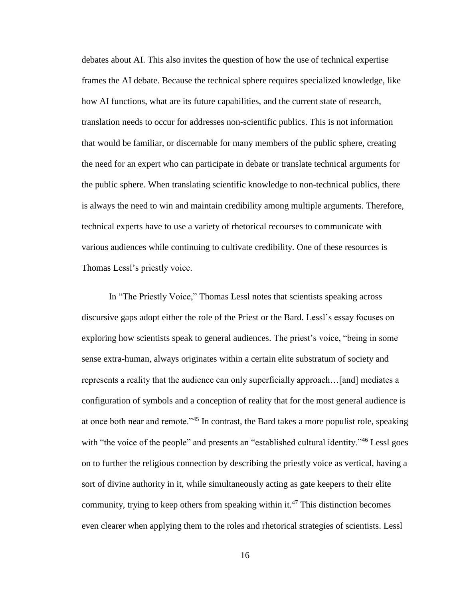debates about AI. This also invites the question of how the use of technical expertise frames the AI debate. Because the technical sphere requires specialized knowledge, like how AI functions, what are its future capabilities, and the current state of research, translation needs to occur for addresses non-scientific publics. This is not information that would be familiar, or discernable for many members of the public sphere, creating the need for an expert who can participate in debate or translate technical arguments for the public sphere. When translating scientific knowledge to non-technical publics, there is always the need to win and maintain credibility among multiple arguments. Therefore, technical experts have to use a variety of rhetorical recourses to communicate with various audiences while continuing to cultivate credibility. One of these resources is Thomas Lessl's priestly voice.

In "The Priestly Voice," Thomas Lessl notes that scientists speaking across discursive gaps adopt either the role of the Priest or the Bard. Lessl's essay focuses on exploring how scientists speak to general audiences. The priest's voice, "being in some sense extra-human, always originates within a certain elite substratum of society and represents a reality that the audience can only superficially approach…[and] mediates a configuration of symbols and a conception of reality that for the most general audience is at once both near and remote."<sup>45</sup> In contrast, the Bard takes a more populist role, speaking with "the voice of the people" and presents an "established cultural identity."<sup>46</sup> Lessl goes on to further the religious connection by describing the priestly voice as vertical, having a sort of divine authority in it, while simultaneously acting as gate keepers to their elite community, trying to keep others from speaking within it.<sup>47</sup> This distinction becomes even clearer when applying them to the roles and rhetorical strategies of scientists. Lessl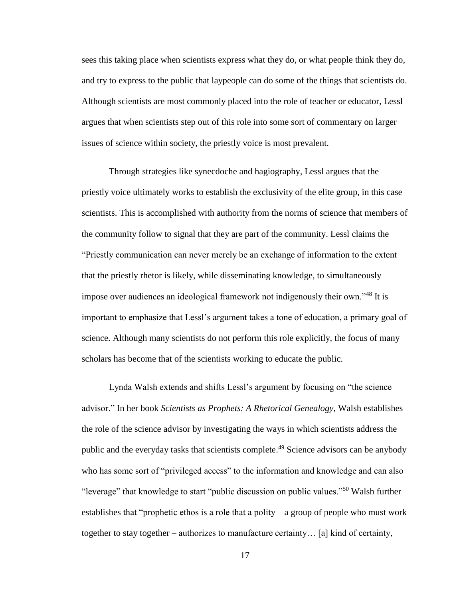sees this taking place when scientists express what they do, or what people think they do, and try to express to the public that laypeople can do some of the things that scientists do. Although scientists are most commonly placed into the role of teacher or educator, Lessl argues that when scientists step out of this role into some sort of commentary on larger issues of science within society, the priestly voice is most prevalent.

Through strategies like synecdoche and hagiography, Lessl argues that the priestly voice ultimately works to establish the exclusivity of the elite group, in this case scientists. This is accomplished with authority from the norms of science that members of the community follow to signal that they are part of the community. Lessl claims the "Priestly communication can never merely be an exchange of information to the extent that the priestly rhetor is likely, while disseminating knowledge, to simultaneously impose over audiences an ideological framework not indigenously their own."<sup>48</sup> It is important to emphasize that Lessl's argument takes a tone of education, a primary goal of science. Although many scientists do not perform this role explicitly, the focus of many scholars has become that of the scientists working to educate the public.

Lynda Walsh extends and shifts Lessl's argument by focusing on "the science advisor." In her book *Scientists as Prophets: A Rhetorical Genealogy*, Walsh establishes the role of the science advisor by investigating the ways in which scientists address the public and the everyday tasks that scientists complete.<sup>49</sup> Science advisors can be anybody who has some sort of "privileged access" to the information and knowledge and can also "leverage" that knowledge to start "public discussion on public values."<sup>50</sup> Walsh further establishes that "prophetic ethos is a role that a polity – a group of people who must work together to stay together – authorizes to manufacture certainty… [a] kind of certainty,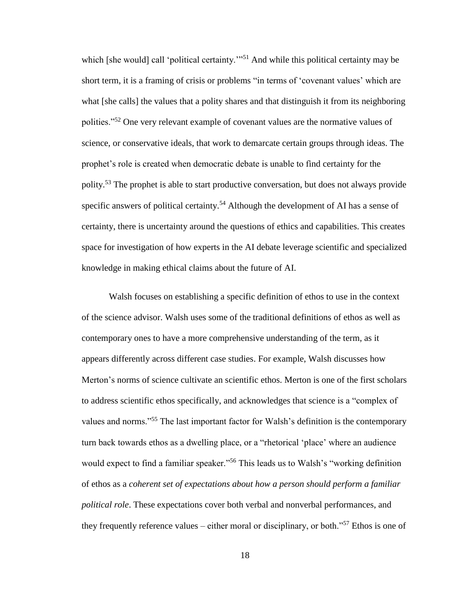which [she would] call 'political certainty.'"<sup>51</sup> And while this political certainty may be short term, it is a framing of crisis or problems "in terms of 'covenant values' which are what [she calls] the values that a polity shares and that distinguish it from its neighboring polities."<sup>52</sup> One very relevant example of covenant values are the normative values of science, or conservative ideals, that work to demarcate certain groups through ideas. The prophet's role is created when democratic debate is unable to find certainty for the polity.<sup>53</sup> The prophet is able to start productive conversation, but does not always provide specific answers of political certainty.<sup>54</sup> Although the development of AI has a sense of certainty, there is uncertainty around the questions of ethics and capabilities. This creates space for investigation of how experts in the AI debate leverage scientific and specialized knowledge in making ethical claims about the future of AI.

Walsh focuses on establishing a specific definition of ethos to use in the context of the science advisor. Walsh uses some of the traditional definitions of ethos as well as contemporary ones to have a more comprehensive understanding of the term, as it appears differently across different case studies. For example, Walsh discusses how Merton's norms of science cultivate an scientific ethos. Merton is one of the first scholars to address scientific ethos specifically, and acknowledges that science is a "complex of values and norms."<sup>55</sup> The last important factor for Walsh's definition is the contemporary turn back towards ethos as a dwelling place, or a "rhetorical 'place' where an audience would expect to find a familiar speaker."<sup>56</sup> This leads us to Walsh's "working definition of ethos as a *coherent set of expectations about how a person should perform a familiar political role*. These expectations cover both verbal and nonverbal performances, and they frequently reference values – either moral or disciplinary, or both."<sup>57</sup> Ethos is one of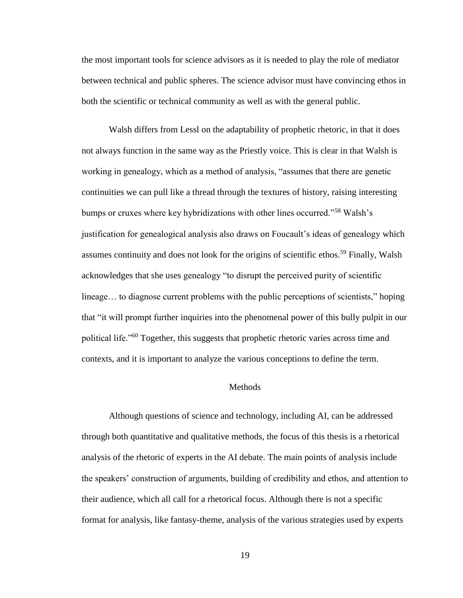the most important tools for science advisors as it is needed to play the role of mediator between technical and public spheres. The science advisor must have convincing ethos in both the scientific or technical community as well as with the general public.

Walsh differs from Lessl on the adaptability of prophetic rhetoric, in that it does not always function in the same way as the Priestly voice. This is clear in that Walsh is working in genealogy, which as a method of analysis, "assumes that there are genetic continuities we can pull like a thread through the textures of history, raising interesting bumps or cruxes where key hybridizations with other lines occurred."<sup>58</sup> Walsh's justification for genealogical analysis also draws on Foucault's ideas of genealogy which assumes continuity and does not look for the origins of scientific ethos.<sup>59</sup> Finally, Walsh acknowledges that she uses genealogy "to disrupt the perceived purity of scientific lineage… to diagnose current problems with the public perceptions of scientists," hoping that "it will prompt further inquiries into the phenomenal power of this bully pulpit in our political life."<sup>60</sup> Together, this suggests that prophetic rhetoric varies across time and contexts, and it is important to analyze the various conceptions to define the term.

## **Methods**

Although questions of science and technology, including AI, can be addressed through both quantitative and qualitative methods, the focus of this thesis is a rhetorical analysis of the rhetoric of experts in the AI debate. The main points of analysis include the speakers' construction of arguments, building of credibility and ethos, and attention to their audience, which all call for a rhetorical focus. Although there is not a specific format for analysis, like fantasy-theme, analysis of the various strategies used by experts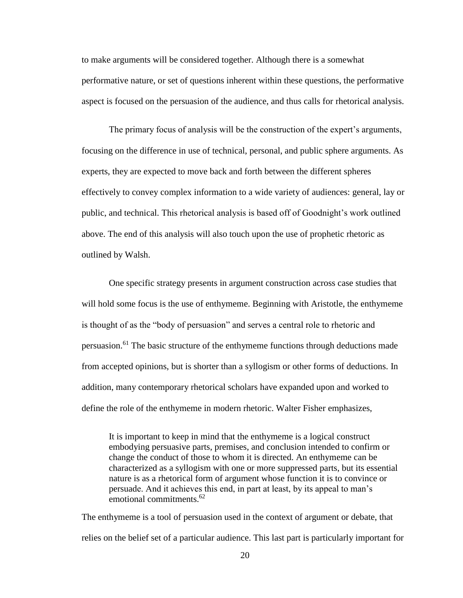to make arguments will be considered together. Although there is a somewhat performative nature, or set of questions inherent within these questions, the performative aspect is focused on the persuasion of the audience, and thus calls for rhetorical analysis.

The primary focus of analysis will be the construction of the expert's arguments, focusing on the difference in use of technical, personal, and public sphere arguments. As experts, they are expected to move back and forth between the different spheres effectively to convey complex information to a wide variety of audiences: general, lay or public, and technical. This rhetorical analysis is based off of Goodnight's work outlined above. The end of this analysis will also touch upon the use of prophetic rhetoric as outlined by Walsh.

One specific strategy presents in argument construction across case studies that will hold some focus is the use of enthymeme. Beginning with Aristotle, the enthymeme is thought of as the "body of persuasion" and serves a central role to rhetoric and persuasion.<sup>61</sup> The basic structure of the enthymeme functions through deductions made from accepted opinions, but is shorter than a syllogism or other forms of deductions. In addition, many contemporary rhetorical scholars have expanded upon and worked to define the role of the enthymeme in modern rhetoric. Walter Fisher emphasizes,

It is important to keep in mind that the enthymeme is a logical construct embodying persuasive parts, premises, and conclusion intended to confirm or change the conduct of those to whom it is directed. An enthymeme can be characterized as a syllogism with one or more suppressed parts, but its essential nature is as a rhetorical form of argument whose function it is to convince or persuade. And it achieves this end, in part at least, by its appeal to man's emotional commitments.<sup>62</sup>

The enthymeme is a tool of persuasion used in the context of argument or debate, that relies on the belief set of a particular audience. This last part is particularly important for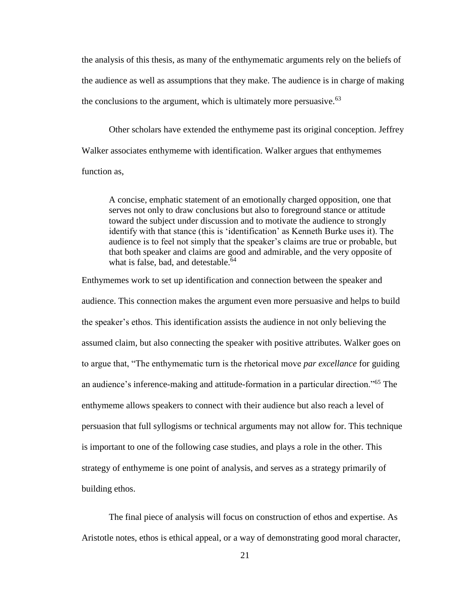the analysis of this thesis, as many of the enthymematic arguments rely on the beliefs of the audience as well as assumptions that they make. The audience is in charge of making the conclusions to the argument, which is ultimately more persuasive.  $63$ 

Other scholars have extended the enthymeme past its original conception. Jeffrey Walker associates enthymeme with identification. Walker argues that enthymemes function as,

A concise, emphatic statement of an emotionally charged opposition, one that serves not only to draw conclusions but also to foreground stance or attitude toward the subject under discussion and to motivate the audience to strongly identify with that stance (this is 'identification' as Kenneth Burke uses it). The audience is to feel not simply that the speaker's claims are true or probable, but that both speaker and claims are good and admirable, and the very opposite of what is false, bad, and detestable. $64$ 

Enthymemes work to set up identification and connection between the speaker and audience. This connection makes the argument even more persuasive and helps to build the speaker's ethos. This identification assists the audience in not only believing the assumed claim, but also connecting the speaker with positive attributes. Walker goes on to argue that, "The enthymematic turn is the rhetorical move *par excellance* for guiding an audience's inference-making and attitude-formation in a particular direction."<sup>65</sup> The enthymeme allows speakers to connect with their audience but also reach a level of persuasion that full syllogisms or technical arguments may not allow for. This technique is important to one of the following case studies, and plays a role in the other. This strategy of enthymeme is one point of analysis, and serves as a strategy primarily of building ethos.

The final piece of analysis will focus on construction of ethos and expertise. As Aristotle notes, ethos is ethical appeal, or a way of demonstrating good moral character,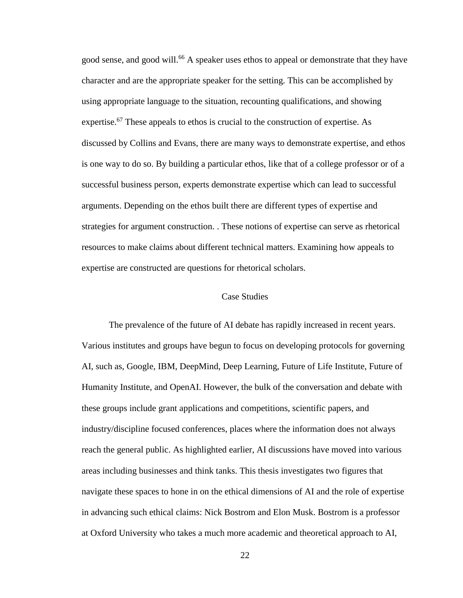good sense, and good will.<sup>66</sup> A speaker uses ethos to appeal or demonstrate that they have character and are the appropriate speaker for the setting. This can be accomplished by using appropriate language to the situation, recounting qualifications, and showing expertise.<sup>67</sup> These appeals to ethos is crucial to the construction of expertise. As discussed by Collins and Evans, there are many ways to demonstrate expertise, and ethos is one way to do so. By building a particular ethos, like that of a college professor or of a successful business person, experts demonstrate expertise which can lead to successful arguments. Depending on the ethos built there are different types of expertise and strategies for argument construction. . These notions of expertise can serve as rhetorical resources to make claims about different technical matters. Examining how appeals to expertise are constructed are questions for rhetorical scholars.

#### Case Studies

The prevalence of the future of AI debate has rapidly increased in recent years. Various institutes and groups have begun to focus on developing protocols for governing AI, such as, Google, IBM, DeepMind, Deep Learning, Future of Life Institute, Future of Humanity Institute, and OpenAI. However, the bulk of the conversation and debate with these groups include grant applications and competitions, scientific papers, and industry/discipline focused conferences, places where the information does not always reach the general public. As highlighted earlier, AI discussions have moved into various areas including businesses and think tanks. This thesis investigates two figures that navigate these spaces to hone in on the ethical dimensions of AI and the role of expertise in advancing such ethical claims: Nick Bostrom and Elon Musk. Bostrom is a professor at Oxford University who takes a much more academic and theoretical approach to AI,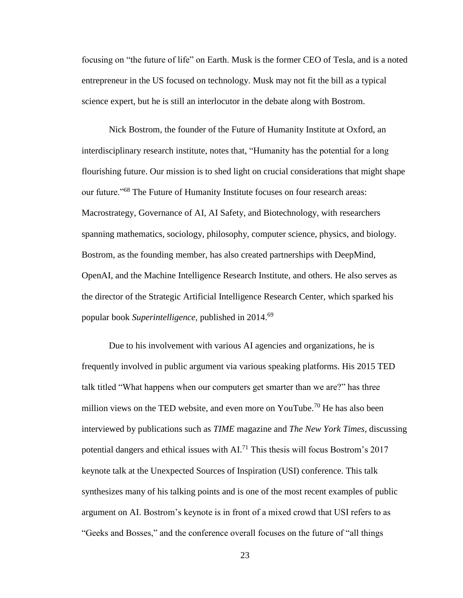focusing on "the future of life" on Earth. Musk is the former CEO of Tesla, and is a noted entrepreneur in the US focused on technology. Musk may not fit the bill as a typical science expert, but he is still an interlocutor in the debate along with Bostrom.

Nick Bostrom, the founder of the Future of Humanity Institute at Oxford, an interdisciplinary research institute, notes that, "Humanity has the potential for a long flourishing future. Our mission is to shed light on crucial considerations that might shape our future."<sup>68</sup> The Future of Humanity Institute focuses on four research areas: Macrostrategy, Governance of AI, AI Safety, and Biotechnology, with researchers spanning mathematics, sociology, philosophy, computer science, physics, and biology. Bostrom, as the founding member, has also created partnerships with DeepMind, OpenAI, and the Machine Intelligence Research Institute, and others. He also serves as the director of the Strategic Artificial Intelligence Research Center, which sparked his popular book *Superintelligence*, published in 2014.<sup>69</sup>

Due to his involvement with various AI agencies and organizations, he is frequently involved in public argument via various speaking platforms. His 2015 TED talk titled "What happens when our computers get smarter than we are?" has three million views on the TED website, and even more on YouTube.<sup>70</sup> He has also been interviewed by publications such as *TIME* magazine and *The New York Times*, discussing potential dangers and ethical issues with AI.<sup>71</sup> This thesis will focus Bostrom's 2017 keynote talk at the Unexpected Sources of Inspiration (USI) conference. This talk synthesizes many of his talking points and is one of the most recent examples of public argument on AI. Bostrom's keynote is in front of a mixed crowd that USI refers to as "Geeks and Bosses," and the conference overall focuses on the future of "all things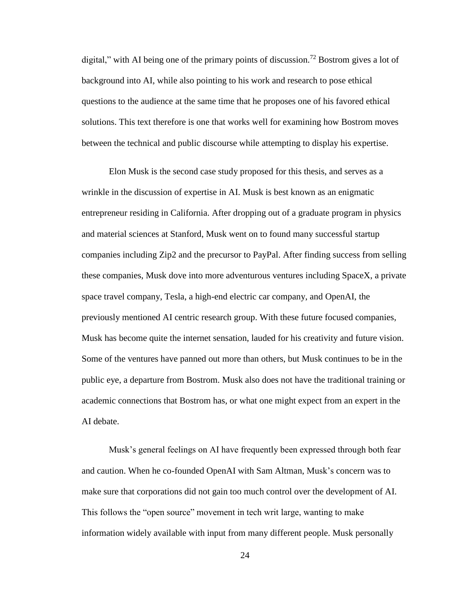digital," with AI being one of the primary points of discussion.<sup>72</sup> Bostrom gives a lot of background into AI, while also pointing to his work and research to pose ethical questions to the audience at the same time that he proposes one of his favored ethical solutions. This text therefore is one that works well for examining how Bostrom moves between the technical and public discourse while attempting to display his expertise.

Elon Musk is the second case study proposed for this thesis, and serves as a wrinkle in the discussion of expertise in AI. Musk is best known as an enigmatic entrepreneur residing in California. After dropping out of a graduate program in physics and material sciences at Stanford, Musk went on to found many successful startup companies including Zip2 and the precursor to PayPal. After finding success from selling these companies, Musk dove into more adventurous ventures including SpaceX, a private space travel company, Tesla, a high-end electric car company, and OpenAI, the previously mentioned AI centric research group. With these future focused companies, Musk has become quite the internet sensation, lauded for his creativity and future vision. Some of the ventures have panned out more than others, but Musk continues to be in the public eye, a departure from Bostrom. Musk also does not have the traditional training or academic connections that Bostrom has, or what one might expect from an expert in the AI debate.

Musk's general feelings on AI have frequently been expressed through both fear and caution. When he co-founded OpenAI with Sam Altman, Musk's concern was to make sure that corporations did not gain too much control over the development of AI. This follows the "open source" movement in tech writ large, wanting to make information widely available with input from many different people. Musk personally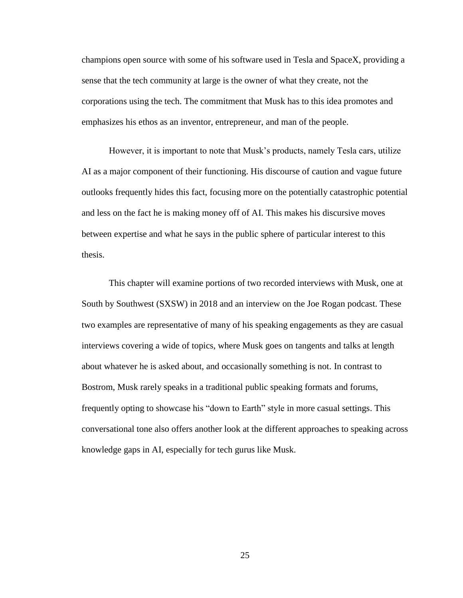champions open source with some of his software used in Tesla and SpaceX, providing a sense that the tech community at large is the owner of what they create, not the corporations using the tech. The commitment that Musk has to this idea promotes and emphasizes his ethos as an inventor, entrepreneur, and man of the people.

However, it is important to note that Musk's products, namely Tesla cars, utilize AI as a major component of their functioning. His discourse of caution and vague future outlooks frequently hides this fact, focusing more on the potentially catastrophic potential and less on the fact he is making money off of AI. This makes his discursive moves between expertise and what he says in the public sphere of particular interest to this thesis.

This chapter will examine portions of two recorded interviews with Musk, one at South by Southwest (SXSW) in 2018 and an interview on the Joe Rogan podcast. These two examples are representative of many of his speaking engagements as they are casual interviews covering a wide of topics, where Musk goes on tangents and talks at length about whatever he is asked about, and occasionally something is not. In contrast to Bostrom, Musk rarely speaks in a traditional public speaking formats and forums, frequently opting to showcase his "down to Earth" style in more casual settings. This conversational tone also offers another look at the different approaches to speaking across knowledge gaps in AI, especially for tech gurus like Musk.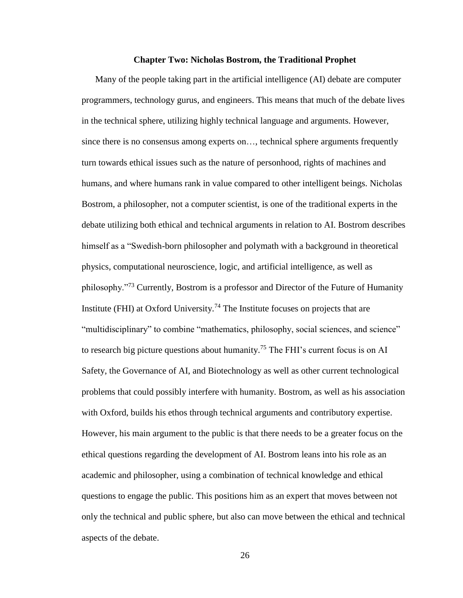#### **Chapter Two: Nicholas Bostrom, the Traditional Prophet**

Many of the people taking part in the artificial intelligence (AI) debate are computer programmers, technology gurus, and engineers. This means that much of the debate lives in the technical sphere, utilizing highly technical language and arguments. However, since there is no consensus among experts on…, technical sphere arguments frequently turn towards ethical issues such as the nature of personhood, rights of machines and humans, and where humans rank in value compared to other intelligent beings. Nicholas Bostrom, a philosopher, not a computer scientist, is one of the traditional experts in the debate utilizing both ethical and technical arguments in relation to AI. Bostrom describes himself as a "Swedish-born philosopher and polymath with a background in theoretical physics, computational neuroscience, logic, and artificial intelligence, as well as philosophy."<sup>73</sup> Currently, Bostrom is a professor and Director of the Future of Humanity Institute (FHI) at Oxford University.<sup>74</sup> The Institute focuses on projects that are "multidisciplinary" to combine "mathematics, philosophy, social sciences, and science" to research big picture questions about humanity.<sup>75</sup> The FHI's current focus is on AI Safety, the Governance of AI, and Biotechnology as well as other current technological problems that could possibly interfere with humanity. Bostrom, as well as his association with Oxford, builds his ethos through technical arguments and contributory expertise. However, his main argument to the public is that there needs to be a greater focus on the ethical questions regarding the development of AI. Bostrom leans into his role as an academic and philosopher, using a combination of technical knowledge and ethical questions to engage the public. This positions him as an expert that moves between not only the technical and public sphere, but also can move between the ethical and technical aspects of the debate.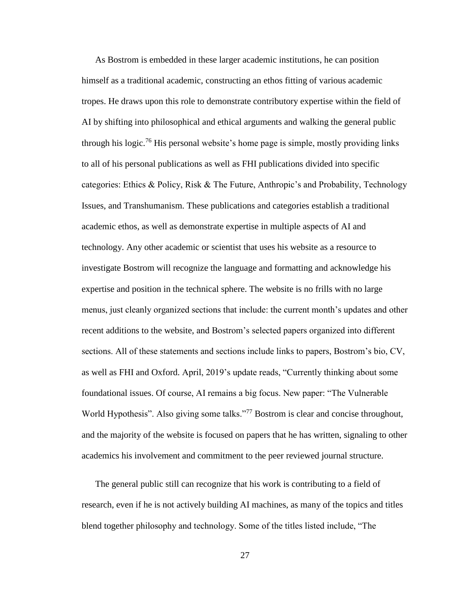As Bostrom is embedded in these larger academic institutions, he can position himself as a traditional academic, constructing an ethos fitting of various academic tropes. He draws upon this role to demonstrate contributory expertise within the field of AI by shifting into philosophical and ethical arguments and walking the general public through his logic.<sup>76</sup> His personal website's home page is simple, mostly providing links to all of his personal publications as well as FHI publications divided into specific categories: Ethics & Policy, Risk & The Future, Anthropic's and Probability, Technology Issues, and Transhumanism. These publications and categories establish a traditional academic ethos, as well as demonstrate expertise in multiple aspects of AI and technology. Any other academic or scientist that uses his website as a resource to investigate Bostrom will recognize the language and formatting and acknowledge his expertise and position in the technical sphere. The website is no frills with no large menus, just cleanly organized sections that include: the current month's updates and other recent additions to the website, and Bostrom's selected papers organized into different sections. All of these statements and sections include links to papers, Bostrom's bio, CV, as well as FHI and Oxford. April, 2019's update reads, "Currently thinking about some foundational issues. Of course, AI remains a big focus. New paper: "The Vulnerable World Hypothesis". Also giving some talks."<sup>77</sup> Bostrom is clear and concise throughout, and the majority of the website is focused on papers that he has written, signaling to other academics his involvement and commitment to the peer reviewed journal structure.

The general public still can recognize that his work is contributing to a field of research, even if he is not actively building AI machines, as many of the topics and titles blend together philosophy and technology. Some of the titles listed include, "The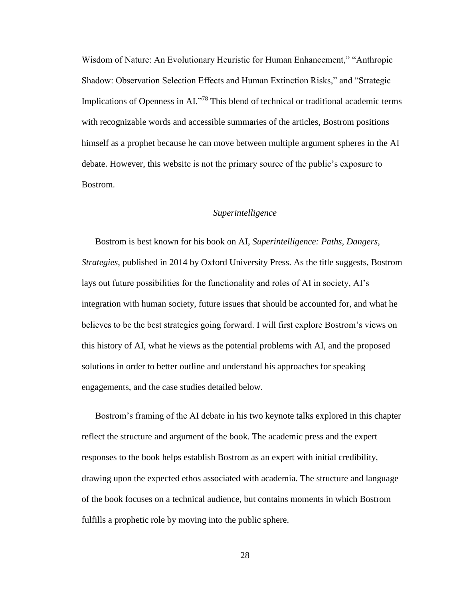Wisdom of Nature: An Evolutionary Heuristic for Human Enhancement," "Anthropic Shadow: Observation Selection Effects and Human Extinction Risks," and "Strategic Implications of Openness in AI."<sup>78</sup> This blend of technical or traditional academic terms with recognizable words and accessible summaries of the articles, Bostrom positions himself as a prophet because he can move between multiple argument spheres in the AI debate. However, this website is not the primary source of the public's exposure to Bostrom.

## *Superintelligence*

Bostrom is best known for his book on AI, *Superintelligence: Paths, Dangers, Strategies*, published in 2014 by Oxford University Press. As the title suggests, Bostrom lays out future possibilities for the functionality and roles of AI in society, AI's integration with human society, future issues that should be accounted for, and what he believes to be the best strategies going forward. I will first explore Bostrom's views on this history of AI, what he views as the potential problems with AI, and the proposed solutions in order to better outline and understand his approaches for speaking engagements, and the case studies detailed below.

Bostrom's framing of the AI debate in his two keynote talks explored in this chapter reflect the structure and argument of the book. The academic press and the expert responses to the book helps establish Bostrom as an expert with initial credibility, drawing upon the expected ethos associated with academia. The structure and language of the book focuses on a technical audience, but contains moments in which Bostrom fulfills a prophetic role by moving into the public sphere.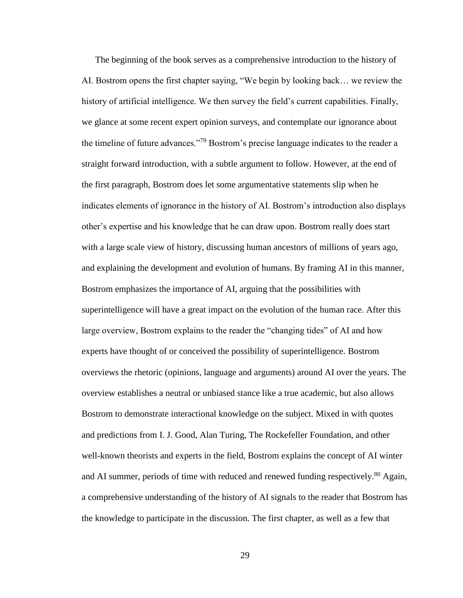The beginning of the book serves as a comprehensive introduction to the history of AI. Bostrom opens the first chapter saying, "We begin by looking back… we review the history of artificial intelligence. We then survey the field's current capabilities. Finally, we glance at some recent expert opinion surveys, and contemplate our ignorance about the timeline of future advances."<sup>79</sup> Bostrom's precise language indicates to the reader a straight forward introduction, with a subtle argument to follow. However, at the end of the first paragraph, Bostrom does let some argumentative statements slip when he indicates elements of ignorance in the history of AI. Bostrom's introduction also displays other's expertise and his knowledge that he can draw upon. Bostrom really does start with a large scale view of history, discussing human ancestors of millions of years ago, and explaining the development and evolution of humans. By framing AI in this manner, Bostrom emphasizes the importance of AI, arguing that the possibilities with superintelligence will have a great impact on the evolution of the human race. After this large overview, Bostrom explains to the reader the "changing tides" of AI and how experts have thought of or conceived the possibility of superintelligence. Bostrom overviews the rhetoric (opinions, language and arguments) around AI over the years. The overview establishes a neutral or unbiased stance like a true academic, but also allows Bostrom to demonstrate interactional knowledge on the subject. Mixed in with quotes and predictions from I. J. Good, Alan Turing, The Rockefeller Foundation, and other well-known theorists and experts in the field, Bostrom explains the concept of AI winter and AI summer, periods of time with reduced and renewed funding respectively.<sup>80</sup> Again, a comprehensive understanding of the history of AI signals to the reader that Bostrom has the knowledge to participate in the discussion. The first chapter, as well as a few that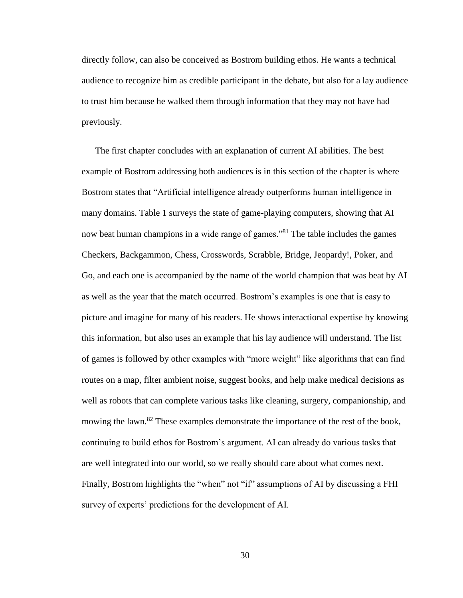directly follow, can also be conceived as Bostrom building ethos. He wants a technical audience to recognize him as credible participant in the debate, but also for a lay audience to trust him because he walked them through information that they may not have had previously.

The first chapter concludes with an explanation of current AI abilities. The best example of Bostrom addressing both audiences is in this section of the chapter is where Bostrom states that "Artificial intelligence already outperforms human intelligence in many domains. Table 1 surveys the state of game-playing computers, showing that AI now beat human champions in a wide range of games."<sup>81</sup> The table includes the games Checkers, Backgammon, Chess, Crosswords, Scrabble, Bridge, Jeopardy!, Poker, and Go, and each one is accompanied by the name of the world champion that was beat by AI as well as the year that the match occurred. Bostrom's examples is one that is easy to picture and imagine for many of his readers. He shows interactional expertise by knowing this information, but also uses an example that his lay audience will understand. The list of games is followed by other examples with "more weight" like algorithms that can find routes on a map, filter ambient noise, suggest books, and help make medical decisions as well as robots that can complete various tasks like cleaning, surgery, companionship, and mowing the lawn.<sup>82</sup> These examples demonstrate the importance of the rest of the book, continuing to build ethos for Bostrom's argument. AI can already do various tasks that are well integrated into our world, so we really should care about what comes next. Finally, Bostrom highlights the "when" not "if" assumptions of AI by discussing a FHI survey of experts' predictions for the development of AI.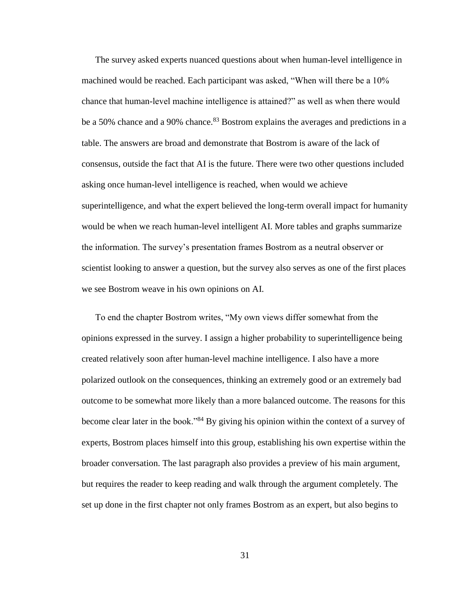The survey asked experts nuanced questions about when human-level intelligence in machined would be reached. Each participant was asked, "When will there be a 10% chance that human-level machine intelligence is attained?" as well as when there would be a 50% chance and a 90% chance.<sup>83</sup> Bostrom explains the averages and predictions in a table. The answers are broad and demonstrate that Bostrom is aware of the lack of consensus, outside the fact that AI is the future. There were two other questions included asking once human-level intelligence is reached, when would we achieve superintelligence, and what the expert believed the long-term overall impact for humanity would be when we reach human-level intelligent AI. More tables and graphs summarize the information. The survey's presentation frames Bostrom as a neutral observer or scientist looking to answer a question, but the survey also serves as one of the first places we see Bostrom weave in his own opinions on AI.

To end the chapter Bostrom writes, "My own views differ somewhat from the opinions expressed in the survey. I assign a higher probability to superintelligence being created relatively soon after human-level machine intelligence. I also have a more polarized outlook on the consequences, thinking an extremely good or an extremely bad outcome to be somewhat more likely than a more balanced outcome. The reasons for this become clear later in the book."<sup>84</sup> By giving his opinion within the context of a survey of experts, Bostrom places himself into this group, establishing his own expertise within the broader conversation. The last paragraph also provides a preview of his main argument, but requires the reader to keep reading and walk through the argument completely. The set up done in the first chapter not only frames Bostrom as an expert, but also begins to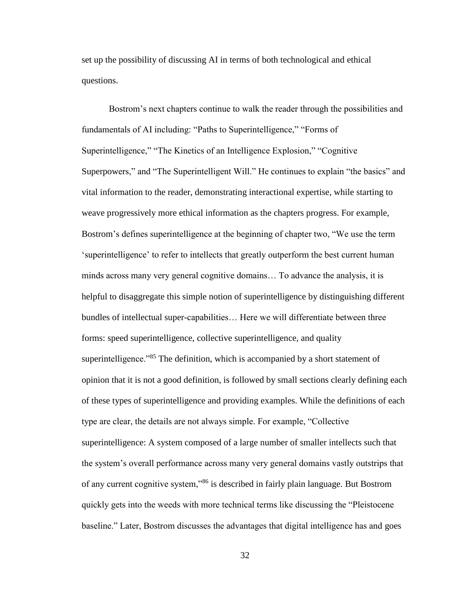set up the possibility of discussing AI in terms of both technological and ethical questions.

Bostrom's next chapters continue to walk the reader through the possibilities and fundamentals of AI including: "Paths to Superintelligence," "Forms of Superintelligence," "The Kinetics of an Intelligence Explosion," "Cognitive Superpowers," and "The Superintelligent Will." He continues to explain "the basics" and vital information to the reader, demonstrating interactional expertise, while starting to weave progressively more ethical information as the chapters progress. For example, Bostrom's defines superintelligence at the beginning of chapter two, "We use the term 'superintelligence' to refer to intellects that greatly outperform the best current human minds across many very general cognitive domains… To advance the analysis, it is helpful to disaggregate this simple notion of superintelligence by distinguishing different bundles of intellectual super-capabilities… Here we will differentiate between three forms: speed superintelligence, collective superintelligence, and quality superintelligence."<sup>85</sup> The definition, which is accompanied by a short statement of opinion that it is not a good definition, is followed by small sections clearly defining each of these types of superintelligence and providing examples. While the definitions of each type are clear, the details are not always simple. For example, "Collective superintelligence: A system composed of a large number of smaller intellects such that the system's overall performance across many very general domains vastly outstrips that of any current cognitive system,"<sup>86</sup> is described in fairly plain language. But Bostrom quickly gets into the weeds with more technical terms like discussing the "Pleistocene baseline." Later, Bostrom discusses the advantages that digital intelligence has and goes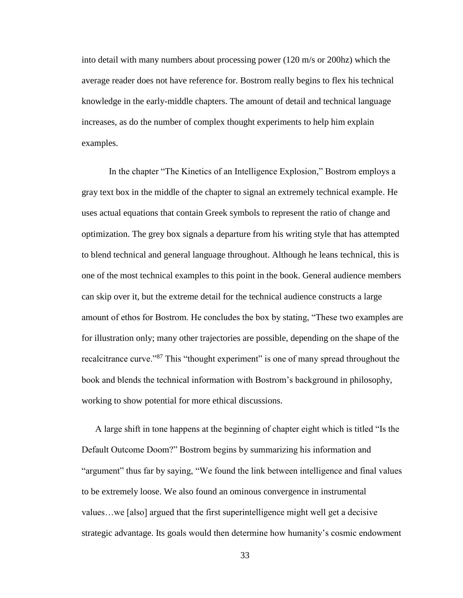into detail with many numbers about processing power (120 m/s or 200hz) which the average reader does not have reference for. Bostrom really begins to flex his technical knowledge in the early-middle chapters. The amount of detail and technical language increases, as do the number of complex thought experiments to help him explain examples.

In the chapter "The Kinetics of an Intelligence Explosion," Bostrom employs a gray text box in the middle of the chapter to signal an extremely technical example. He uses actual equations that contain Greek symbols to represent the ratio of change and optimization. The grey box signals a departure from his writing style that has attempted to blend technical and general language throughout. Although he leans technical, this is one of the most technical examples to this point in the book. General audience members can skip over it, but the extreme detail for the technical audience constructs a large amount of ethos for Bostrom. He concludes the box by stating, "These two examples are for illustration only; many other trajectories are possible, depending on the shape of the recalcitrance curve."<sup>87</sup> This "thought experiment" is one of many spread throughout the book and blends the technical information with Bostrom's background in philosophy, working to show potential for more ethical discussions.

A large shift in tone happens at the beginning of chapter eight which is titled "Is the Default Outcome Doom?" Bostrom begins by summarizing his information and "argument" thus far by saying, "We found the link between intelligence and final values to be extremely loose. We also found an ominous convergence in instrumental values…we [also] argued that the first superintelligence might well get a decisive strategic advantage. Its goals would then determine how humanity's cosmic endowment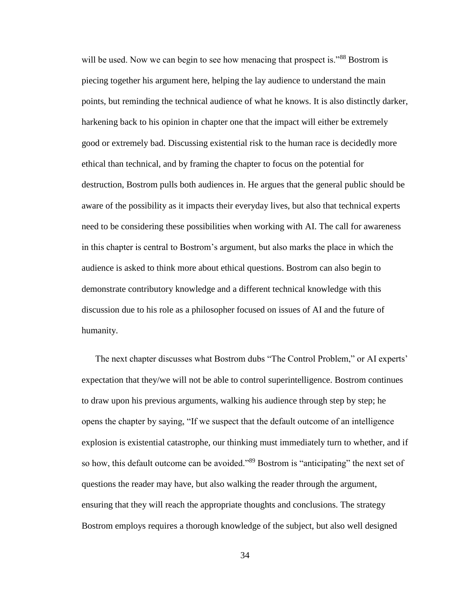will be used. Now we can begin to see how menacing that prospect is."<sup>88</sup> Bostrom is piecing together his argument here, helping the lay audience to understand the main points, but reminding the technical audience of what he knows. It is also distinctly darker, harkening back to his opinion in chapter one that the impact will either be extremely good or extremely bad. Discussing existential risk to the human race is decidedly more ethical than technical, and by framing the chapter to focus on the potential for destruction, Bostrom pulls both audiences in. He argues that the general public should be aware of the possibility as it impacts their everyday lives, but also that technical experts need to be considering these possibilities when working with AI. The call for awareness in this chapter is central to Bostrom's argument, but also marks the place in which the audience is asked to think more about ethical questions. Bostrom can also begin to demonstrate contributory knowledge and a different technical knowledge with this discussion due to his role as a philosopher focused on issues of AI and the future of humanity.

The next chapter discusses what Bostrom dubs "The Control Problem," or AI experts' expectation that they/we will not be able to control superintelligence. Bostrom continues to draw upon his previous arguments, walking his audience through step by step; he opens the chapter by saying, "If we suspect that the default outcome of an intelligence explosion is existential catastrophe, our thinking must immediately turn to whether, and if so how, this default outcome can be avoided."<sup>89</sup> Bostrom is "anticipating" the next set of questions the reader may have, but also walking the reader through the argument, ensuring that they will reach the appropriate thoughts and conclusions. The strategy Bostrom employs requires a thorough knowledge of the subject, but also well designed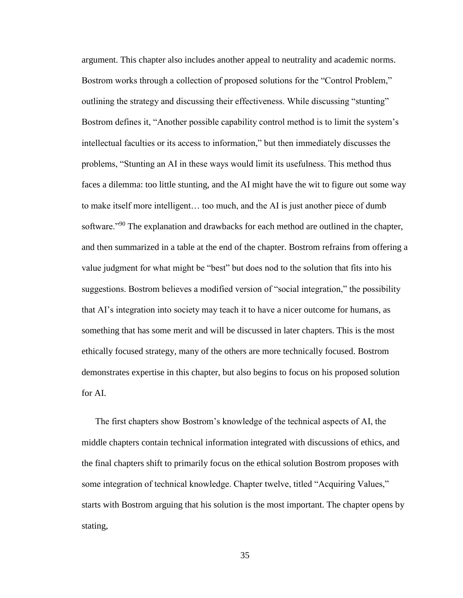argument. This chapter also includes another appeal to neutrality and academic norms. Bostrom works through a collection of proposed solutions for the "Control Problem," outlining the strategy and discussing their effectiveness. While discussing "stunting" Bostrom defines it, "Another possible capability control method is to limit the system's intellectual faculties or its access to information," but then immediately discusses the problems, "Stunting an AI in these ways would limit its usefulness. This method thus faces a dilemma: too little stunting, and the AI might have the wit to figure out some way to make itself more intelligent… too much, and the AI is just another piece of dumb software.<sup>"90</sup> The explanation and drawbacks for each method are outlined in the chapter, and then summarized in a table at the end of the chapter. Bostrom refrains from offering a value judgment for what might be "best" but does nod to the solution that fits into his suggestions. Bostrom believes a modified version of "social integration," the possibility that AI's integration into society may teach it to have a nicer outcome for humans, as something that has some merit and will be discussed in later chapters. This is the most ethically focused strategy, many of the others are more technically focused. Bostrom demonstrates expertise in this chapter, but also begins to focus on his proposed solution for AI.

The first chapters show Bostrom's knowledge of the technical aspects of AI, the middle chapters contain technical information integrated with discussions of ethics, and the final chapters shift to primarily focus on the ethical solution Bostrom proposes with some integration of technical knowledge. Chapter twelve, titled "Acquiring Values," starts with Bostrom arguing that his solution is the most important. The chapter opens by stating,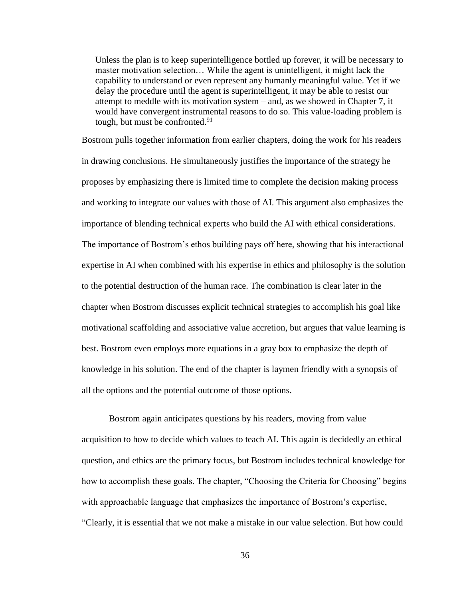Unless the plan is to keep superintelligence bottled up forever, it will be necessary to master motivation selection… While the agent is unintelligent, it might lack the capability to understand or even represent any humanly meaningful value. Yet if we delay the procedure until the agent is superintelligent, it may be able to resist our attempt to meddle with its motivation system – and, as we showed in Chapter 7, it would have convergent instrumental reasons to do so. This value-loading problem is tough, but must be confronted.<sup>91</sup>

Bostrom pulls together information from earlier chapters, doing the work for his readers in drawing conclusions. He simultaneously justifies the importance of the strategy he proposes by emphasizing there is limited time to complete the decision making process and working to integrate our values with those of AI. This argument also emphasizes the importance of blending technical experts who build the AI with ethical considerations. The importance of Bostrom's ethos building pays off here, showing that his interactional expertise in AI when combined with his expertise in ethics and philosophy is the solution to the potential destruction of the human race. The combination is clear later in the chapter when Bostrom discusses explicit technical strategies to accomplish his goal like motivational scaffolding and associative value accretion, but argues that value learning is best. Bostrom even employs more equations in a gray box to emphasize the depth of knowledge in his solution. The end of the chapter is laymen friendly with a synopsis of all the options and the potential outcome of those options.

Bostrom again anticipates questions by his readers, moving from value acquisition to how to decide which values to teach AI. This again is decidedly an ethical question, and ethics are the primary focus, but Bostrom includes technical knowledge for how to accomplish these goals. The chapter, "Choosing the Criteria for Choosing" begins with approachable language that emphasizes the importance of Bostrom's expertise, "Clearly, it is essential that we not make a mistake in our value selection. But how could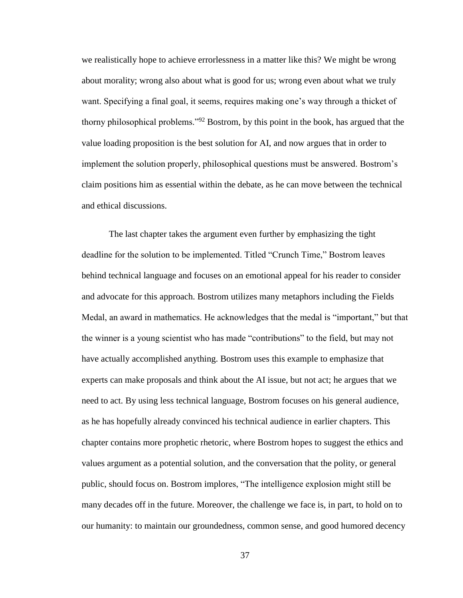we realistically hope to achieve errorlessness in a matter like this? We might be wrong about morality; wrong also about what is good for us; wrong even about what we truly want. Specifying a final goal, it seems, requires making one's way through a thicket of thorny philosophical problems."<sup>92</sup> Bostrom, by this point in the book, has argued that the value loading proposition is the best solution for AI, and now argues that in order to implement the solution properly, philosophical questions must be answered. Bostrom's claim positions him as essential within the debate, as he can move between the technical and ethical discussions.

The last chapter takes the argument even further by emphasizing the tight deadline for the solution to be implemented. Titled "Crunch Time," Bostrom leaves behind technical language and focuses on an emotional appeal for his reader to consider and advocate for this approach. Bostrom utilizes many metaphors including the Fields Medal, an award in mathematics. He acknowledges that the medal is "important," but that the winner is a young scientist who has made "contributions" to the field, but may not have actually accomplished anything. Bostrom uses this example to emphasize that experts can make proposals and think about the AI issue, but not act; he argues that we need to act. By using less technical language, Bostrom focuses on his general audience, as he has hopefully already convinced his technical audience in earlier chapters. This chapter contains more prophetic rhetoric, where Bostrom hopes to suggest the ethics and values argument as a potential solution, and the conversation that the polity, or general public, should focus on. Bostrom implores, "The intelligence explosion might still be many decades off in the future. Moreover, the challenge we face is, in part, to hold on to our humanity: to maintain our groundedness, common sense, and good humored decency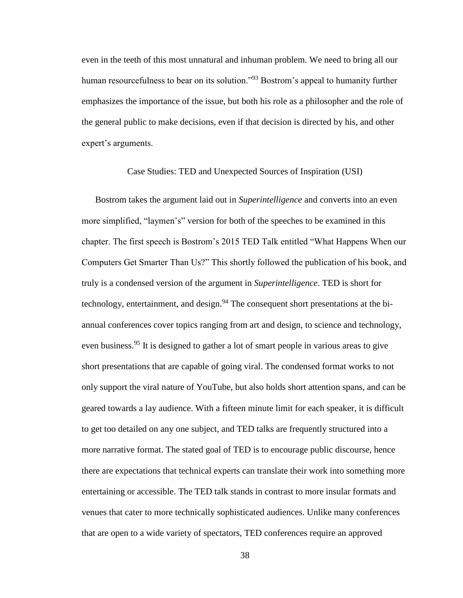even in the teeth of this most unnatural and inhuman problem. We need to bring all our human resourcefulness to bear on its solution."<sup>93</sup> Bostrom's appeal to humanity further emphasizes the importance of the issue, but both his role as a philosopher and the role of the general public to make decisions, even if that decision is directed by his, and other expert's arguments.

#### Case Studies: TED and Unexpected Sources of Inspiration (USI)

Bostrom takes the argument laid out in *Superintelligence* and converts into an even more simplified, "laymen's" version for both of the speeches to be examined in this chapter. The first speech is Bostrom's 2015 TED Talk entitled "What Happens When our Computers Get Smarter Than Us?" This shortly followed the publication of his book, and truly is a condensed version of the argument in *Superintelligence*. TED is short for technology, entertainment, and design.<sup>94</sup> The consequent short presentations at the biannual conferences cover topics ranging from art and design, to science and technology, even business.<sup>95</sup> It is designed to gather a lot of smart people in various areas to give short presentations that are capable of going viral. The condensed format works to not only support the viral nature of YouTube, but also holds short attention spans, and can be geared towards a lay audience. With a fifteen minute limit for each speaker, it is difficult to get too detailed on any one subject, and TED talks are frequently structured into a more narrative format. The stated goal of TED is to encourage public discourse, hence there are expectations that technical experts can translate their work into something more entertaining or accessible. The TED talk stands in contrast to more insular formats and venues that cater to more technically sophisticated audiences. Unlike many conferences that are open to a wide variety of spectators, TED conferences require an approved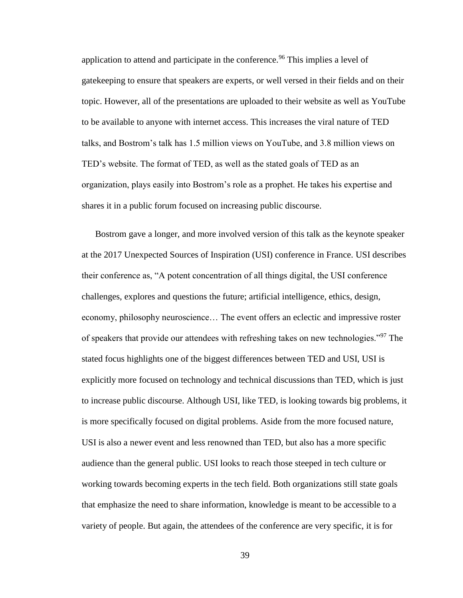application to attend and participate in the conference.<sup>96</sup> This implies a level of gatekeeping to ensure that speakers are experts, or well versed in their fields and on their topic. However, all of the presentations are uploaded to their website as well as YouTube to be available to anyone with internet access. This increases the viral nature of TED talks, and Bostrom's talk has 1.5 million views on YouTube, and 3.8 million views on TED's website. The format of TED, as well as the stated goals of TED as an organization, plays easily into Bostrom's role as a prophet. He takes his expertise and shares it in a public forum focused on increasing public discourse.

Bostrom gave a longer, and more involved version of this talk as the keynote speaker at the 2017 Unexpected Sources of Inspiration (USI) conference in France. USI describes their conference as, "A potent concentration of all things digital, the USI conference challenges, explores and questions the future; artificial intelligence, ethics, design, economy, philosophy neuroscience… The event offers an eclectic and impressive roster of speakers that provide our attendees with refreshing takes on new technologies."<sup>97</sup> The stated focus highlights one of the biggest differences between TED and USI, USI is explicitly more focused on technology and technical discussions than TED, which is just to increase public discourse. Although USI, like TED, is looking towards big problems, it is more specifically focused on digital problems. Aside from the more focused nature, USI is also a newer event and less renowned than TED, but also has a more specific audience than the general public. USI looks to reach those steeped in tech culture or working towards becoming experts in the tech field. Both organizations still state goals that emphasize the need to share information, knowledge is meant to be accessible to a variety of people. But again, the attendees of the conference are very specific, it is for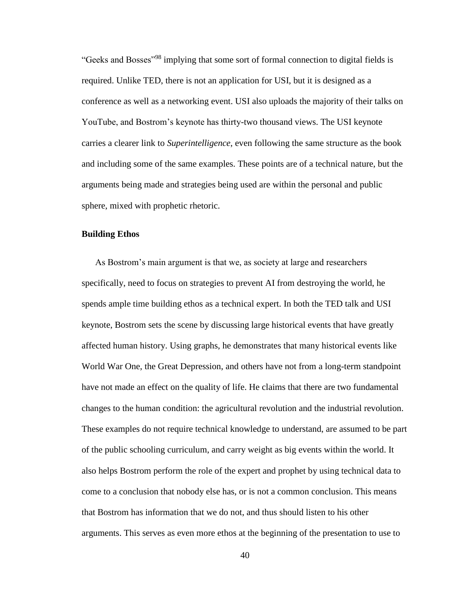"Geeks and Bosses"<sup>98</sup> implying that some sort of formal connection to digital fields is required. Unlike TED, there is not an application for USI, but it is designed as a conference as well as a networking event. USI also uploads the majority of their talks on YouTube, and Bostrom's keynote has thirty-two thousand views. The USI keynote carries a clearer link to *Superintelligence*, even following the same structure as the book and including some of the same examples. These points are of a technical nature, but the arguments being made and strategies being used are within the personal and public sphere, mixed with prophetic rhetoric.

## **Building Ethos**

As Bostrom's main argument is that we, as society at large and researchers specifically, need to focus on strategies to prevent AI from destroying the world, he spends ample time building ethos as a technical expert. In both the TED talk and USI keynote, Bostrom sets the scene by discussing large historical events that have greatly affected human history. Using graphs, he demonstrates that many historical events like World War One, the Great Depression, and others have not from a long-term standpoint have not made an effect on the quality of life. He claims that there are two fundamental changes to the human condition: the agricultural revolution and the industrial revolution. These examples do not require technical knowledge to understand, are assumed to be part of the public schooling curriculum, and carry weight as big events within the world. It also helps Bostrom perform the role of the expert and prophet by using technical data to come to a conclusion that nobody else has, or is not a common conclusion. This means that Bostrom has information that we do not, and thus should listen to his other arguments. This serves as even more ethos at the beginning of the presentation to use to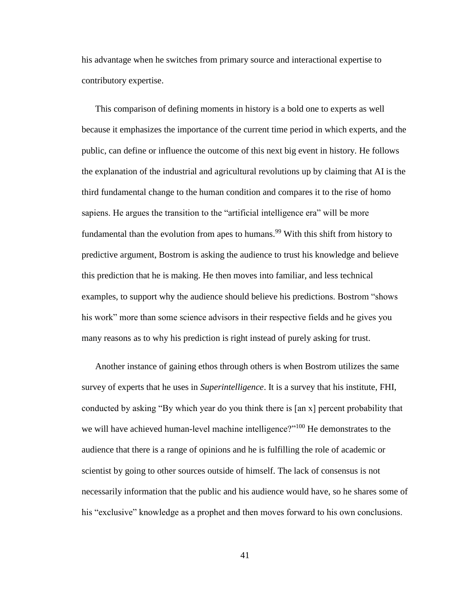his advantage when he switches from primary source and interactional expertise to contributory expertise.

This comparison of defining moments in history is a bold one to experts as well because it emphasizes the importance of the current time period in which experts, and the public, can define or influence the outcome of this next big event in history. He follows the explanation of the industrial and agricultural revolutions up by claiming that AI is the third fundamental change to the human condition and compares it to the rise of homo sapiens. He argues the transition to the "artificial intelligence era" will be more fundamental than the evolution from apes to humans.<sup>99</sup> With this shift from history to predictive argument, Bostrom is asking the audience to trust his knowledge and believe this prediction that he is making. He then moves into familiar, and less technical examples, to support why the audience should believe his predictions. Bostrom "shows his work" more than some science advisors in their respective fields and he gives you many reasons as to why his prediction is right instead of purely asking for trust.

Another instance of gaining ethos through others is when Bostrom utilizes the same survey of experts that he uses in *Superintelligence*. It is a survey that his institute, FHI, conducted by asking "By which year do you think there is [an x] percent probability that we will have achieved human-level machine intelligence?"<sup>100</sup> He demonstrates to the audience that there is a range of opinions and he is fulfilling the role of academic or scientist by going to other sources outside of himself. The lack of consensus is not necessarily information that the public and his audience would have, so he shares some of his "exclusive" knowledge as a prophet and then moves forward to his own conclusions.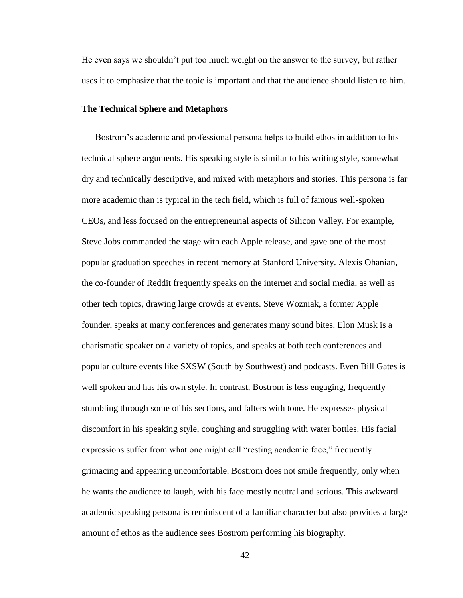He even says we shouldn't put too much weight on the answer to the survey, but rather uses it to emphasize that the topic is important and that the audience should listen to him.

#### **The Technical Sphere and Metaphors**

Bostrom's academic and professional persona helps to build ethos in addition to his technical sphere arguments. His speaking style is similar to his writing style, somewhat dry and technically descriptive, and mixed with metaphors and stories. This persona is far more academic than is typical in the tech field, which is full of famous well-spoken CEOs, and less focused on the entrepreneurial aspects of Silicon Valley. For example, Steve Jobs commanded the stage with each Apple release, and gave one of the most popular graduation speeches in recent memory at Stanford University. Alexis Ohanian, the co-founder of Reddit frequently speaks on the internet and social media, as well as other tech topics, drawing large crowds at events. Steve Wozniak, a former Apple founder, speaks at many conferences and generates many sound bites. Elon Musk is a charismatic speaker on a variety of topics, and speaks at both tech conferences and popular culture events like SXSW (South by Southwest) and podcasts. Even Bill Gates is well spoken and has his own style. In contrast, Bostrom is less engaging, frequently stumbling through some of his sections, and falters with tone. He expresses physical discomfort in his speaking style, coughing and struggling with water bottles. His facial expressions suffer from what one might call "resting academic face," frequently grimacing and appearing uncomfortable. Bostrom does not smile frequently, only when he wants the audience to laugh, with his face mostly neutral and serious. This awkward academic speaking persona is reminiscent of a familiar character but also provides a large amount of ethos as the audience sees Bostrom performing his biography.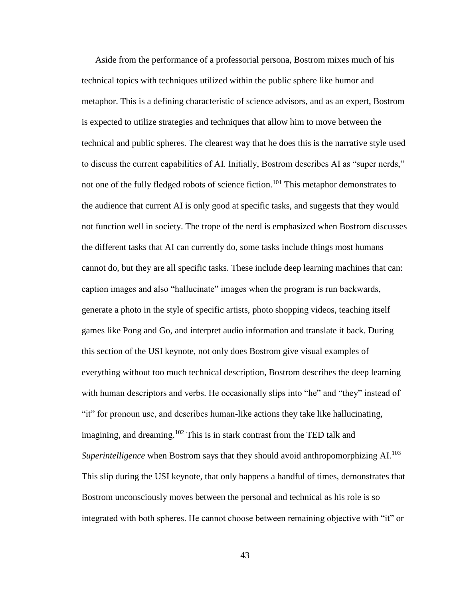Aside from the performance of a professorial persona, Bostrom mixes much of his technical topics with techniques utilized within the public sphere like humor and metaphor. This is a defining characteristic of science advisors, and as an expert, Bostrom is expected to utilize strategies and techniques that allow him to move between the technical and public spheres. The clearest way that he does this is the narrative style used to discuss the current capabilities of AI. Initially, Bostrom describes AI as "super nerds," not one of the fully fledged robots of science fiction.<sup>101</sup> This metaphor demonstrates to the audience that current AI is only good at specific tasks, and suggests that they would not function well in society. The trope of the nerd is emphasized when Bostrom discusses the different tasks that AI can currently do, some tasks include things most humans cannot do, but they are all specific tasks. These include deep learning machines that can: caption images and also "hallucinate" images when the program is run backwards, generate a photo in the style of specific artists, photo shopping videos, teaching itself games like Pong and Go, and interpret audio information and translate it back. During this section of the USI keynote, not only does Bostrom give visual examples of everything without too much technical description, Bostrom describes the deep learning with human descriptors and verbs. He occasionally slips into "he" and "they" instead of "it" for pronoun use, and describes human-like actions they take like hallucinating, imagining, and dreaming.<sup>102</sup> This is in stark contrast from the TED talk and *Superintelligence* when Bostrom says that they should avoid anthropomorphizing AI.<sup>103</sup> This slip during the USI keynote, that only happens a handful of times, demonstrates that Bostrom unconsciously moves between the personal and technical as his role is so integrated with both spheres. He cannot choose between remaining objective with "it" or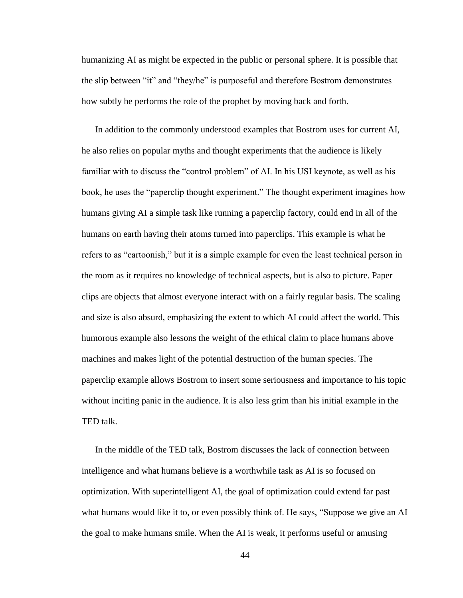humanizing AI as might be expected in the public or personal sphere. It is possible that the slip between "it" and "they/he" is purposeful and therefore Bostrom demonstrates how subtly he performs the role of the prophet by moving back and forth.

In addition to the commonly understood examples that Bostrom uses for current AI, he also relies on popular myths and thought experiments that the audience is likely familiar with to discuss the "control problem" of AI. In his USI keynote, as well as his book, he uses the "paperclip thought experiment." The thought experiment imagines how humans giving AI a simple task like running a paperclip factory, could end in all of the humans on earth having their atoms turned into paperclips. This example is what he refers to as "cartoonish," but it is a simple example for even the least technical person in the room as it requires no knowledge of technical aspects, but is also to picture. Paper clips are objects that almost everyone interact with on a fairly regular basis. The scaling and size is also absurd, emphasizing the extent to which AI could affect the world. This humorous example also lessons the weight of the ethical claim to place humans above machines and makes light of the potential destruction of the human species. The paperclip example allows Bostrom to insert some seriousness and importance to his topic without inciting panic in the audience. It is also less grim than his initial example in the TED talk.

In the middle of the TED talk, Bostrom discusses the lack of connection between intelligence and what humans believe is a worthwhile task as AI is so focused on optimization. With superintelligent AI, the goal of optimization could extend far past what humans would like it to, or even possibly think of. He says, "Suppose we give an AI the goal to make humans smile. When the AI is weak, it performs useful or amusing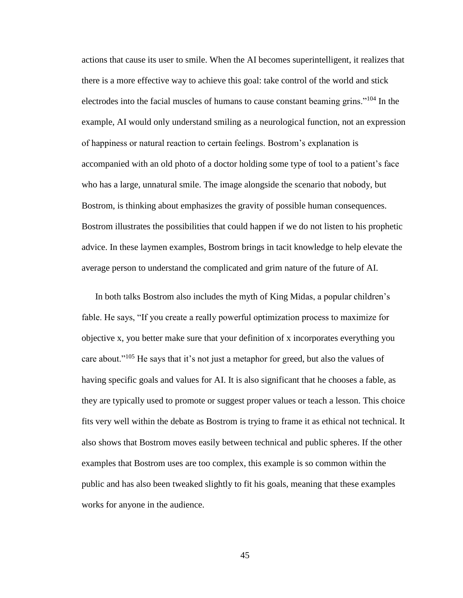actions that cause its user to smile. When the AI becomes superintelligent, it realizes that there is a more effective way to achieve this goal: take control of the world and stick electrodes into the facial muscles of humans to cause constant beaming grins."<sup>104</sup> In the example, AI would only understand smiling as a neurological function, not an expression of happiness or natural reaction to certain feelings. Bostrom's explanation is accompanied with an old photo of a doctor holding some type of tool to a patient's face who has a large, unnatural smile. The image alongside the scenario that nobody, but Bostrom, is thinking about emphasizes the gravity of possible human consequences. Bostrom illustrates the possibilities that could happen if we do not listen to his prophetic advice. In these laymen examples, Bostrom brings in tacit knowledge to help elevate the average person to understand the complicated and grim nature of the future of AI.

In both talks Bostrom also includes the myth of King Midas, a popular children's fable. He says, "If you create a really powerful optimization process to maximize for objective x, you better make sure that your definition of x incorporates everything you care about."<sup>105</sup> He says that it's not just a metaphor for greed, but also the values of having specific goals and values for AI. It is also significant that he chooses a fable, as they are typically used to promote or suggest proper values or teach a lesson. This choice fits very well within the debate as Bostrom is trying to frame it as ethical not technical. It also shows that Bostrom moves easily between technical and public spheres. If the other examples that Bostrom uses are too complex, this example is so common within the public and has also been tweaked slightly to fit his goals, meaning that these examples works for anyone in the audience.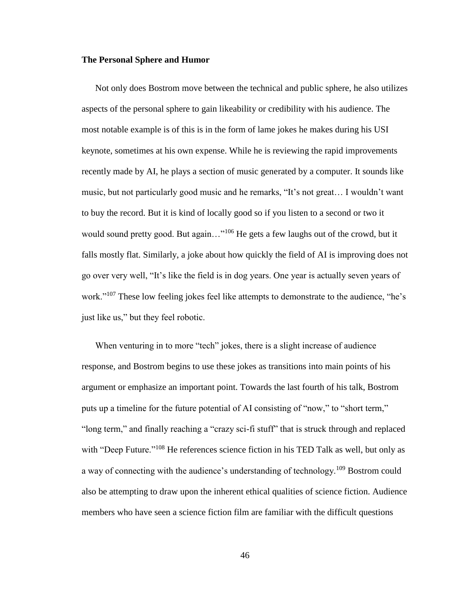### **The Personal Sphere and Humor**

Not only does Bostrom move between the technical and public sphere, he also utilizes aspects of the personal sphere to gain likeability or credibility with his audience. The most notable example is of this is in the form of lame jokes he makes during his USI keynote, sometimes at his own expense. While he is reviewing the rapid improvements recently made by AI, he plays a section of music generated by a computer. It sounds like music, but not particularly good music and he remarks, "It's not great… I wouldn't want to buy the record. But it is kind of locally good so if you listen to a second or two it would sound pretty good. But again..."<sup>106</sup> He gets a few laughs out of the crowd, but it falls mostly flat. Similarly, a joke about how quickly the field of AI is improving does not go over very well, "It's like the field is in dog years. One year is actually seven years of work."<sup>107</sup> These low feeling jokes feel like attempts to demonstrate to the audience, "he's just like us," but they feel robotic.

When venturing in to more "tech" jokes, there is a slight increase of audience response, and Bostrom begins to use these jokes as transitions into main points of his argument or emphasize an important point. Towards the last fourth of his talk, Bostrom puts up a timeline for the future potential of AI consisting of "now," to "short term," "long term," and finally reaching a "crazy sci-fi stuff" that is struck through and replaced with "Deep Future."<sup>108</sup> He references science fiction in his TED Talk as well, but only as a way of connecting with the audience's understanding of technology.<sup>109</sup> Bostrom could also be attempting to draw upon the inherent ethical qualities of science fiction. Audience members who have seen a science fiction film are familiar with the difficult questions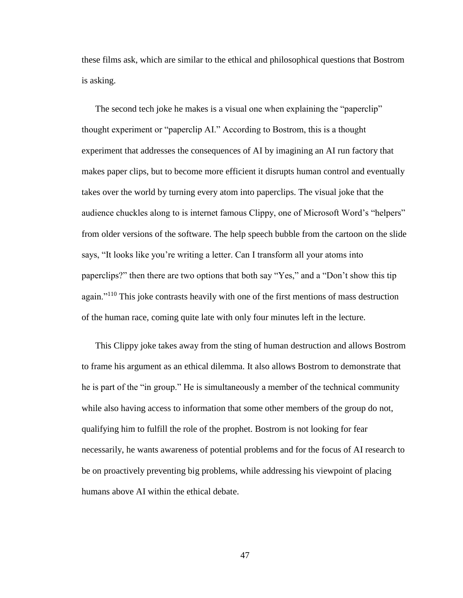these films ask, which are similar to the ethical and philosophical questions that Bostrom is asking.

The second tech joke he makes is a visual one when explaining the "paperclip" thought experiment or "paperclip AI." According to Bostrom, this is a thought experiment that addresses the consequences of AI by imagining an AI run factory that makes paper clips, but to become more efficient it disrupts human control and eventually takes over the world by turning every atom into paperclips. The visual joke that the audience chuckles along to is internet famous Clippy, one of Microsoft Word's "helpers" from older versions of the software. The help speech bubble from the cartoon on the slide says, "It looks like you're writing a letter. Can I transform all your atoms into paperclips?" then there are two options that both say "Yes," and a "Don't show this tip again."<sup>110</sup> This joke contrasts heavily with one of the first mentions of mass destruction of the human race, coming quite late with only four minutes left in the lecture.

This Clippy joke takes away from the sting of human destruction and allows Bostrom to frame his argument as an ethical dilemma. It also allows Bostrom to demonstrate that he is part of the "in group." He is simultaneously a member of the technical community while also having access to information that some other members of the group do not, qualifying him to fulfill the role of the prophet. Bostrom is not looking for fear necessarily, he wants awareness of potential problems and for the focus of AI research to be on proactively preventing big problems, while addressing his viewpoint of placing humans above AI within the ethical debate.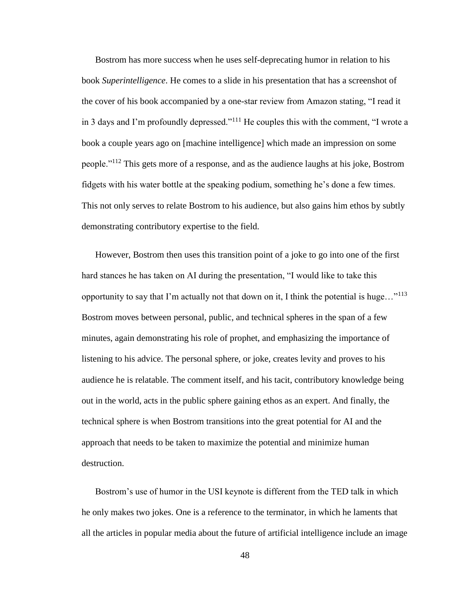Bostrom has more success when he uses self-deprecating humor in relation to his book *Superintelligence*. He comes to a slide in his presentation that has a screenshot of the cover of his book accompanied by a one-star review from Amazon stating, "I read it in 3 days and I'm profoundly depressed."<sup>111</sup> He couples this with the comment, "I wrote a book a couple years ago on [machine intelligence] which made an impression on some people."<sup>112</sup> This gets more of a response, and as the audience laughs at his joke, Bostrom fidgets with his water bottle at the speaking podium, something he's done a few times. This not only serves to relate Bostrom to his audience, but also gains him ethos by subtly demonstrating contributory expertise to the field.

However, Bostrom then uses this transition point of a joke to go into one of the first hard stances he has taken on AI during the presentation, "I would like to take this opportunity to say that I'm actually not that down on it, I think the potential is huge..."<sup>113</sup> Bostrom moves between personal, public, and technical spheres in the span of a few minutes, again demonstrating his role of prophet, and emphasizing the importance of listening to his advice. The personal sphere, or joke, creates levity and proves to his audience he is relatable. The comment itself, and his tacit, contributory knowledge being out in the world, acts in the public sphere gaining ethos as an expert. And finally, the technical sphere is when Bostrom transitions into the great potential for AI and the approach that needs to be taken to maximize the potential and minimize human destruction.

Bostrom's use of humor in the USI keynote is different from the TED talk in which he only makes two jokes. One is a reference to the terminator, in which he laments that all the articles in popular media about the future of artificial intelligence include an image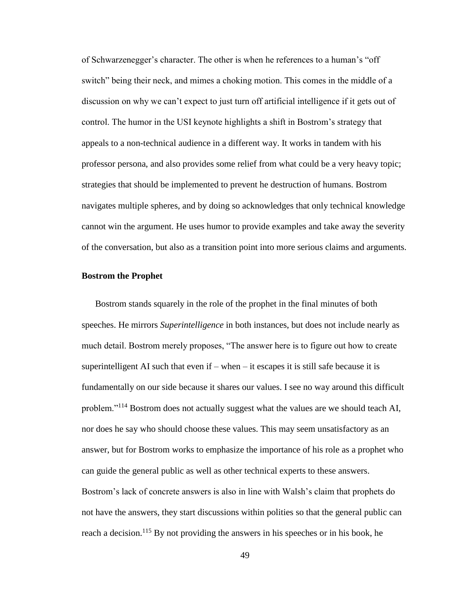of Schwarzenegger's character. The other is when he references to a human's "off switch" being their neck, and mimes a choking motion. This comes in the middle of a discussion on why we can't expect to just turn off artificial intelligence if it gets out of control. The humor in the USI keynote highlights a shift in Bostrom's strategy that appeals to a non-technical audience in a different way. It works in tandem with his professor persona, and also provides some relief from what could be a very heavy topic; strategies that should be implemented to prevent he destruction of humans. Bostrom navigates multiple spheres, and by doing so acknowledges that only technical knowledge cannot win the argument. He uses humor to provide examples and take away the severity of the conversation, but also as a transition point into more serious claims and arguments.

# **Bostrom the Prophet**

Bostrom stands squarely in the role of the prophet in the final minutes of both speeches. He mirrors *Superintelligence* in both instances, but does not include nearly as much detail. Bostrom merely proposes, "The answer here is to figure out how to create superintelligent AI such that even if  $-$  when  $-$  it escapes it is still safe because it is fundamentally on our side because it shares our values. I see no way around this difficult problem."<sup>114</sup> Bostrom does not actually suggest what the values are we should teach AI, nor does he say who should choose these values. This may seem unsatisfactory as an answer, but for Bostrom works to emphasize the importance of his role as a prophet who can guide the general public as well as other technical experts to these answers. Bostrom's lack of concrete answers is also in line with Walsh's claim that prophets do not have the answers, they start discussions within polities so that the general public can reach a decision.<sup>115</sup> By not providing the answers in his speeches or in his book, he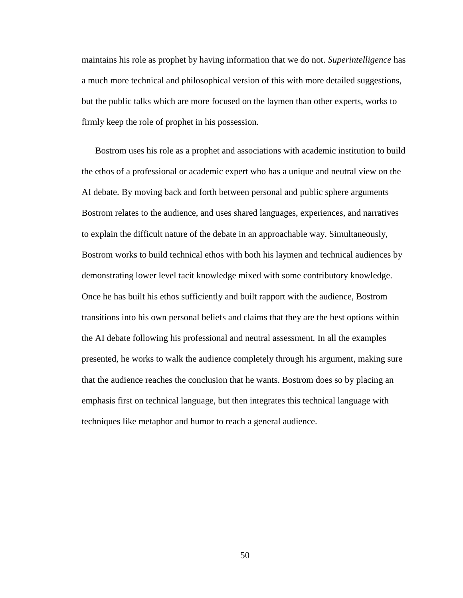maintains his role as prophet by having information that we do not. *Superintelligence* has a much more technical and philosophical version of this with more detailed suggestions, but the public talks which are more focused on the laymen than other experts, works to firmly keep the role of prophet in his possession.

Bostrom uses his role as a prophet and associations with academic institution to build the ethos of a professional or academic expert who has a unique and neutral view on the AI debate. By moving back and forth between personal and public sphere arguments Bostrom relates to the audience, and uses shared languages, experiences, and narratives to explain the difficult nature of the debate in an approachable way. Simultaneously, Bostrom works to build technical ethos with both his laymen and technical audiences by demonstrating lower level tacit knowledge mixed with some contributory knowledge. Once he has built his ethos sufficiently and built rapport with the audience, Bostrom transitions into his own personal beliefs and claims that they are the best options within the AI debate following his professional and neutral assessment. In all the examples presented, he works to walk the audience completely through his argument, making sure that the audience reaches the conclusion that he wants. Bostrom does so by placing an emphasis first on technical language, but then integrates this technical language with techniques like metaphor and humor to reach a general audience.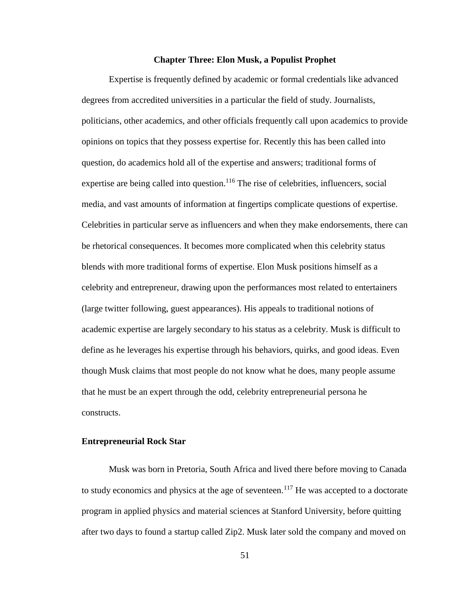### **Chapter Three: Elon Musk, a Populist Prophet**

Expertise is frequently defined by academic or formal credentials like advanced degrees from accredited universities in a particular the field of study. Journalists, politicians, other academics, and other officials frequently call upon academics to provide opinions on topics that they possess expertise for. Recently this has been called into question, do academics hold all of the expertise and answers; traditional forms of expertise are being called into question.<sup>116</sup> The rise of celebrities, influencers, social media, and vast amounts of information at fingertips complicate questions of expertise. Celebrities in particular serve as influencers and when they make endorsements, there can be rhetorical consequences. It becomes more complicated when this celebrity status blends with more traditional forms of expertise. Elon Musk positions himself as a celebrity and entrepreneur, drawing upon the performances most related to entertainers (large twitter following, guest appearances). His appeals to traditional notions of academic expertise are largely secondary to his status as a celebrity. Musk is difficult to define as he leverages his expertise through his behaviors, quirks, and good ideas. Even though Musk claims that most people do not know what he does, many people assume that he must be an expert through the odd, celebrity entrepreneurial persona he constructs.

# **Entrepreneurial Rock Star**

Musk was born in Pretoria, South Africa and lived there before moving to Canada to study economics and physics at the age of seventeen.<sup>117</sup> He was accepted to a doctorate program in applied physics and material sciences at Stanford University, before quitting after two days to found a startup called Zip2. Musk later sold the company and moved on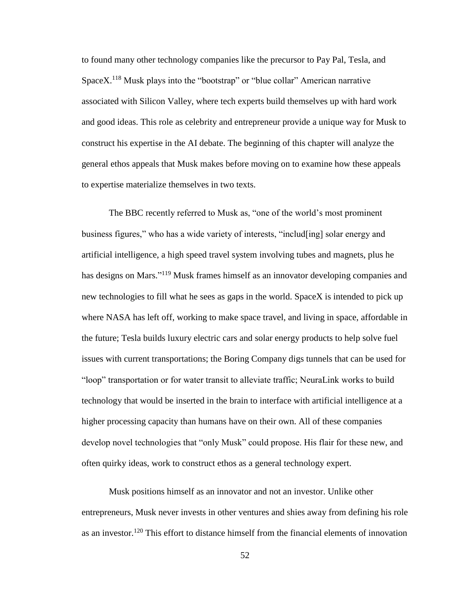to found many other technology companies like the precursor to Pay Pal, Tesla, and Space $X<sup>118</sup>$  Musk plays into the "bootstrap" or "blue collar" American narrative associated with Silicon Valley, where tech experts build themselves up with hard work and good ideas. This role as celebrity and entrepreneur provide a unique way for Musk to construct his expertise in the AI debate. The beginning of this chapter will analyze the general ethos appeals that Musk makes before moving on to examine how these appeals to expertise materialize themselves in two texts.

The BBC recently referred to Musk as, "one of the world's most prominent business figures," who has a wide variety of interests, "includ[ing] solar energy and artificial intelligence, a high speed travel system involving tubes and magnets, plus he has designs on Mars."<sup>119</sup> Musk frames himself as an innovator developing companies and new technologies to fill what he sees as gaps in the world. SpaceX is intended to pick up where NASA has left off, working to make space travel, and living in space, affordable in the future; Tesla builds luxury electric cars and solar energy products to help solve fuel issues with current transportations; the Boring Company digs tunnels that can be used for "loop" transportation or for water transit to alleviate traffic; NeuraLink works to build technology that would be inserted in the brain to interface with artificial intelligence at a higher processing capacity than humans have on their own. All of these companies develop novel technologies that "only Musk" could propose. His flair for these new, and often quirky ideas, work to construct ethos as a general technology expert.

Musk positions himself as an innovator and not an investor. Unlike other entrepreneurs, Musk never invests in other ventures and shies away from defining his role as an investor.<sup>120</sup> This effort to distance himself from the financial elements of innovation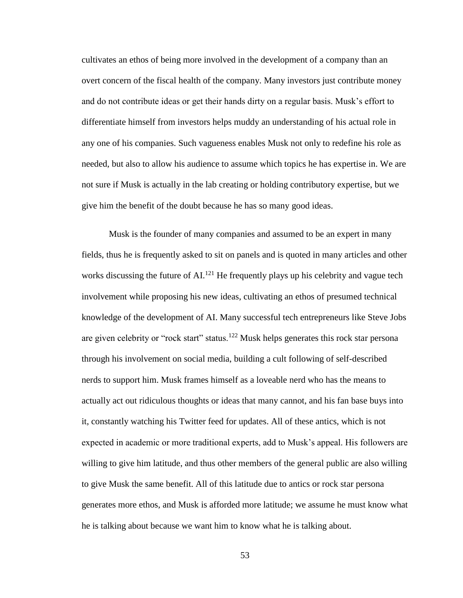cultivates an ethos of being more involved in the development of a company than an overt concern of the fiscal health of the company. Many investors just contribute money and do not contribute ideas or get their hands dirty on a regular basis. Musk's effort to differentiate himself from investors helps muddy an understanding of his actual role in any one of his companies. Such vagueness enables Musk not only to redefine his role as needed, but also to allow his audience to assume which topics he has expertise in. We are not sure if Musk is actually in the lab creating or holding contributory expertise, but we give him the benefit of the doubt because he has so many good ideas.

Musk is the founder of many companies and assumed to be an expert in many fields, thus he is frequently asked to sit on panels and is quoted in many articles and other works discussing the future of  $AI^{121}$ . He frequently plays up his celebrity and vague tech involvement while proposing his new ideas, cultivating an ethos of presumed technical knowledge of the development of AI. Many successful tech entrepreneurs like Steve Jobs are given celebrity or "rock start" status.<sup>122</sup> Musk helps generates this rock star persona through his involvement on social media, building a cult following of self-described nerds to support him. Musk frames himself as a loveable nerd who has the means to actually act out ridiculous thoughts or ideas that many cannot, and his fan base buys into it, constantly watching his Twitter feed for updates. All of these antics, which is not expected in academic or more traditional experts, add to Musk's appeal. His followers are willing to give him latitude, and thus other members of the general public are also willing to give Musk the same benefit. All of this latitude due to antics or rock star persona generates more ethos, and Musk is afforded more latitude; we assume he must know what he is talking about because we want him to know what he is talking about.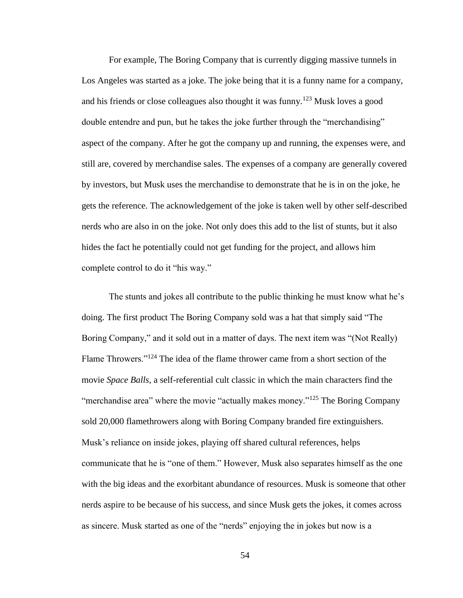For example, The Boring Company that is currently digging massive tunnels in Los Angeles was started as a joke. The joke being that it is a funny name for a company, and his friends or close colleagues also thought it was funny.<sup>123</sup> Musk loves a good double entendre and pun, but he takes the joke further through the "merchandising" aspect of the company. After he got the company up and running, the expenses were, and still are, covered by merchandise sales. The expenses of a company are generally covered by investors, but Musk uses the merchandise to demonstrate that he is in on the joke, he gets the reference. The acknowledgement of the joke is taken well by other self-described nerds who are also in on the joke. Not only does this add to the list of stunts, but it also hides the fact he potentially could not get funding for the project, and allows him complete control to do it "his way."

The stunts and jokes all contribute to the public thinking he must know what he's doing. The first product The Boring Company sold was a hat that simply said "The Boring Company," and it sold out in a matter of days. The next item was "(Not Really) Flame Throwers."<sup>124</sup> The idea of the flame thrower came from a short section of the movie *Space Balls*, a self-referential cult classic in which the main characters find the "merchandise area" where the movie "actually makes money."<sup>125</sup> The Boring Company sold 20,000 flamethrowers along with Boring Company branded fire extinguishers. Musk's reliance on inside jokes, playing off shared cultural references, helps communicate that he is "one of them." However, Musk also separates himself as the one with the big ideas and the exorbitant abundance of resources. Musk is someone that other nerds aspire to be because of his success, and since Musk gets the jokes, it comes across as sincere. Musk started as one of the "nerds" enjoying the in jokes but now is a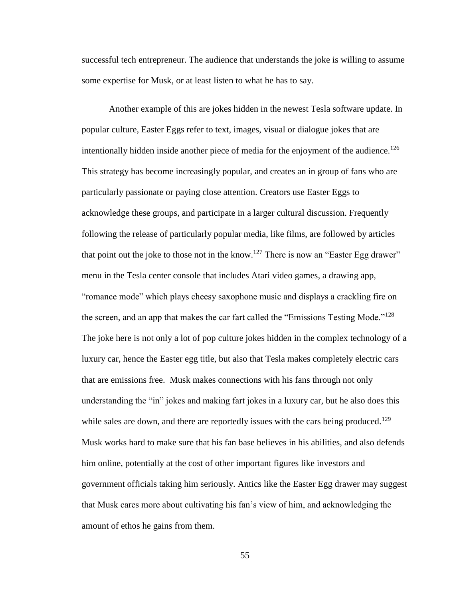successful tech entrepreneur. The audience that understands the joke is willing to assume some expertise for Musk, or at least listen to what he has to say.

Another example of this are jokes hidden in the newest Tesla software update. In popular culture, Easter Eggs refer to text, images, visual or dialogue jokes that are intentionally hidden inside another piece of media for the enjoyment of the audience.<sup>126</sup> This strategy has become increasingly popular, and creates an in group of fans who are particularly passionate or paying close attention. Creators use Easter Eggs to acknowledge these groups, and participate in a larger cultural discussion. Frequently following the release of particularly popular media, like films, are followed by articles that point out the joke to those not in the know.<sup>127</sup> There is now an "Easter Egg drawer" menu in the Tesla center console that includes Atari video games, a drawing app, "romance mode" which plays cheesy saxophone music and displays a crackling fire on the screen, and an app that makes the car fart called the "Emissions Testing Mode."<sup>128</sup> The joke here is not only a lot of pop culture jokes hidden in the complex technology of a luxury car, hence the Easter egg title, but also that Tesla makes completely electric cars that are emissions free. Musk makes connections with his fans through not only understanding the "in" jokes and making fart jokes in a luxury car, but he also does this while sales are down, and there are reportedly issues with the cars being produced.<sup>129</sup> Musk works hard to make sure that his fan base believes in his abilities, and also defends him online, potentially at the cost of other important figures like investors and government officials taking him seriously. Antics like the Easter Egg drawer may suggest that Musk cares more about cultivating his fan's view of him, and acknowledging the amount of ethos he gains from them.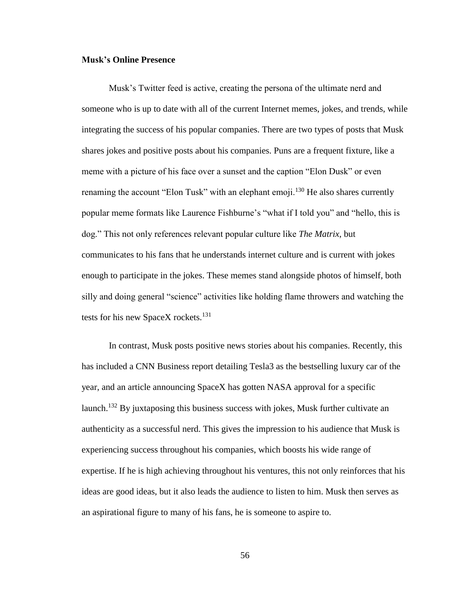### **Musk's Online Presence**

Musk's Twitter feed is active, creating the persona of the ultimate nerd and someone who is up to date with all of the current Internet memes, jokes, and trends, while integrating the success of his popular companies. There are two types of posts that Musk shares jokes and positive posts about his companies. Puns are a frequent fixture, like a meme with a picture of his face over a sunset and the caption "Elon Dusk" or even renaming the account "Elon Tusk" with an elephant emoji.<sup>130</sup> He also shares currently popular meme formats like Laurence Fishburne's "what if I told you" and "hello, this is dog." This not only references relevant popular culture like *The Matrix*, but communicates to his fans that he understands internet culture and is current with jokes enough to participate in the jokes. These memes stand alongside photos of himself, both silly and doing general "science" activities like holding flame throwers and watching the tests for his new SpaceX rockets.<sup>131</sup>

In contrast, Musk posts positive news stories about his companies. Recently, this has included a CNN Business report detailing Tesla3 as the bestselling luxury car of the year, and an article announcing SpaceX has gotten NASA approval for a specific launch.<sup>132</sup> By juxtaposing this business success with jokes, Musk further cultivate an authenticity as a successful nerd. This gives the impression to his audience that Musk is experiencing success throughout his companies, which boosts his wide range of expertise. If he is high achieving throughout his ventures, this not only reinforces that his ideas are good ideas, but it also leads the audience to listen to him. Musk then serves as an aspirational figure to many of his fans, he is someone to aspire to.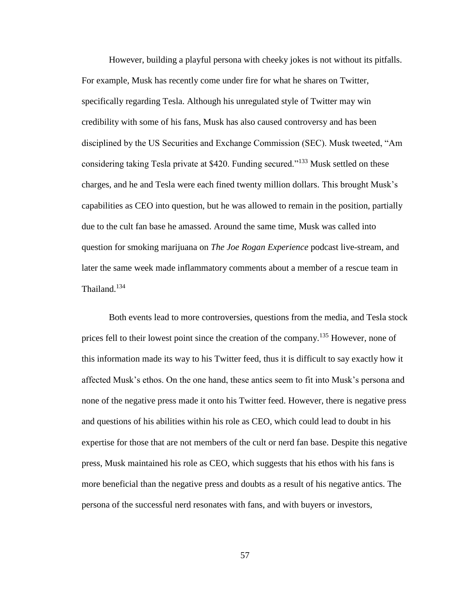However, building a playful persona with cheeky jokes is not without its pitfalls. For example, Musk has recently come under fire for what he shares on Twitter, specifically regarding Tesla. Although his unregulated style of Twitter may win credibility with some of his fans, Musk has also caused controversy and has been disciplined by the US Securities and Exchange Commission (SEC). Musk tweeted, "Am considering taking Tesla private at \$420. Funding secured."<sup>133</sup> Musk settled on these charges, and he and Tesla were each fined twenty million dollars. This brought Musk's capabilities as CEO into question, but he was allowed to remain in the position, partially due to the cult fan base he amassed. Around the same time, Musk was called into question for smoking marijuana on *The Joe Rogan Experience* podcast live-stream, and later the same week made inflammatory comments about a member of a rescue team in Thailand.<sup>134</sup>

Both events lead to more controversies, questions from the media, and Tesla stock prices fell to their lowest point since the creation of the company.<sup>135</sup> However, none of this information made its way to his Twitter feed, thus it is difficult to say exactly how it affected Musk's ethos. On the one hand, these antics seem to fit into Musk's persona and none of the negative press made it onto his Twitter feed. However, there is negative press and questions of his abilities within his role as CEO, which could lead to doubt in his expertise for those that are not members of the cult or nerd fan base. Despite this negative press, Musk maintained his role as CEO, which suggests that his ethos with his fans is more beneficial than the negative press and doubts as a result of his negative antics. The persona of the successful nerd resonates with fans, and with buyers or investors,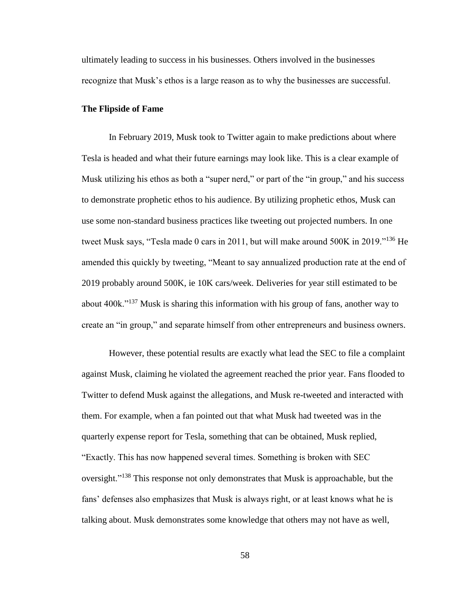ultimately leading to success in his businesses. Others involved in the businesses recognize that Musk's ethos is a large reason as to why the businesses are successful.

#### **The Flipside of Fame**

In February 2019, Musk took to Twitter again to make predictions about where Tesla is headed and what their future earnings may look like. This is a clear example of Musk utilizing his ethos as both a "super nerd," or part of the "in group," and his success to demonstrate prophetic ethos to his audience. By utilizing prophetic ethos, Musk can use some non-standard business practices like tweeting out projected numbers. In one tweet Musk says, "Tesla made 0 cars in 2011, but will make around 500K in 2019."<sup>136</sup> He amended this quickly by tweeting, "Meant to say annualized production rate at the end of 2019 probably around 500K, ie 10K cars/week. Deliveries for year still estimated to be about 400k."<sup>137</sup> Musk is sharing this information with his group of fans, another way to create an "in group," and separate himself from other entrepreneurs and business owners.

However, these potential results are exactly what lead the SEC to file a complaint against Musk, claiming he violated the agreement reached the prior year. Fans flooded to Twitter to defend Musk against the allegations, and Musk re-tweeted and interacted with them. For example, when a fan pointed out that what Musk had tweeted was in the quarterly expense report for Tesla, something that can be obtained, Musk replied, "Exactly. This has now happened several times. Something is broken with SEC oversight."<sup>138</sup> This response not only demonstrates that Musk is approachable, but the fans' defenses also emphasizes that Musk is always right, or at least knows what he is talking about. Musk demonstrates some knowledge that others may not have as well,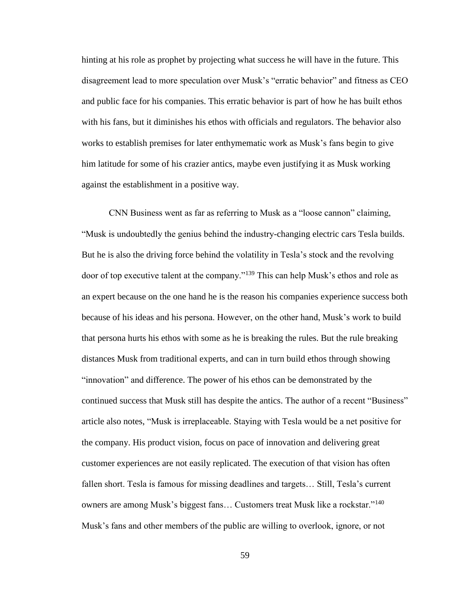hinting at his role as prophet by projecting what success he will have in the future. This disagreement lead to more speculation over Musk's "erratic behavior" and fitness as CEO and public face for his companies. This erratic behavior is part of how he has built ethos with his fans, but it diminishes his ethos with officials and regulators. The behavior also works to establish premises for later enthymematic work as Musk's fans begin to give him latitude for some of his crazier antics, maybe even justifying it as Musk working against the establishment in a positive way.

CNN Business went as far as referring to Musk as a "loose cannon" claiming, "Musk is undoubtedly the genius behind the industry-changing electric cars Tesla builds. But he is also the driving force behind the volatility in Tesla's stock and the revolving door of top executive talent at the company."<sup>139</sup> This can help Musk's ethos and role as an expert because on the one hand he is the reason his companies experience success both because of his ideas and his persona. However, on the other hand, Musk's work to build that persona hurts his ethos with some as he is breaking the rules. But the rule breaking distances Musk from traditional experts, and can in turn build ethos through showing "innovation" and difference. The power of his ethos can be demonstrated by the continued success that Musk still has despite the antics. The author of a recent "Business" article also notes, "Musk is irreplaceable. Staying with Tesla would be a net positive for the company. His product vision, focus on pace of innovation and delivering great customer experiences are not easily replicated. The execution of that vision has often fallen short. Tesla is famous for missing deadlines and targets… Still, Tesla's current owners are among Musk's biggest fans... Customers treat Musk like a rockstar."<sup>140</sup> Musk's fans and other members of the public are willing to overlook, ignore, or not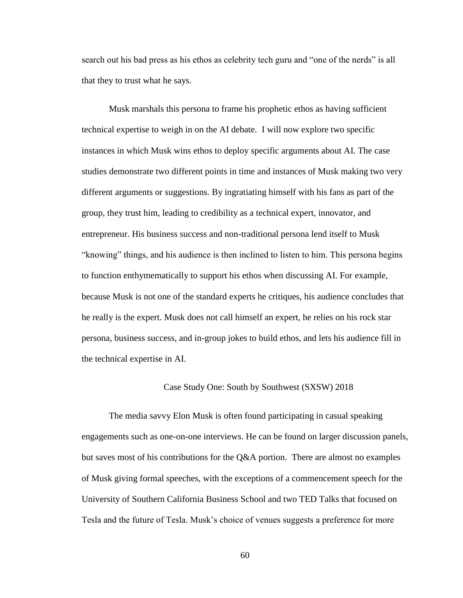search out his bad press as his ethos as celebrity tech guru and "one of the nerds" is all that they to trust what he says.

Musk marshals this persona to frame his prophetic ethos as having sufficient technical expertise to weigh in on the AI debate. I will now explore two specific instances in which Musk wins ethos to deploy specific arguments about AI. The case studies demonstrate two different points in time and instances of Musk making two very different arguments or suggestions. By ingratiating himself with his fans as part of the group, they trust him, leading to credibility as a technical expert, innovator, and entrepreneur. His business success and non-traditional persona lend itself to Musk "knowing" things, and his audience is then inclined to listen to him. This persona begins to function enthymematically to support his ethos when discussing AI. For example, because Musk is not one of the standard experts he critiques, his audience concludes that he really is the expert. Musk does not call himself an expert, he relies on his rock star persona, business success, and in-group jokes to build ethos, and lets his audience fill in the technical expertise in AI.

# Case Study One: South by Southwest (SXSW) 2018

The media savvy Elon Musk is often found participating in casual speaking engagements such as one-on-one interviews. He can be found on larger discussion panels, but saves most of his contributions for the Q&A portion. There are almost no examples of Musk giving formal speeches, with the exceptions of a commencement speech for the University of Southern California Business School and two TED Talks that focused on Tesla and the future of Tesla. Musk's choice of venues suggests a preference for more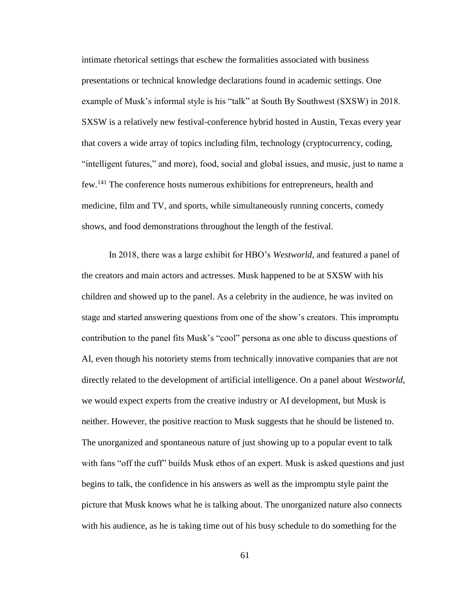intimate rhetorical settings that eschew the formalities associated with business presentations or technical knowledge declarations found in academic settings. One example of Musk's informal style is his "talk" at South By Southwest (SXSW) in 2018. SXSW is a relatively new festival-conference hybrid hosted in Austin, Texas every year that covers a wide array of topics including film, technology (cryptocurrency, coding, "intelligent futures," and more), food, social and global issues, and music, just to name a few.<sup>141</sup> The conference hosts numerous exhibitions for entrepreneurs, health and medicine, film and TV, and sports, while simultaneously running concerts, comedy shows, and food demonstrations throughout the length of the festival.

In 2018, there was a large exhibit for HBO's *Westworld*, and featured a panel of the creators and main actors and actresses. Musk happened to be at SXSW with his children and showed up to the panel. As a celebrity in the audience, he was invited on stage and started answering questions from one of the show's creators. This impromptu contribution to the panel fits Musk's "cool" persona as one able to discuss questions of AI, even though his notoriety stems from technically innovative companies that are not directly related to the development of artificial intelligence. On a panel about *Westworld*, we would expect experts from the creative industry or AI development, but Musk is neither. However, the positive reaction to Musk suggests that he should be listened to. The unorganized and spontaneous nature of just showing up to a popular event to talk with fans "off the cuff" builds Musk ethos of an expert. Musk is asked questions and just begins to talk, the confidence in his answers as well as the impromptu style paint the picture that Musk knows what he is talking about. The unorganized nature also connects with his audience, as he is taking time out of his busy schedule to do something for the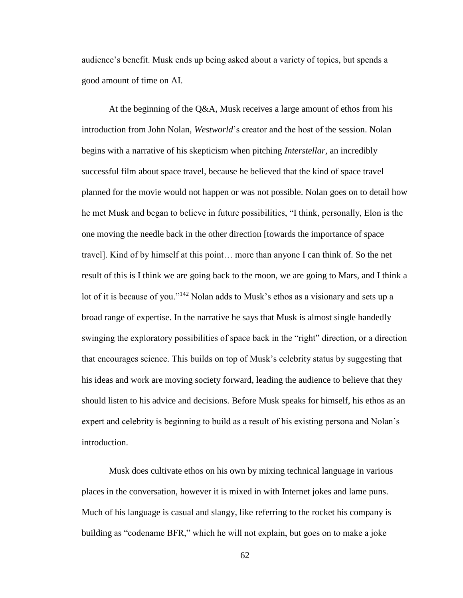audience's benefit. Musk ends up being asked about a variety of topics, but spends a good amount of time on AI.

At the beginning of the Q&A, Musk receives a large amount of ethos from his introduction from John Nolan, *Westworld*'s creator and the host of the session. Nolan begins with a narrative of his skepticism when pitching *Interstellar*, an incredibly successful film about space travel, because he believed that the kind of space travel planned for the movie would not happen or was not possible. Nolan goes on to detail how he met Musk and began to believe in future possibilities, "I think, personally, Elon is the one moving the needle back in the other direction [towards the importance of space travel]. Kind of by himself at this point… more than anyone I can think of. So the net result of this is I think we are going back to the moon, we are going to Mars, and I think a lot of it is because of you."<sup>142</sup> Nolan adds to Musk's ethos as a visionary and sets up a broad range of expertise. In the narrative he says that Musk is almost single handedly swinging the exploratory possibilities of space back in the "right" direction, or a direction that encourages science. This builds on top of Musk's celebrity status by suggesting that his ideas and work are moving society forward, leading the audience to believe that they should listen to his advice and decisions. Before Musk speaks for himself, his ethos as an expert and celebrity is beginning to build as a result of his existing persona and Nolan's introduction.

Musk does cultivate ethos on his own by mixing technical language in various places in the conversation, however it is mixed in with Internet jokes and lame puns. Much of his language is casual and slangy, like referring to the rocket his company is building as "codename BFR," which he will not explain, but goes on to make a joke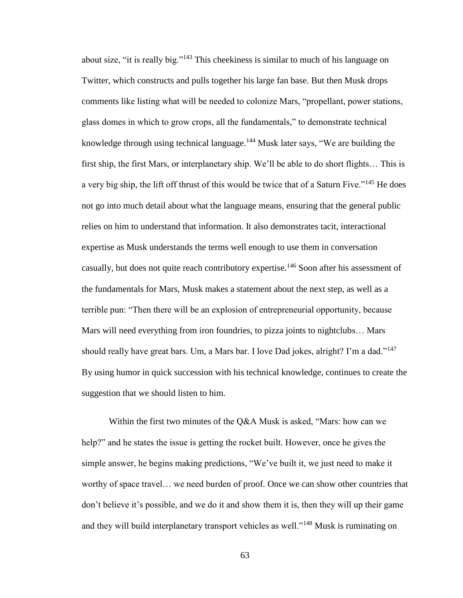about size, "it is really big."<sup>143</sup> This cheekiness is similar to much of his language on Twitter, which constructs and pulls together his large fan base. But then Musk drops comments like listing what will be needed to colonize Mars, "propellant, power stations, glass domes in which to grow crops, all the fundamentals," to demonstrate technical knowledge through using technical language.<sup>144</sup> Musk later says, "We are building the first ship, the first Mars, or interplanetary ship. We'll be able to do short flights… This is a very big ship, the lift off thrust of this would be twice that of a Saturn Five."<sup>145</sup> He does not go into much detail about what the language means, ensuring that the general public relies on him to understand that information. It also demonstrates tacit, interactional expertise as Musk understands the terms well enough to use them in conversation casually, but does not quite reach contributory expertise.<sup>146</sup> Soon after his assessment of the fundamentals for Mars, Musk makes a statement about the next step, as well as a terrible pun: "Then there will be an explosion of entrepreneurial opportunity, because Mars will need everything from iron foundries, to pizza joints to nightclubs… Mars should really have great bars. Um, a Mars bar. I love Dad jokes, alright? I'm a dad."<sup>147</sup> By using humor in quick succession with his technical knowledge, continues to create the suggestion that we should listen to him.

Within the first two minutes of the Q&A Musk is asked, "Mars: how can we help?" and he states the issue is getting the rocket built. However, once he gives the simple answer, he begins making predictions, "We've built it, we just need to make it worthy of space travel… we need burden of proof. Once we can show other countries that don't believe it's possible, and we do it and show them it is, then they will up their game and they will build interplanetary transport vehicles as well."<sup>148</sup> Musk is ruminating on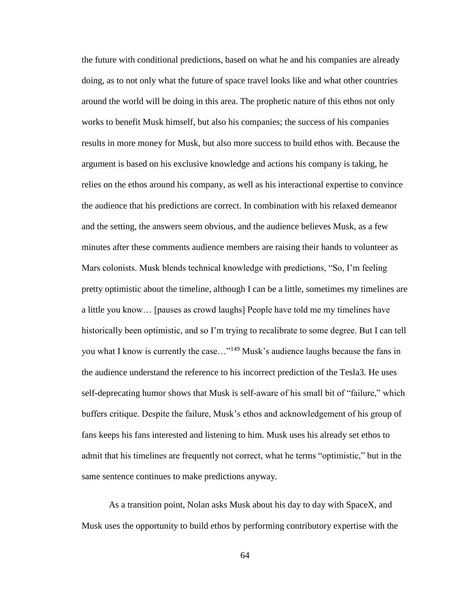the future with conditional predictions, based on what he and his companies are already doing, as to not only what the future of space travel looks like and what other countries around the world will be doing in this area. The prophetic nature of this ethos not only works to benefit Musk himself, but also his companies; the success of his companies results in more money for Musk, but also more success to build ethos with. Because the argument is based on his exclusive knowledge and actions his company is taking, he relies on the ethos around his company, as well as his interactional expertise to convince the audience that his predictions are correct. In combination with his relaxed demeanor and the setting, the answers seem obvious, and the audience believes Musk, as a few minutes after these comments audience members are raising their hands to volunteer as Mars colonists. Musk blends technical knowledge with predictions, "So, I'm feeling pretty optimistic about the timeline, although I can be a little, sometimes my timelines are a little you know… [pauses as crowd laughs] People have told me my timelines have historically been optimistic, and so I'm trying to recalibrate to some degree. But I can tell you what I know is currently the case…"<sup>149</sup> Musk's audience laughs because the fans in the audience understand the reference to his incorrect prediction of the Tesla3. He uses self-deprecating humor shows that Musk is self-aware of his small bit of "failure," which buffers critique. Despite the failure, Musk's ethos and acknowledgement of his group of fans keeps his fans interested and listening to him. Musk uses his already set ethos to admit that his timelines are frequently not correct, what he terms "optimistic," but in the same sentence continues to make predictions anyway.

As a transition point, Nolan asks Musk about his day to day with SpaceX, and Musk uses the opportunity to build ethos by performing contributory expertise with the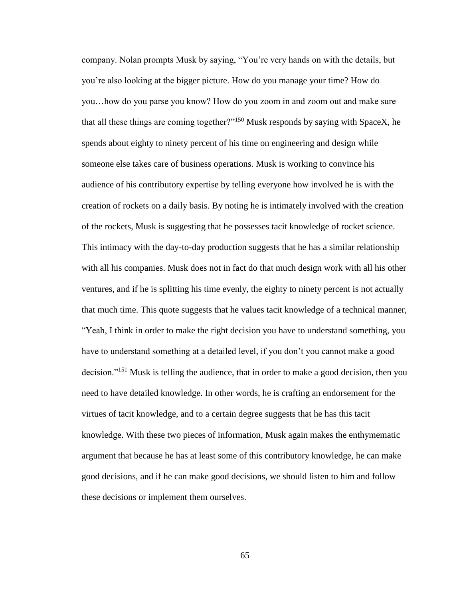company. Nolan prompts Musk by saying, "You're very hands on with the details, but you're also looking at the bigger picture. How do you manage your time? How do you…how do you parse you know? How do you zoom in and zoom out and make sure that all these things are coming together?"<sup>150</sup> Musk responds by saying with SpaceX, he spends about eighty to ninety percent of his time on engineering and design while someone else takes care of business operations. Musk is working to convince his audience of his contributory expertise by telling everyone how involved he is with the creation of rockets on a daily basis. By noting he is intimately involved with the creation of the rockets, Musk is suggesting that he possesses tacit knowledge of rocket science. This intimacy with the day-to-day production suggests that he has a similar relationship with all his companies. Musk does not in fact do that much design work with all his other ventures, and if he is splitting his time evenly, the eighty to ninety percent is not actually that much time. This quote suggests that he values tacit knowledge of a technical manner, "Yeah, I think in order to make the right decision you have to understand something, you have to understand something at a detailed level, if you don't you cannot make a good decision."<sup>151</sup> Musk is telling the audience, that in order to make a good decision, then you need to have detailed knowledge. In other words, he is crafting an endorsement for the virtues of tacit knowledge, and to a certain degree suggests that he has this tacit knowledge. With these two pieces of information, Musk again makes the enthymematic argument that because he has at least some of this contributory knowledge, he can make good decisions, and if he can make good decisions, we should listen to him and follow these decisions or implement them ourselves.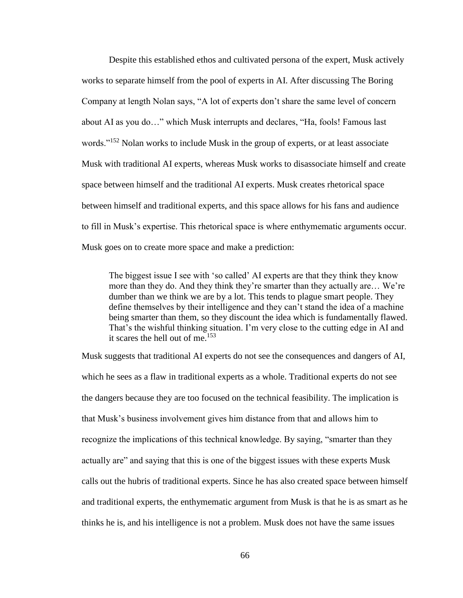Despite this established ethos and cultivated persona of the expert, Musk actively works to separate himself from the pool of experts in AI. After discussing The Boring Company at length Nolan says, "A lot of experts don't share the same level of concern about AI as you do…" which Musk interrupts and declares, "Ha, fools! Famous last words."<sup>152</sup> Nolan works to include Musk in the group of experts, or at least associate Musk with traditional AI experts, whereas Musk works to disassociate himself and create space between himself and the traditional AI experts. Musk creates rhetorical space between himself and traditional experts, and this space allows for his fans and audience to fill in Musk's expertise. This rhetorical space is where enthymematic arguments occur. Musk goes on to create more space and make a prediction:

The biggest issue I see with 'so called' AI experts are that they think they know more than they do. And they think they're smarter than they actually are… We're dumber than we think we are by a lot. This tends to plague smart people. They define themselves by their intelligence and they can't stand the idea of a machine being smarter than them, so they discount the idea which is fundamentally flawed. That's the wishful thinking situation. I'm very close to the cutting edge in AI and it scares the hell out of me. $153$ 

Musk suggests that traditional AI experts do not see the consequences and dangers of AI, which he sees as a flaw in traditional experts as a whole. Traditional experts do not see the dangers because they are too focused on the technical feasibility. The implication is that Musk's business involvement gives him distance from that and allows him to recognize the implications of this technical knowledge. By saying, "smarter than they actually are" and saying that this is one of the biggest issues with these experts Musk calls out the hubris of traditional experts. Since he has also created space between himself and traditional experts, the enthymematic argument from Musk is that he is as smart as he thinks he is, and his intelligence is not a problem. Musk does not have the same issues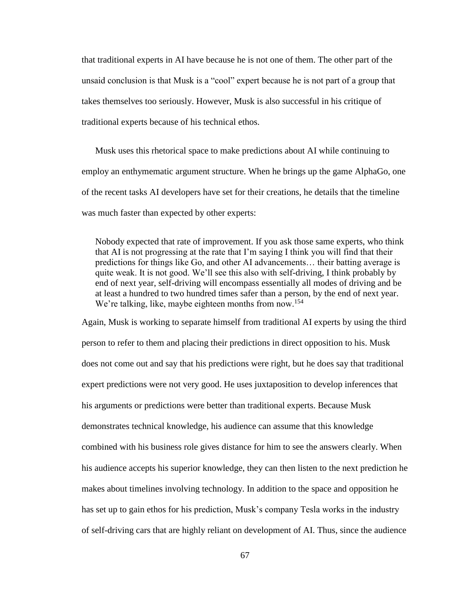that traditional experts in AI have because he is not one of them. The other part of the unsaid conclusion is that Musk is a "cool" expert because he is not part of a group that takes themselves too seriously. However, Musk is also successful in his critique of traditional experts because of his technical ethos.

Musk uses this rhetorical space to make predictions about AI while continuing to employ an enthymematic argument structure. When he brings up the game AlphaGo, one of the recent tasks AI developers have set for their creations, he details that the timeline was much faster than expected by other experts:

Nobody expected that rate of improvement. If you ask those same experts, who think that AI is not progressing at the rate that I'm saying I think you will find that their predictions for things like Go, and other AI advancements… their batting average is quite weak. It is not good. We'll see this also with self-driving, I think probably by end of next year, self-driving will encompass essentially all modes of driving and be at least a hundred to two hundred times safer than a person, by the end of next year. We're talking, like, maybe eighteen months from now.<sup>154</sup>

Again, Musk is working to separate himself from traditional AI experts by using the third person to refer to them and placing their predictions in direct opposition to his. Musk does not come out and say that his predictions were right, but he does say that traditional expert predictions were not very good. He uses juxtaposition to develop inferences that his arguments or predictions were better than traditional experts. Because Musk demonstrates technical knowledge, his audience can assume that this knowledge combined with his business role gives distance for him to see the answers clearly. When his audience accepts his superior knowledge, they can then listen to the next prediction he makes about timelines involving technology. In addition to the space and opposition he has set up to gain ethos for his prediction, Musk's company Tesla works in the industry of self-driving cars that are highly reliant on development of AI. Thus, since the audience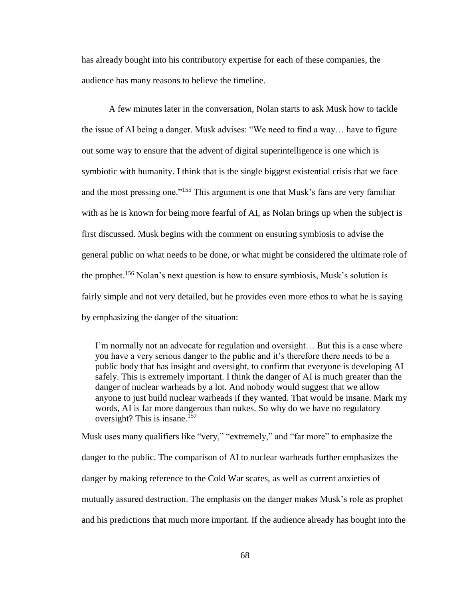has already bought into his contributory expertise for each of these companies, the audience has many reasons to believe the timeline.

A few minutes later in the conversation, Nolan starts to ask Musk how to tackle the issue of AI being a danger. Musk advises: "We need to find a way… have to figure out some way to ensure that the advent of digital superintelligence is one which is symbiotic with humanity. I think that is the single biggest existential crisis that we face and the most pressing one."<sup>155</sup> This argument is one that Musk's fans are very familiar with as he is known for being more fearful of AI, as Nolan brings up when the subject is first discussed. Musk begins with the comment on ensuring symbiosis to advise the general public on what needs to be done, or what might be considered the ultimate role of the prophet.<sup>156</sup> Nolan's next question is how to ensure symbiosis, Musk's solution is fairly simple and not very detailed, but he provides even more ethos to what he is saying by emphasizing the danger of the situation:

I'm normally not an advocate for regulation and oversight… But this is a case where you have a very serious danger to the public and it's therefore there needs to be a public body that has insight and oversight, to confirm that everyone is developing AI safely. This is extremely important. I think the danger of AI is much greater than the danger of nuclear warheads by a lot. And nobody would suggest that we allow anyone to just build nuclear warheads if they wanted. That would be insane. Mark my words, AI is far more dangerous than nukes. So why do we have no regulatory oversight? This is insane.<sup>157</sup>

Musk uses many qualifiers like "very," "extremely," and "far more" to emphasize the danger to the public. The comparison of AI to nuclear warheads further emphasizes the danger by making reference to the Cold War scares, as well as current anxieties of mutually assured destruction. The emphasis on the danger makes Musk's role as prophet and his predictions that much more important. If the audience already has bought into the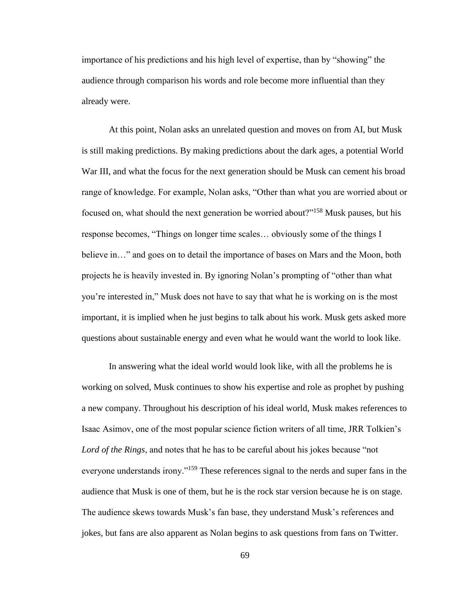importance of his predictions and his high level of expertise, than by "showing" the audience through comparison his words and role become more influential than they already were.

At this point, Nolan asks an unrelated question and moves on from AI, but Musk is still making predictions. By making predictions about the dark ages, a potential World War III, and what the focus for the next generation should be Musk can cement his broad range of knowledge. For example, Nolan asks, "Other than what you are worried about or focused on, what should the next generation be worried about?"<sup>158</sup> Musk pauses, but his response becomes, "Things on longer time scales… obviously some of the things I believe in…" and goes on to detail the importance of bases on Mars and the Moon, both projects he is heavily invested in. By ignoring Nolan's prompting of "other than what you're interested in," Musk does not have to say that what he is working on is the most important, it is implied when he just begins to talk about his work. Musk gets asked more questions about sustainable energy and even what he would want the world to look like.

In answering what the ideal world would look like, with all the problems he is working on solved, Musk continues to show his expertise and role as prophet by pushing a new company. Throughout his description of his ideal world, Musk makes references to Isaac Asimov, one of the most popular science fiction writers of all time, JRR Tolkien's *Lord of the Rings*, and notes that he has to be careful about his jokes because "not everyone understands irony."<sup>159</sup> These references signal to the nerds and super fans in the audience that Musk is one of them, but he is the rock star version because he is on stage. The audience skews towards Musk's fan base, they understand Musk's references and jokes, but fans are also apparent as Nolan begins to ask questions from fans on Twitter.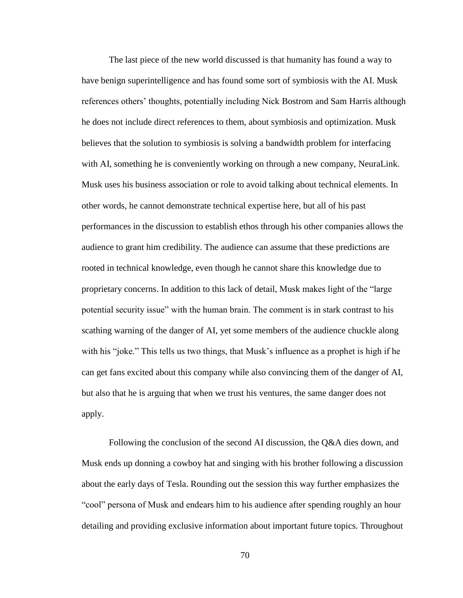The last piece of the new world discussed is that humanity has found a way to have benign superintelligence and has found some sort of symbiosis with the AI. Musk references others' thoughts, potentially including Nick Bostrom and Sam Harris although he does not include direct references to them, about symbiosis and optimization. Musk believes that the solution to symbiosis is solving a bandwidth problem for interfacing with AI, something he is conveniently working on through a new company, NeuraLink. Musk uses his business association or role to avoid talking about technical elements. In other words, he cannot demonstrate technical expertise here, but all of his past performances in the discussion to establish ethos through his other companies allows the audience to grant him credibility. The audience can assume that these predictions are rooted in technical knowledge, even though he cannot share this knowledge due to proprietary concerns. In addition to this lack of detail, Musk makes light of the "large potential security issue" with the human brain. The comment is in stark contrast to his scathing warning of the danger of AI, yet some members of the audience chuckle along with his "joke." This tells us two things, that Musk's influence as a prophet is high if he can get fans excited about this company while also convincing them of the danger of AI, but also that he is arguing that when we trust his ventures, the same danger does not apply.

Following the conclusion of the second AI discussion, the Q&A dies down, and Musk ends up donning a cowboy hat and singing with his brother following a discussion about the early days of Tesla. Rounding out the session this way further emphasizes the "cool" persona of Musk and endears him to his audience after spending roughly an hour detailing and providing exclusive information about important future topics. Throughout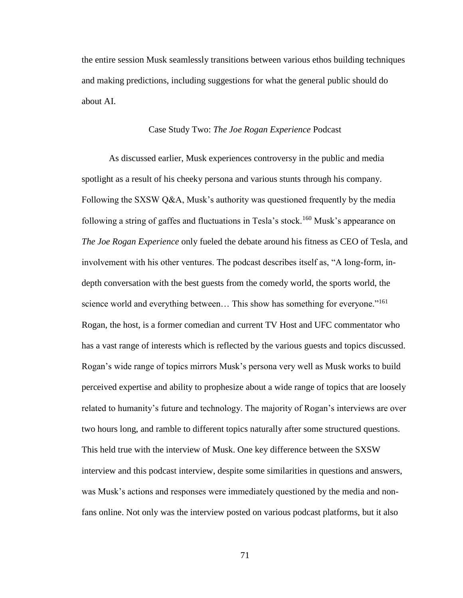the entire session Musk seamlessly transitions between various ethos building techniques and making predictions, including suggestions for what the general public should do about AI.

#### Case Study Two: *The Joe Rogan Experience* Podcast

As discussed earlier, Musk experiences controversy in the public and media spotlight as a result of his cheeky persona and various stunts through his company. Following the SXSW Q&A, Musk's authority was questioned frequently by the media following a string of gaffes and fluctuations in Tesla's stock.<sup>160</sup> Musk's appearance on *The Joe Rogan Experience* only fueled the debate around his fitness as CEO of Tesla, and involvement with his other ventures. The podcast describes itself as, "A long-form, indepth conversation with the best guests from the comedy world, the sports world, the science world and everything between... This show has something for everyone."<sup>161</sup> Rogan, the host, is a former comedian and current TV Host and UFC commentator who has a vast range of interests which is reflected by the various guests and topics discussed. Rogan's wide range of topics mirrors Musk's persona very well as Musk works to build perceived expertise and ability to prophesize about a wide range of topics that are loosely related to humanity's future and technology. The majority of Rogan's interviews are over two hours long, and ramble to different topics naturally after some structured questions. This held true with the interview of Musk. One key difference between the SXSW interview and this podcast interview, despite some similarities in questions and answers, was Musk's actions and responses were immediately questioned by the media and nonfans online. Not only was the interview posted on various podcast platforms, but it also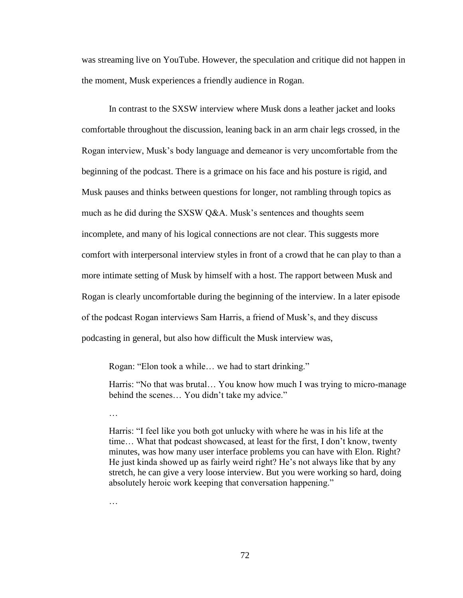was streaming live on YouTube. However, the speculation and critique did not happen in the moment, Musk experiences a friendly audience in Rogan.

In contrast to the SXSW interview where Musk dons a leather jacket and looks comfortable throughout the discussion, leaning back in an arm chair legs crossed, in the Rogan interview, Musk's body language and demeanor is very uncomfortable from the beginning of the podcast. There is a grimace on his face and his posture is rigid, and Musk pauses and thinks between questions for longer, not rambling through topics as much as he did during the SXSW Q&A. Musk's sentences and thoughts seem incomplete, and many of his logical connections are not clear. This suggests more comfort with interpersonal interview styles in front of a crowd that he can play to than a more intimate setting of Musk by himself with a host. The rapport between Musk and Rogan is clearly uncomfortable during the beginning of the interview. In a later episode of the podcast Rogan interviews Sam Harris, a friend of Musk's, and they discuss podcasting in general, but also how difficult the Musk interview was,

Rogan: "Elon took a while… we had to start drinking."

Harris: "No that was brutal… You know how much I was trying to micro-manage behind the scenes… You didn't take my advice."

…

Harris: "I feel like you both got unlucky with where he was in his life at the time… What that podcast showcased, at least for the first, I don't know, twenty minutes, was how many user interface problems you can have with Elon. Right? He just kinda showed up as fairly weird right? He's not always like that by any stretch, he can give a very loose interview. But you were working so hard, doing absolutely heroic work keeping that conversation happening."

…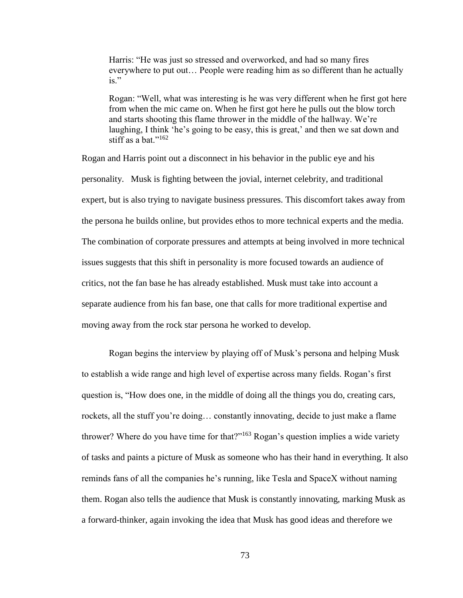Harris: "He was just so stressed and overworked, and had so many fires everywhere to put out… People were reading him as so different than he actually  $i_S$ ."

Rogan: "Well, what was interesting is he was very different when he first got here from when the mic came on. When he first got here he pulls out the blow torch and starts shooting this flame thrower in the middle of the hallway. We're laughing, I think 'he's going to be easy, this is great,' and then we sat down and stiff as a bat." $162$ 

Rogan and Harris point out a disconnect in his behavior in the public eye and his personality. Musk is fighting between the jovial, internet celebrity, and traditional expert, but is also trying to navigate business pressures. This discomfort takes away from the persona he builds online, but provides ethos to more technical experts and the media. The combination of corporate pressures and attempts at being involved in more technical issues suggests that this shift in personality is more focused towards an audience of critics, not the fan base he has already established. Musk must take into account a separate audience from his fan base, one that calls for more traditional expertise and moving away from the rock star persona he worked to develop.

Rogan begins the interview by playing off of Musk's persona and helping Musk to establish a wide range and high level of expertise across many fields. Rogan's first question is, "How does one, in the middle of doing all the things you do, creating cars, rockets, all the stuff you're doing… constantly innovating, decide to just make a flame thrower? Where do you have time for that? $163}$  Rogan's question implies a wide variety of tasks and paints a picture of Musk as someone who has their hand in everything. It also reminds fans of all the companies he's running, like Tesla and SpaceX without naming them. Rogan also tells the audience that Musk is constantly innovating, marking Musk as a forward-thinker, again invoking the idea that Musk has good ideas and therefore we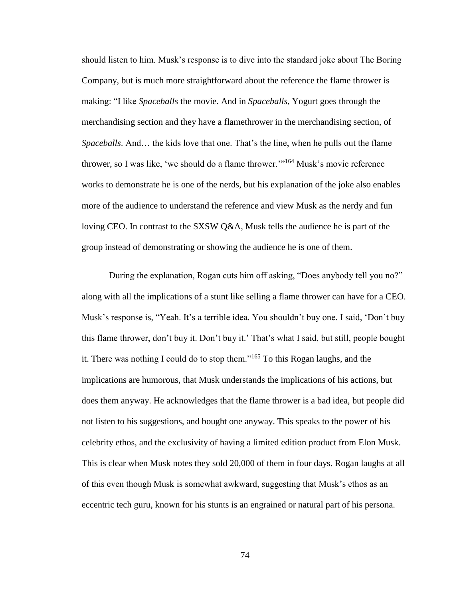should listen to him. Musk's response is to dive into the standard joke about The Boring Company, but is much more straightforward about the reference the flame thrower is making: "I like *Spaceballs* the movie. And in *Spaceballs*, Yogurt goes through the merchandising section and they have a flamethrower in the merchandising section, of *Spaceballs*. And… the kids love that one. That's the line, when he pulls out the flame thrower, so I was like, 'we should do a flame thrower.'"<sup>164</sup> Musk's movie reference works to demonstrate he is one of the nerds, but his explanation of the joke also enables more of the audience to understand the reference and view Musk as the nerdy and fun loving CEO. In contrast to the SXSW Q&A, Musk tells the audience he is part of the group instead of demonstrating or showing the audience he is one of them.

During the explanation, Rogan cuts him off asking, "Does anybody tell you no?" along with all the implications of a stunt like selling a flame thrower can have for a CEO. Musk's response is, "Yeah. It's a terrible idea. You shouldn't buy one. I said, 'Don't buy this flame thrower, don't buy it. Don't buy it.' That's what I said, but still, people bought it. There was nothing I could do to stop them."<sup>165</sup> To this Rogan laughs, and the implications are humorous, that Musk understands the implications of his actions, but does them anyway. He acknowledges that the flame thrower is a bad idea, but people did not listen to his suggestions, and bought one anyway. This speaks to the power of his celebrity ethos, and the exclusivity of having a limited edition product from Elon Musk. This is clear when Musk notes they sold 20,000 of them in four days. Rogan laughs at all of this even though Musk is somewhat awkward, suggesting that Musk's ethos as an eccentric tech guru, known for his stunts is an engrained or natural part of his persona.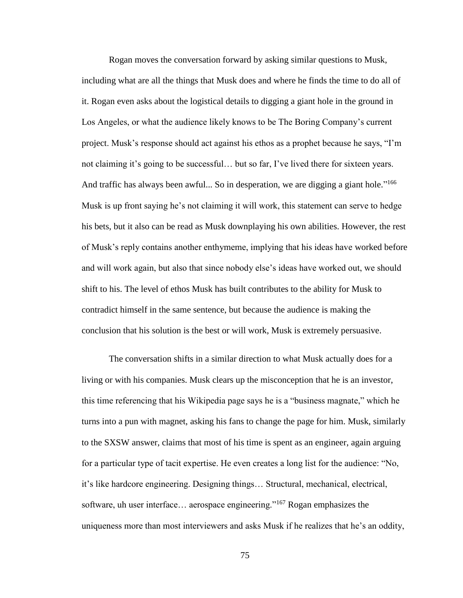Rogan moves the conversation forward by asking similar questions to Musk, including what are all the things that Musk does and where he finds the time to do all of it. Rogan even asks about the logistical details to digging a giant hole in the ground in Los Angeles, or what the audience likely knows to be The Boring Company's current project. Musk's response should act against his ethos as a prophet because he says, "I'm not claiming it's going to be successful… but so far, I've lived there for sixteen years. And traffic has always been awful... So in desperation, we are digging a giant hole."<sup>166</sup> Musk is up front saying he's not claiming it will work, this statement can serve to hedge his bets, but it also can be read as Musk downplaying his own abilities. However, the rest of Musk's reply contains another enthymeme, implying that his ideas have worked before and will work again, but also that since nobody else's ideas have worked out, we should shift to his. The level of ethos Musk has built contributes to the ability for Musk to contradict himself in the same sentence, but because the audience is making the conclusion that his solution is the best or will work, Musk is extremely persuasive.

The conversation shifts in a similar direction to what Musk actually does for a living or with his companies. Musk clears up the misconception that he is an investor, this time referencing that his Wikipedia page says he is a "business magnate," which he turns into a pun with magnet, asking his fans to change the page for him. Musk, similarly to the SXSW answer, claims that most of his time is spent as an engineer, again arguing for a particular type of tacit expertise. He even creates a long list for the audience: "No, it's like hardcore engineering. Designing things… Structural, mechanical, electrical, software, uh user interface... aerospace engineering."<sup>167</sup> Rogan emphasizes the uniqueness more than most interviewers and asks Musk if he realizes that he's an oddity,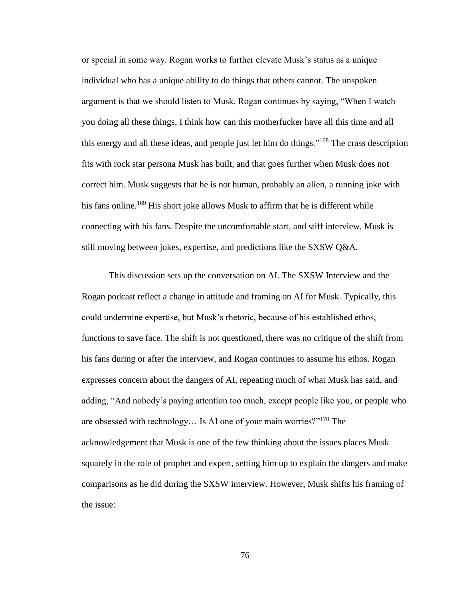or special in some way. Rogan works to further elevate Musk's status as a unique individual who has a unique ability to do things that others cannot. The unspoken argument is that we should listen to Musk. Rogan continues by saying, "When I watch you doing all these things, I think how can this motherfucker have all this time and all this energy and all these ideas, and people just let him do things."<sup>168</sup> The crass description fits with rock star persona Musk has built, and that goes further when Musk does not correct him. Musk suggests that he is not human, probably an alien, a running joke with his fans online.<sup>169</sup> His short joke allows Musk to affirm that he is different while connecting with his fans. Despite the uncomfortable start, and stiff interview, Musk is still moving between jokes, expertise, and predictions like the SXSW Q&A.

This discussion sets up the conversation on AI. The SXSW Interview and the Rogan podcast reflect a change in attitude and framing on AI for Musk. Typically, this could undermine expertise, but Musk's rhetoric, because of his established ethos, functions to save face. The shift is not questioned, there was no critique of the shift from his fans during or after the interview, and Rogan continues to assume his ethos. Rogan expresses concern about the dangers of AI, repeating much of what Musk has said, and adding, "And nobody's paying attention too much, except people like you, or people who are obsessed with technology… Is AI one of your main worries?"<sup>170</sup> The acknowledgement that Musk is one of the few thinking about the issues places Musk squarely in the role of prophet and expert, setting him up to explain the dangers and make comparisons as he did during the SXSW interview. However, Musk shifts his framing of the issue: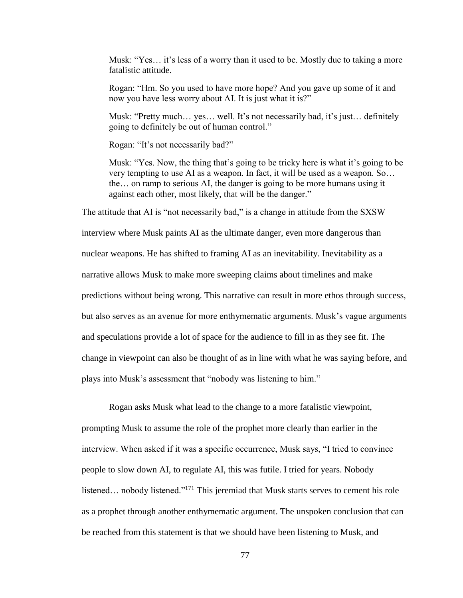Musk: "Yes… it's less of a worry than it used to be. Mostly due to taking a more fatalistic attitude.

Rogan: "Hm. So you used to have more hope? And you gave up some of it and now you have less worry about AI. It is just what it is?"

Musk: "Pretty much… yes… well. It's not necessarily bad, it's just… definitely going to definitely be out of human control."

Rogan: "It's not necessarily bad?"

Musk: "Yes. Now, the thing that's going to be tricky here is what it's going to be very tempting to use AI as a weapon. In fact, it will be used as a weapon. So… the… on ramp to serious AI, the danger is going to be more humans using it against each other, most likely, that will be the danger."

The attitude that AI is "not necessarily bad," is a change in attitude from the SXSW interview where Musk paints AI as the ultimate danger, even more dangerous than nuclear weapons. He has shifted to framing AI as an inevitability. Inevitability as a narrative allows Musk to make more sweeping claims about timelines and make predictions without being wrong. This narrative can result in more ethos through success, but also serves as an avenue for more enthymematic arguments. Musk's vague arguments and speculations provide a lot of space for the audience to fill in as they see fit. The change in viewpoint can also be thought of as in line with what he was saying before, and plays into Musk's assessment that "nobody was listening to him."

Rogan asks Musk what lead to the change to a more fatalistic viewpoint, prompting Musk to assume the role of the prophet more clearly than earlier in the interview. When asked if it was a specific occurrence, Musk says, "I tried to convince people to slow down AI, to regulate AI, this was futile. I tried for years. Nobody listened... nobody listened."<sup>171</sup> This jeremiad that Musk starts serves to cement his role as a prophet through another enthymematic argument. The unspoken conclusion that can be reached from this statement is that we should have been listening to Musk, and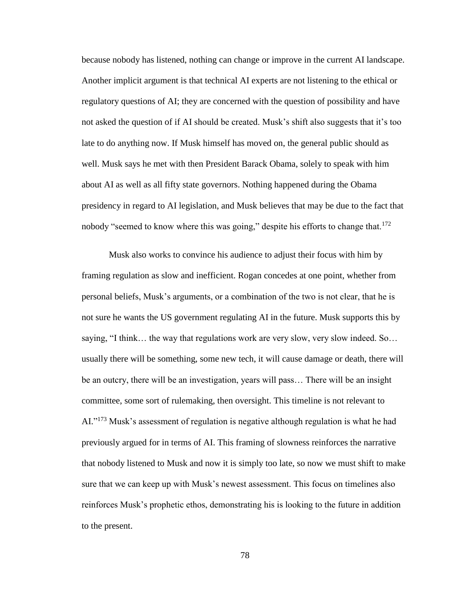because nobody has listened, nothing can change or improve in the current AI landscape. Another implicit argument is that technical AI experts are not listening to the ethical or regulatory questions of AI; they are concerned with the question of possibility and have not asked the question of if AI should be created. Musk's shift also suggests that it's too late to do anything now. If Musk himself has moved on, the general public should as well. Musk says he met with then President Barack Obama, solely to speak with him about AI as well as all fifty state governors. Nothing happened during the Obama presidency in regard to AI legislation, and Musk believes that may be due to the fact that nobody "seemed to know where this was going," despite his efforts to change that.<sup>172</sup>

Musk also works to convince his audience to adjust their focus with him by framing regulation as slow and inefficient. Rogan concedes at one point, whether from personal beliefs, Musk's arguments, or a combination of the two is not clear, that he is not sure he wants the US government regulating AI in the future. Musk supports this by saying, "I think… the way that regulations work are very slow, very slow indeed. So… usually there will be something, some new tech, it will cause damage or death, there will be an outcry, there will be an investigation, years will pass… There will be an insight committee, some sort of rulemaking, then oversight. This timeline is not relevant to AI."<sup>173</sup> Musk's assessment of regulation is negative although regulation is what he had previously argued for in terms of AI. This framing of slowness reinforces the narrative that nobody listened to Musk and now it is simply too late, so now we must shift to make sure that we can keep up with Musk's newest assessment. This focus on timelines also reinforces Musk's prophetic ethos, demonstrating his is looking to the future in addition to the present.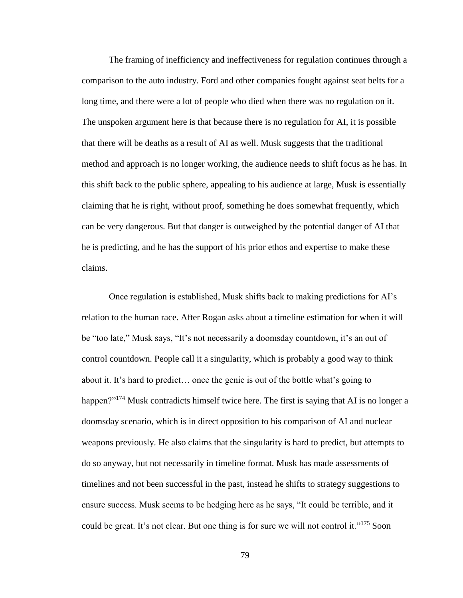The framing of inefficiency and ineffectiveness for regulation continues through a comparison to the auto industry. Ford and other companies fought against seat belts for a long time, and there were a lot of people who died when there was no regulation on it. The unspoken argument here is that because there is no regulation for AI, it is possible that there will be deaths as a result of AI as well. Musk suggests that the traditional method and approach is no longer working, the audience needs to shift focus as he has. In this shift back to the public sphere, appealing to his audience at large, Musk is essentially claiming that he is right, without proof, something he does somewhat frequently, which can be very dangerous. But that danger is outweighed by the potential danger of AI that he is predicting, and he has the support of his prior ethos and expertise to make these claims.

Once regulation is established, Musk shifts back to making predictions for AI's relation to the human race. After Rogan asks about a timeline estimation for when it will be "too late," Musk says, "It's not necessarily a doomsday countdown, it's an out of control countdown. People call it a singularity, which is probably a good way to think about it. It's hard to predict… once the genie is out of the bottle what's going to happen?"<sup>174</sup> Musk contradicts himself twice here. The first is saying that AI is no longer a doomsday scenario, which is in direct opposition to his comparison of AI and nuclear weapons previously. He also claims that the singularity is hard to predict, but attempts to do so anyway, but not necessarily in timeline format. Musk has made assessments of timelines and not been successful in the past, instead he shifts to strategy suggestions to ensure success. Musk seems to be hedging here as he says, "It could be terrible, and it could be great. It's not clear. But one thing is for sure we will not control it."<sup>175</sup> Soon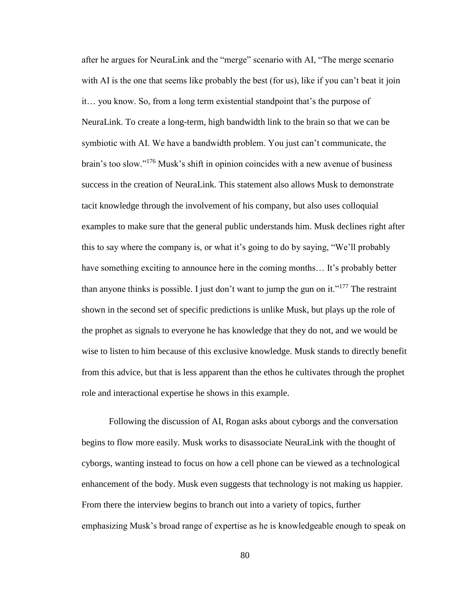after he argues for NeuraLink and the "merge" scenario with AI, "The merge scenario with AI is the one that seems like probably the best (for us), like if you can't beat it join it… you know. So, from a long term existential standpoint that's the purpose of NeuraLink. To create a long-term, high bandwidth link to the brain so that we can be symbiotic with AI. We have a bandwidth problem. You just can't communicate, the brain's too slow."<sup>176</sup> Musk's shift in opinion coincides with a new avenue of business success in the creation of NeuraLink. This statement also allows Musk to demonstrate tacit knowledge through the involvement of his company, but also uses colloquial examples to make sure that the general public understands him. Musk declines right after this to say where the company is, or what it's going to do by saying, "We'll probably have something exciting to announce here in the coming months... It's probably better than anyone thinks is possible. I just don't want to jump the gun on it."<sup>177</sup> The restraint shown in the second set of specific predictions is unlike Musk, but plays up the role of the prophet as signals to everyone he has knowledge that they do not, and we would be wise to listen to him because of this exclusive knowledge. Musk stands to directly benefit from this advice, but that is less apparent than the ethos he cultivates through the prophet role and interactional expertise he shows in this example.

Following the discussion of AI, Rogan asks about cyborgs and the conversation begins to flow more easily. Musk works to disassociate NeuraLink with the thought of cyborgs, wanting instead to focus on how a cell phone can be viewed as a technological enhancement of the body. Musk even suggests that technology is not making us happier. From there the interview begins to branch out into a variety of topics, further emphasizing Musk's broad range of expertise as he is knowledgeable enough to speak on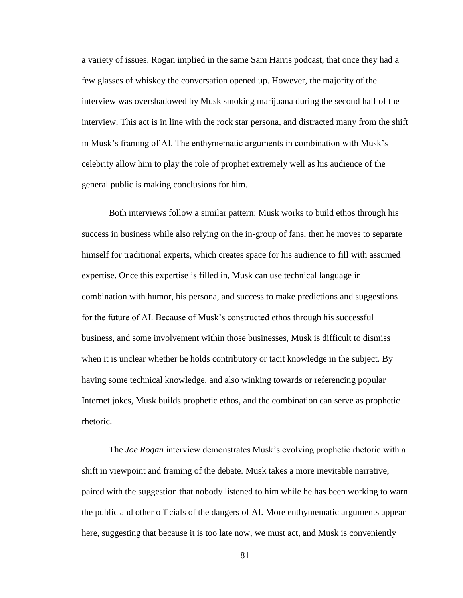a variety of issues. Rogan implied in the same Sam Harris podcast, that once they had a few glasses of whiskey the conversation opened up. However, the majority of the interview was overshadowed by Musk smoking marijuana during the second half of the interview. This act is in line with the rock star persona, and distracted many from the shift in Musk's framing of AI. The enthymematic arguments in combination with Musk's celebrity allow him to play the role of prophet extremely well as his audience of the general public is making conclusions for him.

Both interviews follow a similar pattern: Musk works to build ethos through his success in business while also relying on the in-group of fans, then he moves to separate himself for traditional experts, which creates space for his audience to fill with assumed expertise. Once this expertise is filled in, Musk can use technical language in combination with humor, his persona, and success to make predictions and suggestions for the future of AI. Because of Musk's constructed ethos through his successful business, and some involvement within those businesses, Musk is difficult to dismiss when it is unclear whether he holds contributory or tacit knowledge in the subject. By having some technical knowledge, and also winking towards or referencing popular Internet jokes, Musk builds prophetic ethos, and the combination can serve as prophetic rhetoric.

The *Joe Rogan* interview demonstrates Musk's evolving prophetic rhetoric with a shift in viewpoint and framing of the debate. Musk takes a more inevitable narrative, paired with the suggestion that nobody listened to him while he has been working to warn the public and other officials of the dangers of AI. More enthymematic arguments appear here, suggesting that because it is too late now, we must act, and Musk is conveniently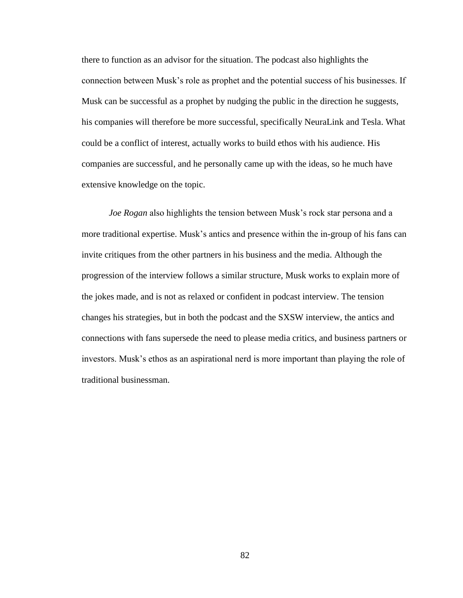there to function as an advisor for the situation. The podcast also highlights the connection between Musk's role as prophet and the potential success of his businesses. If Musk can be successful as a prophet by nudging the public in the direction he suggests, his companies will therefore be more successful, specifically NeuraLink and Tesla. What could be a conflict of interest, actually works to build ethos with his audience. His companies are successful, and he personally came up with the ideas, so he much have extensive knowledge on the topic.

*Joe Rogan* also highlights the tension between Musk's rock star persona and a more traditional expertise. Musk's antics and presence within the in-group of his fans can invite critiques from the other partners in his business and the media. Although the progression of the interview follows a similar structure, Musk works to explain more of the jokes made, and is not as relaxed or confident in podcast interview. The tension changes his strategies, but in both the podcast and the SXSW interview, the antics and connections with fans supersede the need to please media critics, and business partners or investors. Musk's ethos as an aspirational nerd is more important than playing the role of traditional businessman.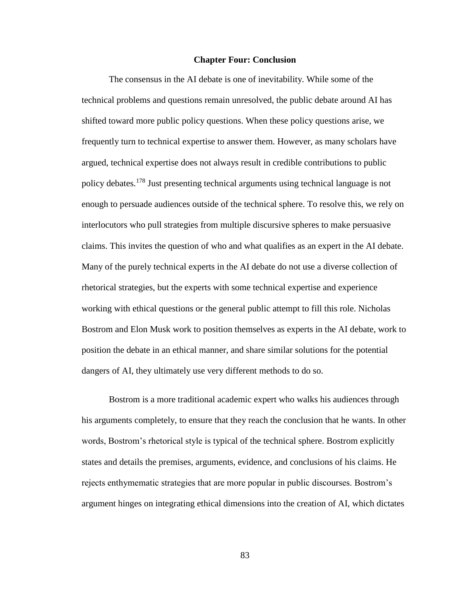#### **Chapter Four: Conclusion**

The consensus in the AI debate is one of inevitability. While some of the technical problems and questions remain unresolved, the public debate around AI has shifted toward more public policy questions. When these policy questions arise, we frequently turn to technical expertise to answer them. However, as many scholars have argued, technical expertise does not always result in credible contributions to public policy debates.<sup>178</sup> Just presenting technical arguments using technical language is not enough to persuade audiences outside of the technical sphere. To resolve this, we rely on interlocutors who pull strategies from multiple discursive spheres to make persuasive claims. This invites the question of who and what qualifies as an expert in the AI debate. Many of the purely technical experts in the AI debate do not use a diverse collection of rhetorical strategies, but the experts with some technical expertise and experience working with ethical questions or the general public attempt to fill this role. Nicholas Bostrom and Elon Musk work to position themselves as experts in the AI debate, work to position the debate in an ethical manner, and share similar solutions for the potential dangers of AI, they ultimately use very different methods to do so.

Bostrom is a more traditional academic expert who walks his audiences through his arguments completely, to ensure that they reach the conclusion that he wants. In other words, Bostrom's rhetorical style is typical of the technical sphere. Bostrom explicitly states and details the premises, arguments, evidence, and conclusions of his claims. He rejects enthymematic strategies that are more popular in public discourses. Bostrom's argument hinges on integrating ethical dimensions into the creation of AI, which dictates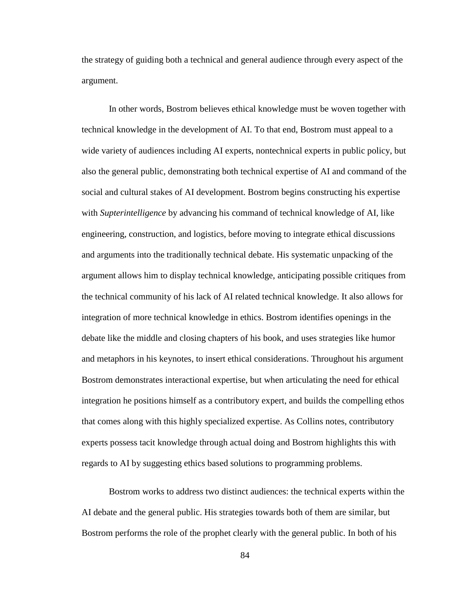the strategy of guiding both a technical and general audience through every aspect of the argument.

In other words, Bostrom believes ethical knowledge must be woven together with technical knowledge in the development of AI. To that end, Bostrom must appeal to a wide variety of audiences including AI experts, nontechnical experts in public policy, but also the general public, demonstrating both technical expertise of AI and command of the social and cultural stakes of AI development. Bostrom begins constructing his expertise with *Supterintelligence* by advancing his command of technical knowledge of AI, like engineering, construction, and logistics, before moving to integrate ethical discussions and arguments into the traditionally technical debate. His systematic unpacking of the argument allows him to display technical knowledge, anticipating possible critiques from the technical community of his lack of AI related technical knowledge. It also allows for integration of more technical knowledge in ethics. Bostrom identifies openings in the debate like the middle and closing chapters of his book, and uses strategies like humor and metaphors in his keynotes, to insert ethical considerations. Throughout his argument Bostrom demonstrates interactional expertise, but when articulating the need for ethical integration he positions himself as a contributory expert, and builds the compelling ethos that comes along with this highly specialized expertise. As Collins notes, contributory experts possess tacit knowledge through actual doing and Bostrom highlights this with regards to AI by suggesting ethics based solutions to programming problems.

Bostrom works to address two distinct audiences: the technical experts within the AI debate and the general public. His strategies towards both of them are similar, but Bostrom performs the role of the prophet clearly with the general public. In both of his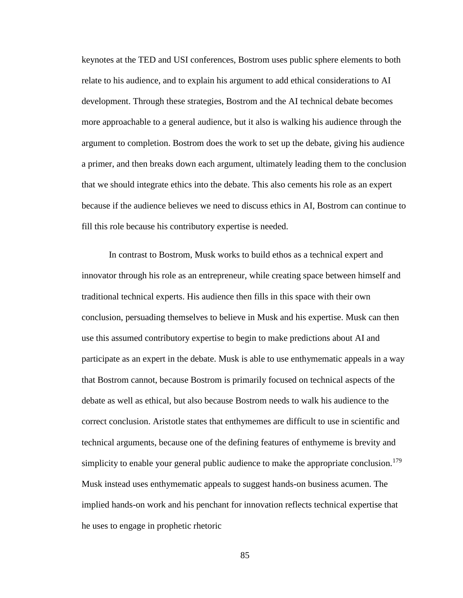keynotes at the TED and USI conferences, Bostrom uses public sphere elements to both relate to his audience, and to explain his argument to add ethical considerations to AI development. Through these strategies, Bostrom and the AI technical debate becomes more approachable to a general audience, but it also is walking his audience through the argument to completion. Bostrom does the work to set up the debate, giving his audience a primer, and then breaks down each argument, ultimately leading them to the conclusion that we should integrate ethics into the debate. This also cements his role as an expert because if the audience believes we need to discuss ethics in AI, Bostrom can continue to fill this role because his contributory expertise is needed.

In contrast to Bostrom, Musk works to build ethos as a technical expert and innovator through his role as an entrepreneur, while creating space between himself and traditional technical experts. His audience then fills in this space with their own conclusion, persuading themselves to believe in Musk and his expertise. Musk can then use this assumed contributory expertise to begin to make predictions about AI and participate as an expert in the debate. Musk is able to use enthymematic appeals in a way that Bostrom cannot, because Bostrom is primarily focused on technical aspects of the debate as well as ethical, but also because Bostrom needs to walk his audience to the correct conclusion. Aristotle states that enthymemes are difficult to use in scientific and technical arguments, because one of the defining features of enthymeme is brevity and simplicity to enable your general public audience to make the appropriate conclusion.<sup>179</sup> Musk instead uses enthymematic appeals to suggest hands-on business acumen. The implied hands-on work and his penchant for innovation reflects technical expertise that he uses to engage in prophetic rhetoric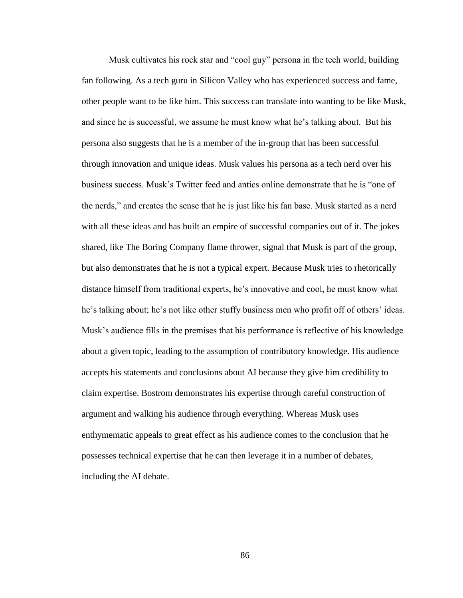Musk cultivates his rock star and "cool guy" persona in the tech world, building fan following. As a tech guru in Silicon Valley who has experienced success and fame, other people want to be like him. This success can translate into wanting to be like Musk, and since he is successful, we assume he must know what he's talking about. But his persona also suggests that he is a member of the in-group that has been successful through innovation and unique ideas. Musk values his persona as a tech nerd over his business success. Musk's Twitter feed and antics online demonstrate that he is "one of the nerds," and creates the sense that he is just like his fan base. Musk started as a nerd with all these ideas and has built an empire of successful companies out of it. The jokes shared, like The Boring Company flame thrower, signal that Musk is part of the group, but also demonstrates that he is not a typical expert. Because Musk tries to rhetorically distance himself from traditional experts, he's innovative and cool, he must know what he's talking about; he's not like other stuffy business men who profit off of others' ideas. Musk's audience fills in the premises that his performance is reflective of his knowledge about a given topic, leading to the assumption of contributory knowledge. His audience accepts his statements and conclusions about AI because they give him credibility to claim expertise. Bostrom demonstrates his expertise through careful construction of argument and walking his audience through everything. Whereas Musk uses enthymematic appeals to great effect as his audience comes to the conclusion that he possesses technical expertise that he can then leverage it in a number of debates, including the AI debate.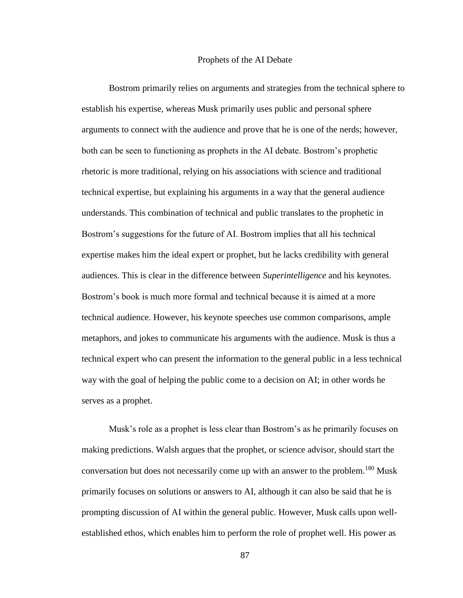#### Prophets of the AI Debate

Bostrom primarily relies on arguments and strategies from the technical sphere to establish his expertise, whereas Musk primarily uses public and personal sphere arguments to connect with the audience and prove that he is one of the nerds; however, both can be seen to functioning as prophets in the AI debate. Bostrom's prophetic rhetoric is more traditional, relying on his associations with science and traditional technical expertise, but explaining his arguments in a way that the general audience understands. This combination of technical and public translates to the prophetic in Bostrom's suggestions for the future of AI. Bostrom implies that all his technical expertise makes him the ideal expert or prophet, but he lacks credibility with general audiences. This is clear in the difference between *Superintelligence* and his keynotes. Bostrom's book is much more formal and technical because it is aimed at a more technical audience. However, his keynote speeches use common comparisons, ample metaphors, and jokes to communicate his arguments with the audience. Musk is thus a technical expert who can present the information to the general public in a less technical way with the goal of helping the public come to a decision on AI; in other words he serves as a prophet.

Musk's role as a prophet is less clear than Bostrom's as he primarily focuses on making predictions. Walsh argues that the prophet, or science advisor, should start the conversation but does not necessarily come up with an answer to the problem.<sup>180</sup> Musk primarily focuses on solutions or answers to AI, although it can also be said that he is prompting discussion of AI within the general public. However, Musk calls upon wellestablished ethos, which enables him to perform the role of prophet well. His power as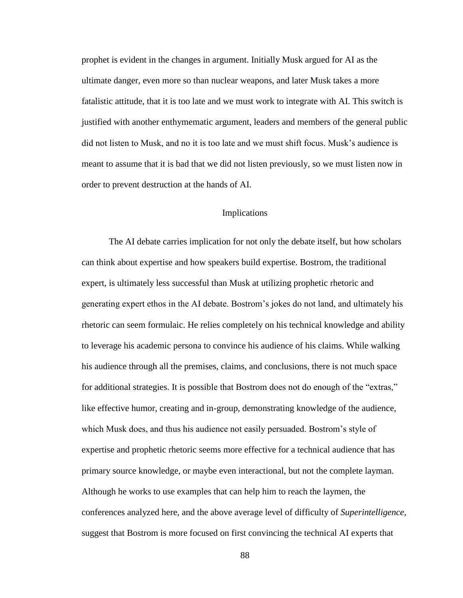prophet is evident in the changes in argument. Initially Musk argued for AI as the ultimate danger, even more so than nuclear weapons, and later Musk takes a more fatalistic attitude, that it is too late and we must work to integrate with AI. This switch is justified with another enthymematic argument, leaders and members of the general public did not listen to Musk, and no it is too late and we must shift focus. Musk's audience is meant to assume that it is bad that we did not listen previously, so we must listen now in order to prevent destruction at the hands of AI.

#### Implications

The AI debate carries implication for not only the debate itself, but how scholars can think about expertise and how speakers build expertise. Bostrom, the traditional expert, is ultimately less successful than Musk at utilizing prophetic rhetoric and generating expert ethos in the AI debate. Bostrom's jokes do not land, and ultimately his rhetoric can seem formulaic. He relies completely on his technical knowledge and ability to leverage his academic persona to convince his audience of his claims. While walking his audience through all the premises, claims, and conclusions, there is not much space for additional strategies. It is possible that Bostrom does not do enough of the "extras," like effective humor, creating and in-group, demonstrating knowledge of the audience, which Musk does, and thus his audience not easily persuaded. Bostrom's style of expertise and prophetic rhetoric seems more effective for a technical audience that has primary source knowledge, or maybe even interactional, but not the complete layman. Although he works to use examples that can help him to reach the laymen, the conferences analyzed here, and the above average level of difficulty of *Superintelligence*, suggest that Bostrom is more focused on first convincing the technical AI experts that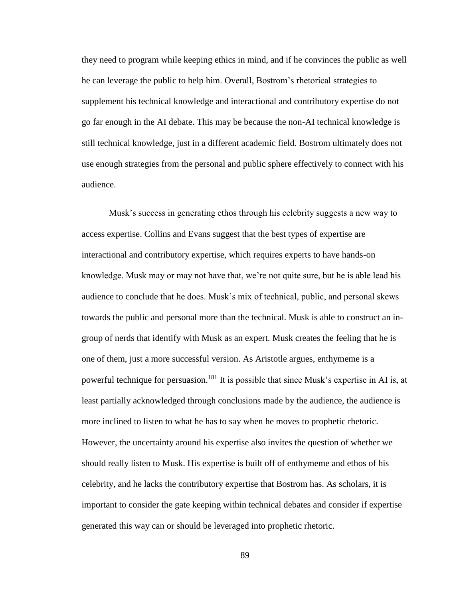they need to program while keeping ethics in mind, and if he convinces the public as well he can leverage the public to help him. Overall, Bostrom's rhetorical strategies to supplement his technical knowledge and interactional and contributory expertise do not go far enough in the AI debate. This may be because the non-AI technical knowledge is still technical knowledge, just in a different academic field. Bostrom ultimately does not use enough strategies from the personal and public sphere effectively to connect with his audience.

Musk's success in generating ethos through his celebrity suggests a new way to access expertise. Collins and Evans suggest that the best types of expertise are interactional and contributory expertise, which requires experts to have hands-on knowledge. Musk may or may not have that, we're not quite sure, but he is able lead his audience to conclude that he does. Musk's mix of technical, public, and personal skews towards the public and personal more than the technical. Musk is able to construct an ingroup of nerds that identify with Musk as an expert. Musk creates the feeling that he is one of them, just a more successful version. As Aristotle argues, enthymeme is a powerful technique for persuasion.<sup>181</sup> It is possible that since Musk's expertise in AI is, at least partially acknowledged through conclusions made by the audience, the audience is more inclined to listen to what he has to say when he moves to prophetic rhetoric. However, the uncertainty around his expertise also invites the question of whether we should really listen to Musk. His expertise is built off of enthymeme and ethos of his celebrity, and he lacks the contributory expertise that Bostrom has. As scholars, it is important to consider the gate keeping within technical debates and consider if expertise generated this way can or should be leveraged into prophetic rhetoric.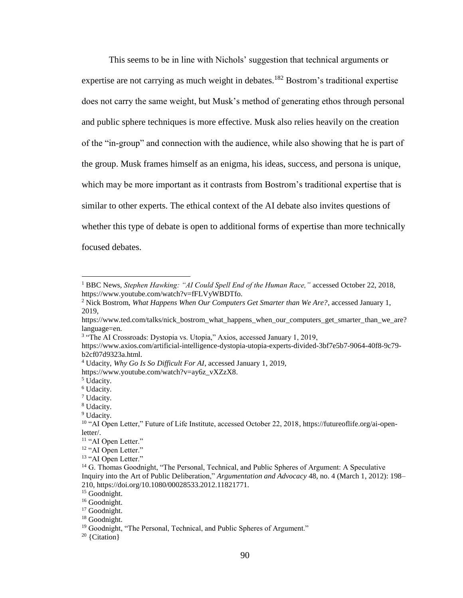This seems to be in line with Nichols' suggestion that technical arguments or expertise are not carrying as much weight in debates.<sup>182</sup> Bostrom's traditional expertise does not carry the same weight, but Musk's method of generating ethos through personal and public sphere techniques is more effective. Musk also relies heavily on the creation of the "in-group" and connection with the audience, while also showing that he is part of the group. Musk frames himself as an enigma, his ideas, success, and persona is unique, which may be more important as it contrasts from Bostrom's traditional expertise that is similar to other experts. The ethical context of the AI debate also invites questions of whether this type of debate is open to additional forms of expertise than more technically focused debates.

https://www.youtube.com/watch?v=ay6z\_vXZzX8.

 $\overline{a}$ 

<sup>1</sup> BBC News, *Stephen Hawking: "AI Could Spell End of the Human Race,"* accessed October 22, 2018, https://www.youtube.com/watch?v=fFLVyWBDTfo.

<sup>2</sup> Nick Bostrom, *What Happens When Our Computers Get Smarter than We Are?*, accessed January 1, 2019,

https://www.ted.com/talks/nick\_bostrom\_what\_happens\_when\_our\_computers\_get\_smarter\_than\_we\_are? language=en.

<sup>&</sup>lt;sup>3</sup> "The AI Crossroads: Dystopia vs. Utopia," Axios, accessed January 1, 2019,

https://www.axios.com/artificial-intelligence-dystopia-utopia-experts-divided-3bf7e5b7-9064-40f8-9c79 b2cf07d9323a.html.

<sup>4</sup> Udacity, *Why Go Is So Difficult For AI*, accessed January 1, 2019,

<sup>5</sup> Udacity.

<sup>6</sup> Udacity.

<sup>7</sup> Udacity.

<sup>8</sup> Udacity.

<sup>&</sup>lt;sup>9</sup> Udacity.

<sup>&</sup>lt;sup>10</sup> "AI Open Letter," Future of Life Institute, accessed October 22, 2018, https://futureoflife.org/ai-openletter/.

<sup>&</sup>lt;sup>11</sup> "AI Open Letter."

<sup>&</sup>lt;sup>12</sup> "AI Open Letter."

<sup>&</sup>lt;sup>13</sup> "AI Open Letter."

<sup>&</sup>lt;sup>14</sup> G. Thomas Goodnight, "The Personal, Technical, and Public Spheres of Argument: A Speculative Inquiry into the Art of Public Deliberation," *Argumentation and Advocacy* 48, no. 4 (March 1, 2012): 198– 210, https://doi.org/10.1080/00028533.2012.11821771.

<sup>&</sup>lt;sup>15</sup> Goodnight.

<sup>&</sup>lt;sup>16</sup> Goodnight.

<sup>&</sup>lt;sup>17</sup> Goodnight.

<sup>&</sup>lt;sup>18</sup> Goodnight.

<sup>&</sup>lt;sup>19</sup> Goodnight, "The Personal, Technical, and Public Spheres of Argument."

<sup>20</sup> {Citation}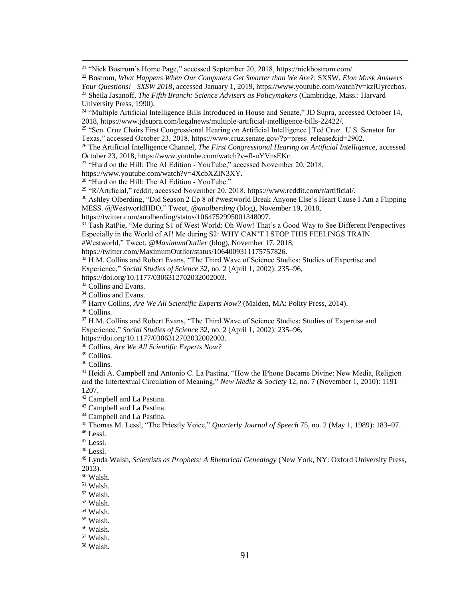<sup>21</sup> "Nick Bostrom's Home Page," accessed September 20, 2018, https://nickbostrom.com/.

<sup>22</sup> Bostrom, *What Happens When Our Computers Get Smarter than We Are?*; SXSW, *Elon Musk Answers Your Questions! | SXSW 2018*, accessed January 1, 2019, https://www.youtube.com/watch?v=kzlUyrccbos. <sup>23</sup> Sheila Jasanoff, *The Fifth Branch: Science Advisers as Policymakers* (Cambridge, Mass.: Harvard

 $\overline{a}$ 

<sup>25</sup> "Sen. Cruz Chairs First Congressional Hearing on Artificial Intelligence | Ted Cruz | U.S. Senator for Texas," accessed October 23, 2018, https://www.cruz.senate.gov/?p=press\_release&id=2902.

<sup>26</sup> The Artificial Intelligence Channel, *The First Congressional Hearing on Artificial Intelligence*, accessed October 23, 2018, https://www.youtube.com/watch?v=fl-uYVnsEKc.

 $27$  "Hurd on the Hill: The AI Edition - YouTube," accessed November 20, 2018,

https://www.youtube.com/watch?v=4XcbXZIN3XY.

<sup>29</sup> "R/Artificial," reddit, accessed November 20, 2018, https://www.reddit.com/r/artificial/.

<sup>30</sup> Ashley Olberding, "Did Season 2 Ep 8 of #westworld Break Anyone Else's Heart Cause I Am a Flipping MESS. @WestworldHBO," Tweet, *@anolberding* (blog), November 19, 2018,

<sup>31</sup> Tash RatPie, "Me during S1 of West World: Oh Wow! That's a Good Way to See Different Perspectives Especially in the World of AI! Me during S2: WHY CAN'T I STOP THIS FEELINGS TRAIN

#Westworld," Tweet, *@MaximumOutlier* (blog), November 17, 2018,

https://twitter.com/MaximumOutlier/status/1064009311175757826.

<sup>32</sup> H.M. Collins and Robert Evans, "The Third Wave of Science Studies: Studies of Expertise and Experience," *Social Studies of Science* 32, no. 2 (April 1, 2002): 235–96,

https://doi.org/10.1177/0306312702032002003.

<sup>33</sup> Collins and Evans.

<sup>34</sup> Collins and Evans.

<sup>35</sup> Harry Collins, *Are We All Scientific Experts Now?* (Malden, MA: Polity Press, 2014).

<sup>36</sup> Collins.

<sup>37</sup> H.M. Collins and Robert Evans, "The Third Wave of Science Studies: Studies of Expertise and Experience," *Social Studies of Science* 32, no. 2 (April 1, 2002): 235–96,

https://doi.org/10.1177/0306312702032002003.

<sup>38</sup> Collins, *Are We All Scientific Experts Now?*

<sup>39</sup> Collins.

<sup>40</sup> Collins.

<sup>41</sup> Heidi A. Campbell and Antonio C. La Pastina, "How the IPhone Became Divine: New Media, Religion and the Intertextual Circulation of Meaning," *New Media & Society* 12, no. 7 (November 1, 2010): 1191– 1207.

<sup>42</sup> Campbell and La Pastina.

<sup>43</sup> Campbell and La Pastina.

<sup>44</sup> Campbell and La Pastina.

<sup>45</sup> Thomas M. Lessl, "The Priestly Voice," *Quarterly Journal of Speech* 75, no. 2 (May 1, 1989): 183–97.  $46$  Lessl.

<sup>47</sup> Lessl.

 $48$  Lessl.

<sup>49</sup> Lynda Walsh, *Scientists as Prophets: A Rhetorical Genealogy* (New York, NY: Oxford University Press, 2013).

<sup>51</sup> Walsh.

<sup>52</sup> Walsh.

<sup>53</sup> Walsh.

<sup>54</sup> Walsh.

<sup>55</sup> Walsh.

 $^{\rm 56}$  Walsh.

<sup>57</sup> Walsh.

<sup>58</sup> Walsh.

University Press, 1990).

<sup>&</sup>lt;sup>24</sup> "Multiple Artificial Intelligence Bills Introduced in House and Senate," JD Supra, accessed October 14, 2018, https://www.jdsupra.com/legalnews/multiple-artificial-intelligence-bills-22422/.

<sup>28</sup> "Hurd on the Hill: The AI Edition - YouTube."

https://twitter.com/anolberding/status/1064752995001348097.

<sup>50</sup> Walsh.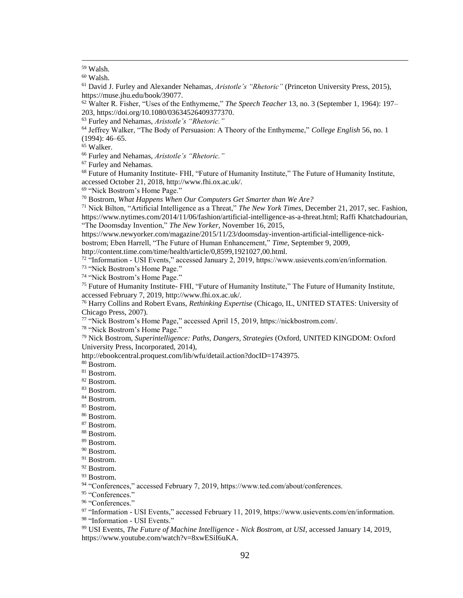$\overline{a}$ 

Furley and Nehamas.

 Future of Humanity Institute- FHI, "Future of Humanity Institute," The Future of Humanity Institute, accessed October 21, 2018, http://www.fhi.ox.ac.uk/.

"Nick Bostrom's Home Page."

Bostrom, *What Happens When Our Computers Get Smarter than We Are?*

 Nick Bilton, "Artificial Intelligence as a Threat," *The New York Times*, December 21, 2017, sec. Fashion, https://www.nytimes.com/2014/11/06/fashion/artificial-intelligence-as-a-threat.html; Raffi Khatchadourian, "The Doomsday Invention," *The New Yorker*, November 16, 2015,

https://www.newyorker.com/magazine/2015/11/23/doomsday-invention-artificial-intelligence-nick-

bostrom; Eben Harrell, "The Future of Human Enhancement," *Time*, September 9, 2009,

http://content.time.com/time/health/article/0,8599,1921027,00.html.

"Information - USI Events," accessed January 2, 2019, https://www.usievents.com/en/information.

"Nick Bostrom's Home Page."

"Nick Bostrom's Home Page."

 Future of Humanity Institute- FHI, "Future of Humanity Institute," The Future of Humanity Institute, accessed February 7, 2019, http://www.fhi.ox.ac.uk/.

 Harry Collins and Robert Evans, *Rethinking Expertise* (Chicago, IL, UNITED STATES: University of Chicago Press, 2007).

"Nick Bostrom's Home Page," accessed April 15, 2019, https://nickbostrom.com/.

"Nick Bostrom's Home Page."

 Nick Bostrom, *Superintelligence: Paths, Dangers, Strategies* (Oxford, UNITED KINGDOM: Oxford University Press, Incorporated, 2014),

http://ebookcentral.proquest.com/lib/wfu/detail.action?docID=1743975.

Bostrom.

- Bostrom.
- Bostrom.
- Bostrom.
- Bostrom.
- Bostrom.
- Bostrom.
- Bostrom.
- Bostrom.
- Bostrom.
- Bostrom.
- Bostrom.

Bostrom.

Bostrom.

"Conferences," accessed February 7, 2019, https://www.ted.com/about/conferences.

95 "Conferences."

<sup>96</sup> "Conferences."

 "Information - USI Events," accessed February 11, 2019, https://www.usievents.com/en/information. "Information - USI Events."

 USI Events, *The Future of Machine Intelligence - Nick Bostrom, at USI*, accessed January 14, 2019, https://www.youtube.com/watch?v=8xwESiI6uKA.

Walsh.

Walsh.

 David J. Furley and Alexander Nehamas, *Aristotle's "Rhetoric"* (Princeton University Press, 2015), https://muse.jhu.edu/book/39077.

 Walter R. Fisher, "Uses of the Enthymeme," *The Speech Teacher* 13, no. 3 (September 1, 1964): 197– 203, https://doi.org/10.1080/03634526409377370.

Furley and Nehamas, *Aristotle's "Rhetoric."*

 Jeffrey Walker, "The Body of Persuasion: A Theory of the Enthymeme," *College English* 56, no. 1 (1994): 46–65.

Walker.

Furley and Nehamas, *Aristotle's "Rhetoric."*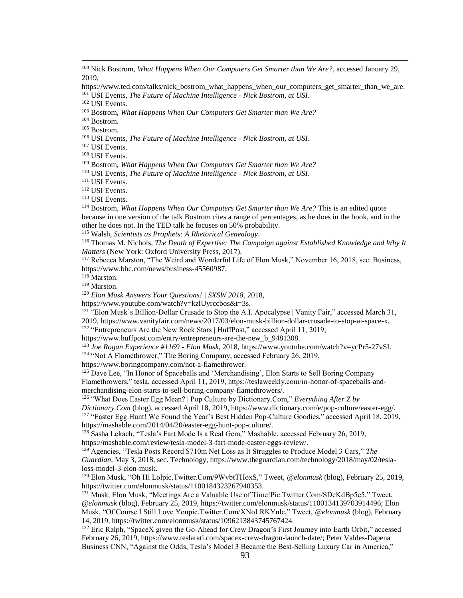<sup>100</sup> Nick Bostrom, *What Happens When Our Computers Get Smarter than We Are?*, accessed January 29, 2019,

https://www.ted.com/talks/nick\_bostrom\_what\_happens\_when\_our\_computers\_get\_smarter\_than\_we\_are. <sup>101</sup> USI Events, *The Future of Machine Intelligence - Nick Bostrom, at USI*.

<sup>102</sup> USI Events.

 $\overline{a}$ 

<sup>103</sup> Bostrom, *What Happens When Our Computers Get Smarter than We Are?*

<sup>104</sup> Bostrom.

<sup>105</sup> Bostrom.

<sup>106</sup> USI Events, *The Future of Machine Intelligence - Nick Bostrom, at USI*.

<sup>107</sup> USI Events.

<sup>108</sup> USI Events.

<sup>109</sup> Bostrom, *What Happens When Our Computers Get Smarter than We Are?*

<sup>111</sup> USI Events.

<sup>112</sup> USI Events.

<sup>113</sup> USI Events.

<sup>114</sup> Bostrom, *What Happens When Our Computers Get Smarter than We Are?* This is an edited quote because in one version of the talk Bostrom cites a range of percentages, as he does in the book, and in the other he does not. In the TED talk he focuses on 50% probability.

<sup>115</sup> Walsh, *Scientists as Prophets: A Rhetorical Genealogy*.

<sup>116</sup> Thomas M. Nichols, *The Death of Expertise: The Campaign against Established Knowledge and Why It Matters* (New York: Oxford University Press, 2017).

<sup>117</sup> Rebecca Marston, "The Weird and Wonderful Life of Elon Musk," November 16, 2018, sec. Business, https://www.bbc.com/news/business-45560987.

<sup>118</sup> Marston.

<sup>119</sup> Marston.

<sup>120</sup> *Elon Musk Answers Your Questions! | SXSW 2018*, 2018,

https://www.youtube.com/watch?v=kzlUyrccbos&t=3s.

<sup>121</sup> "Elon Musk's Billion-Dollar Crusade to Stop the A.I. Apocalypse | Vanity Fair," accessed March 31, 2019, https://www.vanityfair.com/news/2017/03/elon-musk-billion-dollar-crusade-to-stop-ai-space-x.

<sup>122</sup> "Entrepreneurs Are the New Rock Stars | HuffPost," accessed April 11, 2019,

https://www.huffpost.com/entry/entrepreneurs-are-the-new\_b\_9481308.

<sup>123</sup> *Joe Rogan Experience #1169 - Elon Musk*, 2018, https://www.youtube.com/watch?v=ycPr5-27vSI.

<sup>124</sup> "Not A Flamethrower," The Boring Company, accessed February 26, 2019,

https://www.boringcompany.com/not-a-flamethrower.

 $125$  Dave Lee, "In Honor of Spaceballs and 'Merchandising', Elon Starts to Sell Boring Company Flamethrowers," tesla, accessed April 11, 2019, https://teslaweekly.com/in-honor-of-spaceballs-andmerchandising-elon-starts-to-sell-boring-company-flamethrowers/.

<sup>126</sup> "What Does Easter Egg Mean? | Pop Culture by Dictionary.Com," *Everything After Z by* 

*Dictionary.Com* (blog), accessed April 18, 2019, https://www.dictionary.com/e/pop-culture/easter-egg/. <sup>127</sup> "Easter Egg Hunt! We Found the Year's Best Hidden Pop-Culture Goodies," accessed April 18, 2019, https://mashable.com/2014/04/20/easter-egg-hunt-pop-culture/.

<sup>128</sup> Sasha Lekach, "Tesla's Fart Mode Is a Real Gem," Mashable, accessed February 26, 2019, https://mashable.com/review/tesla-model-3-fart-mode-easter-eggs-review/.

<sup>129</sup> Agencies, "Tesla Posts Record \$710m Net Loss as It Struggles to Produce Model 3 Cars," *The Guardian*, May 3, 2018, sec. Technology, https://www.theguardian.com/technology/2018/may/02/teslaloss-model-3-elon-musk.

<sup>130</sup> Elon Musk, "Oh Hi Lolpic.Twitter.Com/9WvbtTHoxS," Tweet, *@elonmusk* (blog), February 25, 2019, https://twitter.com/elonmusk/status/1100184323267940353.

<sup>131</sup> Musk; Elon Musk, "Meetings Are a Valuable Use of Time!Pic.Twitter.Com/SDcKdBp5e5," Tweet, *@elonmusk* (blog), February 25, 2019, https://twitter.com/elonmusk/status/1100134139703914496; Elon Musk, "Of Course I Still Love Youpic.Twitter.Com/XNoLRKYnlc," Tweet, *@elonmusk* (blog), February 14, 2019, https://twitter.com/elonmusk/status/1096213843745767424.

<sup>132</sup> Eric Ralph, "SpaceX given the Go-Ahead for Crew Dragon's First Journey into Earth Orbit," accessed February 26, 2019, https://www.teslarati.com/spacex-crew-dragon-launch-date/; Peter Valdes-Dapena Business CNN, "Against the Odds, Tesla's Model 3 Became the Best-Selling Luxury Car in America,"

<sup>110</sup> USI Events, *The Future of Machine Intelligence - Nick Bostrom, at USI*.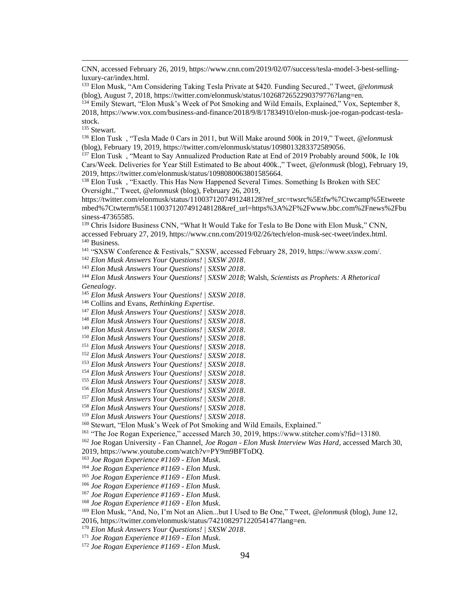CNN, accessed February 26, 2019, https://www.cnn.com/2019/02/07/success/tesla-model-3-best-sellingluxury-car/index.html.

 Elon Musk, "Am Considering Taking Tesla Private at \$420. Funding Secured.," Tweet, *@elonmusk* (blog), August 7, 2018, https://twitter.com/elonmusk/status/1026872652290379776?lang=en.

<sup>134</sup> Emily Stewart, "Elon Musk's Week of Pot Smoking and Wild Emails, Explained," Vox, September 8, 2018, https://www.vox.com/business-and-finance/2018/9/8/17834910/elon-musk-joe-rogan-podcast-teslastock.

Stewart.

 $\overline{a}$ 

 Elon Tusk , "Tesla Made 0 Cars in 2011, but Will Make around 500k in 2019," Tweet, *@elonmusk* (blog), February 19, 2019, https://twitter.com/elonmusk/status/1098013283372589056.

<sup>137</sup> Elon Tusk, "Meant to Say Annualized Production Rate at End of 2019 Probably around 500k, Ie 10k Cars/Week. Deliveries for Year Still Estimated to Be about 400k.," Tweet, *@elonmusk* (blog), February 19, 2019, https://twitter.com/elonmusk/status/1098080063801585664.

<sup>138</sup> Elon Tusk, "Exactly. This Has Now Happened Several Times. Something Is Broken with SEC Oversight.," Tweet, *@elonmusk* (blog), February 26, 2019,

https://twitter.com/elonmusk/status/1100371207491248128?ref\_src=twsrc%5Etfw%7Ctwcamp%5Etweete mbed%7Ctwterm%5E1100371207491248128&ref\_url=https%3A%2F%2Fwww.bbc.com%2Fnews%2Fbu siness-47365585.

<sup>139</sup> Chris Isidore Business CNN, "What It Would Take for Tesla to Be Done with Elon Musk," CNN, accessed February 27, 2019, https://www.cnn.com/2019/02/26/tech/elon-musk-sec-tweet/index.html. Business.

"SXSW Conference & Festivals," SXSW, accessed February 28, 2019, https://www.sxsw.com/.

*Elon Musk Answers Your Questions! | SXSW 2018*.

*Elon Musk Answers Your Questions! | SXSW 2018*.

 *Elon Musk Answers Your Questions! | SXSW 2018*; Walsh, *Scientists as Prophets: A Rhetorical Genealogy*.

*Elon Musk Answers Your Questions! | SXSW 2018*.

Collins and Evans, *Rethinking Expertise*.

*Elon Musk Answers Your Questions! | SXSW 2018*.

*Elon Musk Answers Your Questions! | SXSW 2018*.

*Elon Musk Answers Your Questions! | SXSW 2018*.

*Elon Musk Answers Your Questions! | SXSW 2018*.

*Elon Musk Answers Your Questions! | SXSW 2018*.

 *Elon Musk Answers Your Questions! | SXSW 2018*. *Elon Musk Answers Your Questions! | SXSW 2018*.

*Elon Musk Answers Your Questions! | SXSW 2018*.

*Elon Musk Answers Your Questions! | SXSW 2018*.

*Elon Musk Answers Your Questions! | SXSW 2018*.

*Elon Musk Answers Your Questions! | SXSW 2018*.

*Elon Musk Answers Your Questions! | SXSW 2018*.

*Elon Musk Answers Your Questions! | SXSW 2018*.

<sup>160</sup> Stewart, "Elon Musk's Week of Pot Smoking and Wild Emails, Explained."

"The Joe Rogan Experience," accessed March 30, 2019, https://www.stitcher.com/s?fid=13180.

Joe Rogan University - Fan Channel, *Joe Rogan - Elon Musk Interview Was Hard*, accessed March 30,

2019, https://www.youtube.com/watch?v=PY9m9BFToDQ.

*Joe Rogan Experience #1169 - Elon Musk*.

*Joe Rogan Experience #1169 - Elon Musk*.

*Joe Rogan Experience #1169 - Elon Musk*.

*Joe Rogan Experience #1169 - Elon Musk*.

*Joe Rogan Experience #1169 - Elon Musk*.

*Joe Rogan Experience #1169 - Elon Musk*.

Elon Musk, "And, No, I'm Not an Alien...but I Used to Be One," Tweet, *@elonmusk* (blog), June 12,

2016, https://twitter.com/elonmusk/status/742108297122054147?lang=en.

*Elon Musk Answers Your Questions! | SXSW 2018*.

*Joe Rogan Experience #1169 - Elon Musk*.

*Joe Rogan Experience #1169 - Elon Musk*.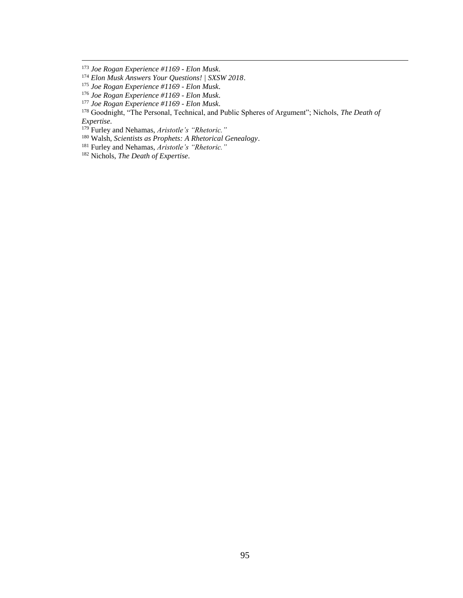$\overline{a}$ 

Furley and Nehamas, *Aristotle's "Rhetoric."*

Walsh, *Scientists as Prophets: A Rhetorical Genealogy*.

*Joe Rogan Experience #1169 - Elon Musk*.

*Elon Musk Answers Your Questions! | SXSW 2018*.

*Joe Rogan Experience #1169 - Elon Musk*.

*Joe Rogan Experience #1169 - Elon Musk*.

*Joe Rogan Experience #1169 - Elon Musk*.

 Goodnight, "The Personal, Technical, and Public Spheres of Argument"; Nichols, *The Death of Expertise*.

Furley and Nehamas, *Aristotle's "Rhetoric."*

Nichols, *The Death of Expertise*.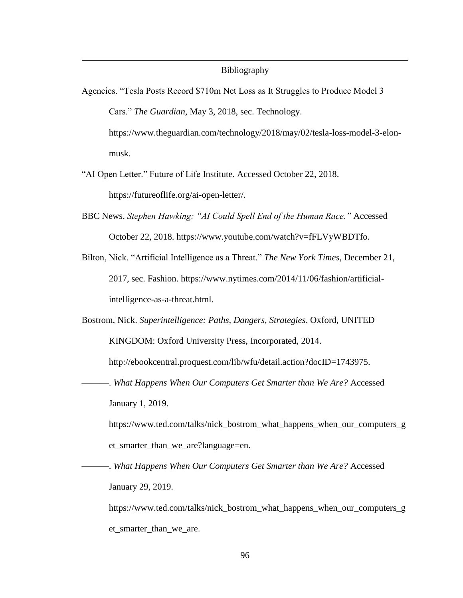### Bibliography

- Agencies. "Tesla Posts Record \$710m Net Loss as It Struggles to Produce Model 3 Cars." *The Guardian*, May 3, 2018, sec. Technology. https://www.theguardian.com/technology/2018/may/02/tesla-loss-model-3-elonmusk.
- "AI Open Letter." Future of Life Institute. Accessed October 22, 2018. https://futureoflife.org/ai-open-letter/.

 $\overline{a}$ 

- BBC News. *Stephen Hawking: "AI Could Spell End of the Human Race."* Accessed October 22, 2018. https://www.youtube.com/watch?v=fFLVyWBDTfo.
- Bilton, Nick. "Artificial Intelligence as a Threat." *The New York Times*, December 21, 2017, sec. Fashion. https://www.nytimes.com/2014/11/06/fashion/artificialintelligence-as-a-threat.html.
- Bostrom, Nick. *Superintelligence: Paths, Dangers, Strategies*. Oxford, UNITED KINGDOM: Oxford University Press, Incorporated, 2014.

http://ebookcentral.proquest.com/lib/wfu/detail.action?docID=1743975.

———. *What Happens When Our Computers Get Smarter than We Are?* Accessed January 1, 2019.

https://www.ted.com/talks/nick\_bostrom\_what\_happens\_when\_our\_computers\_g et\_smarter\_than\_we\_are?language=en.

———. *What Happens When Our Computers Get Smarter than We Are?* Accessed January 29, 2019.

https://www.ted.com/talks/nick\_bostrom\_what\_happens\_when\_our\_computers\_g et\_smarter\_than\_we\_are.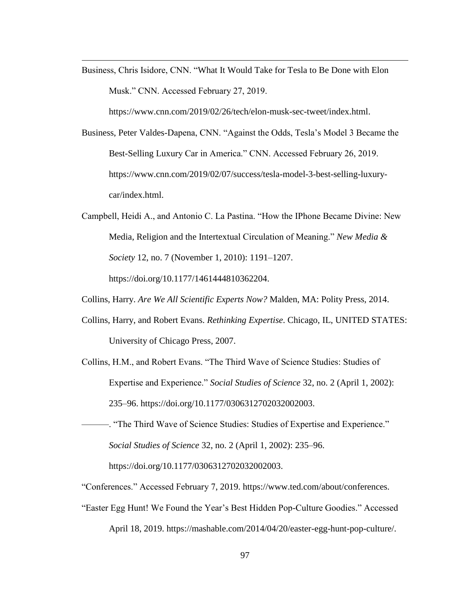Business, Chris Isidore, CNN. "What It Would Take for Tesla to Be Done with Elon Musk." CNN. Accessed February 27, 2019.

https://www.cnn.com/2019/02/26/tech/elon-musk-sec-tweet/index.html.

Business, Peter Valdes-Dapena, CNN. "Against the Odds, Tesla's Model 3 Became the Best-Selling Luxury Car in America." CNN. Accessed February 26, 2019. https://www.cnn.com/2019/02/07/success/tesla-model-3-best-selling-luxurycar/index.html.

Campbell, Heidi A., and Antonio C. La Pastina. "How the IPhone Became Divine: New Media, Religion and the Intertextual Circulation of Meaning." *New Media & Society* 12, no. 7 (November 1, 2010): 1191–1207.

https://doi.org/10.1177/1461444810362204.

 $\overline{a}$ 

- Collins, Harry. *Are We All Scientific Experts Now?* Malden, MA: Polity Press, 2014.
- Collins, Harry, and Robert Evans. *Rethinking Expertise*. Chicago, IL, UNITED STATES: University of Chicago Press, 2007.
- Collins, H.M., and Robert Evans. "The Third Wave of Science Studies: Studies of Expertise and Experience." *Social Studies of Science* 32, no. 2 (April 1, 2002): 235–96. https://doi.org/10.1177/0306312702032002003.
- ———. "The Third Wave of Science Studies: Studies of Expertise and Experience." *Social Studies of Science* 32, no. 2 (April 1, 2002): 235–96. https://doi.org/10.1177/0306312702032002003.
- "Conferences." Accessed February 7, 2019. https://www.ted.com/about/conferences.
- "Easter Egg Hunt! We Found the Year's Best Hidden Pop-Culture Goodies." Accessed April 18, 2019. https://mashable.com/2014/04/20/easter-egg-hunt-pop-culture/.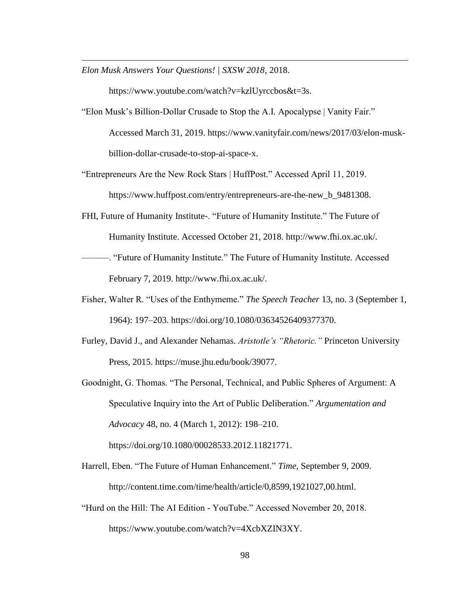*Elon Musk Answers Your Questions! | SXSW 2018*, 2018.

 $\overline{a}$ 

https://www.youtube.com/watch?v=kzlUyrccbos&t=3s.

- "Elon Musk's Billion-Dollar Crusade to Stop the A.I. Apocalypse | Vanity Fair." Accessed March 31, 2019. https://www.vanityfair.com/news/2017/03/elon-muskbillion-dollar-crusade-to-stop-ai-space-x.
- "Entrepreneurs Are the New Rock Stars | HuffPost." Accessed April 11, 2019. https://www.huffpost.com/entry/entrepreneurs-are-the-new\_b\_9481308.
- FHI, Future of Humanity Institute-. "Future of Humanity Institute." The Future of Humanity Institute. Accessed October 21, 2018. http://www.fhi.ox.ac.uk/.
- ———. "Future of Humanity Institute." The Future of Humanity Institute. Accessed February 7, 2019. http://www.fhi.ox.ac.uk/.
- Fisher, Walter R. "Uses of the Enthymeme." *The Speech Teacher* 13, no. 3 (September 1, 1964): 197–203. https://doi.org/10.1080/03634526409377370.
- Furley, David J., and Alexander Nehamas. *Aristotle's "Rhetoric."* Princeton University Press, 2015. https://muse.jhu.edu/book/39077.
- Goodnight, G. Thomas. "The Personal, Technical, and Public Spheres of Argument: A Speculative Inquiry into the Art of Public Deliberation." *Argumentation and Advocacy* 48, no. 4 (March 1, 2012): 198–210. https://doi.org/10.1080/00028533.2012.11821771.
- Harrell, Eben. "The Future of Human Enhancement." *Time*, September 9, 2009. http://content.time.com/time/health/article/0,8599,1921027,00.html.
- "Hurd on the Hill: The AI Edition YouTube." Accessed November 20, 2018. https://www.youtube.com/watch?v=4XcbXZIN3XY.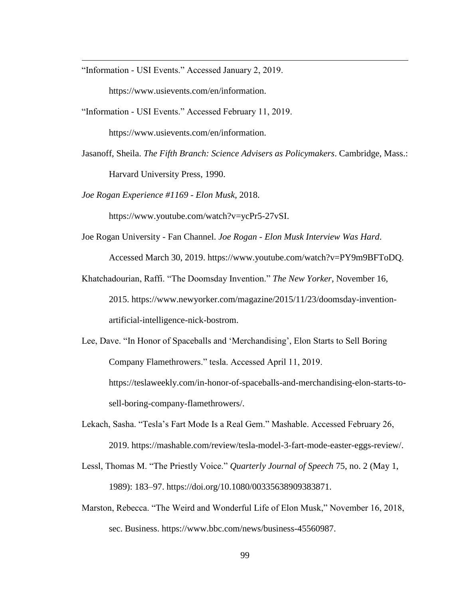"Information - USI Events." Accessed January 2, 2019.

 $\overline{a}$ 

https://www.usievents.com/en/information.

"Information - USI Events." Accessed February 11, 2019.

https://www.usievents.com/en/information.

Jasanoff, Sheila. *The Fifth Branch: Science Advisers as Policymakers*. Cambridge, Mass.: Harvard University Press, 1990.

*Joe Rogan Experience #1169 - Elon Musk*, 2018.

https://www.youtube.com/watch?v=ycPr5-27vSI.

- Joe Rogan University Fan Channel. *Joe Rogan - Elon Musk Interview Was Hard*. Accessed March 30, 2019. https://www.youtube.com/watch?v=PY9m9BFToDQ.
- Khatchadourian, Raffi. "The Doomsday Invention." *The New Yorker*, November 16, 2015. https://www.newyorker.com/magazine/2015/11/23/doomsday-inventionartificial-intelligence-nick-bostrom.
- Lee, Dave. "In Honor of Spaceballs and 'Merchandising', Elon Starts to Sell Boring Company Flamethrowers." tesla. Accessed April 11, 2019. https://teslaweekly.com/in-honor-of-spaceballs-and-merchandising-elon-starts-to-

sell-boring-company-flamethrowers/.

- Lekach, Sasha. "Tesla's Fart Mode Is a Real Gem." Mashable. Accessed February 26, 2019. https://mashable.com/review/tesla-model-3-fart-mode-easter-eggs-review/.
- Lessl, Thomas M. "The Priestly Voice." *Quarterly Journal of Speech* 75, no. 2 (May 1, 1989): 183–97. https://doi.org/10.1080/00335638909383871.
- Marston, Rebecca. "The Weird and Wonderful Life of Elon Musk," November 16, 2018, sec. Business. https://www.bbc.com/news/business-45560987.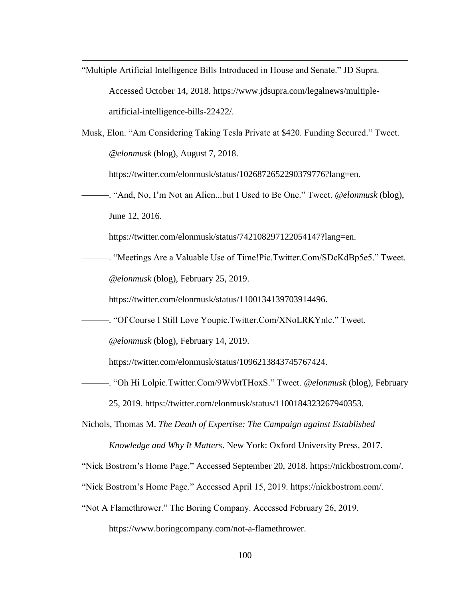- "Multiple Artificial Intelligence Bills Introduced in House and Senate." JD Supra. Accessed October 14, 2018. https://www.jdsupra.com/legalnews/multipleartificial-intelligence-bills-22422/.
- Musk, Elon. "Am Considering Taking Tesla Private at \$420. Funding Secured." Tweet. *@elonmusk* (blog), August 7, 2018.

https://twitter.com/elonmusk/status/1026872652290379776?lang=en.

———. "And, No, I'm Not an Alien...but I Used to Be One." Tweet. *@elonmusk* (blog), June 12, 2016.

https://twitter.com/elonmusk/status/742108297122054147?lang=en.

———. "Meetings Are a Valuable Use of Time!Pic.Twitter.Com/SDcKdBp5e5." Tweet. *@elonmusk* (blog), February 25, 2019.

https://twitter.com/elonmusk/status/1100134139703914496.

———. "Of Course I Still Love Youpic.Twitter.Com/XNoLRKYnlc." Tweet.

*@elonmusk* (blog), February 14, 2019.

 $\overline{a}$ 

https://twitter.com/elonmusk/status/1096213843745767424.

- ———. "Oh Hi Lolpic.Twitter.Com/9WvbtTHoxS." Tweet. *@elonmusk* (blog), February 25, 2019. https://twitter.com/elonmusk/status/1100184323267940353.
- Nichols, Thomas M. *The Death of Expertise: The Campaign against Established Knowledge and Why It Matters*. New York: Oxford University Press, 2017.

"Nick Bostrom's Home Page." Accessed September 20, 2018. https://nickbostrom.com/.

- "Nick Bostrom's Home Page." Accessed April 15, 2019. https://nickbostrom.com/.
- "Not A Flamethrower." The Boring Company. Accessed February 26, 2019.

https://www.boringcompany.com/not-a-flamethrower.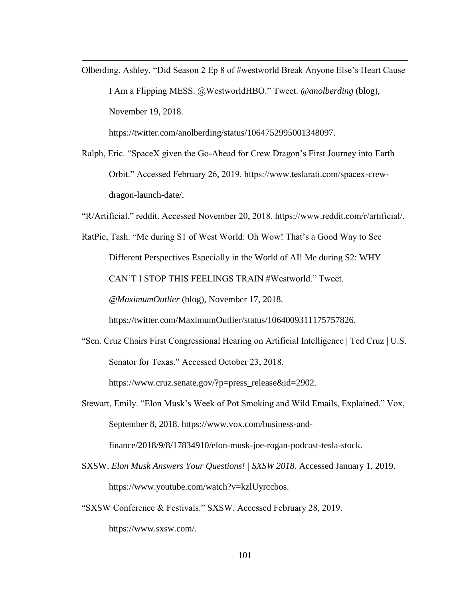Olberding, Ashley. "Did Season 2 Ep 8 of #westworld Break Anyone Else's Heart Cause I Am a Flipping MESS. @WestworldHBO." Tweet. *@anolberding* (blog), November 19, 2018.

https://twitter.com/anolberding/status/1064752995001348097.

 $\overline{a}$ 

Ralph, Eric. "SpaceX given the Go-Ahead for Crew Dragon's First Journey into Earth Orbit." Accessed February 26, 2019. https://www.teslarati.com/spacex-crewdragon-launch-date/.

"R/Artificial." reddit. Accessed November 20, 2018. https://www.reddit.com/r/artificial/.

RatPie, Tash. "Me during S1 of West World: Oh Wow! That's a Good Way to See Different Perspectives Especially in the World of AI! Me during S2: WHY CAN'T I STOP THIS FEELINGS TRAIN #Westworld." Tweet. *@MaximumOutlier* (blog), November 17, 2018.

https://twitter.com/MaximumOutlier/status/1064009311175757826.

- "Sen. Cruz Chairs First Congressional Hearing on Artificial Intelligence | Ted Cruz | U.S. Senator for Texas." Accessed October 23, 2018. https://www.cruz.senate.gov/?p=press\_release&id=2902.
- Stewart, Emily. "Elon Musk's Week of Pot Smoking and Wild Emails, Explained." Vox, September 8, 2018. https://www.vox.com/business-andfinance/2018/9/8/17834910/elon-musk-joe-rogan-podcast-tesla-stock.
- SXSW. *Elon Musk Answers Your Questions! | SXSW 2018*. Accessed January 1, 2019. https://www.youtube.com/watch?v=kzlUyrccbos.
- "SXSW Conference & Festivals." SXSW. Accessed February 28, 2019. https://www.sxsw.com/.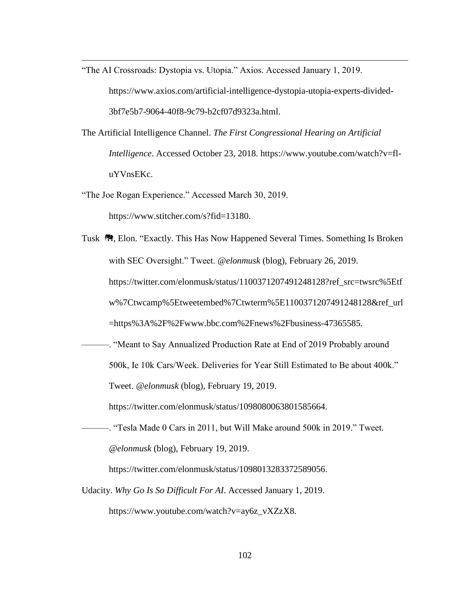"The AI Crossroads: Dystopia vs. Utopia." Axios. Accessed January 1, 2019.

https://www.axios.com/artificial-intelligence-dystopia-utopia-experts-divided-3bf7e5b7-9064-40f8-9c79-b2cf07d9323a.html.

- The Artificial Intelligence Channel. *The First Congressional Hearing on Artificial Intelligence*. Accessed October 23, 2018. https://www.youtube.com/watch?v=fluYVnsEKc.
- "The Joe Rogan Experience." Accessed March 30, 2019.

https://www.stitcher.com/s?fid=13180.

 $\overline{a}$ 

- Tusk <sup>8</sup>. Elon. "Exactly. This Has Now Happened Several Times. Something Is Broken with SEC Oversight." Tweet. *@elonmusk* (blog), February 26, 2019. https://twitter.com/elonmusk/status/1100371207491248128?ref\_src=twsrc%5Etf w%7Ctwcamp%5Etweetembed%7Ctwterm%5E1100371207491248128&ref\_url =https%3A%2F%2Fwww.bbc.com%2Fnews%2Fbusiness-47365585.
- ———. "Meant to Say Annualized Production Rate at End of 2019 Probably around 500k, Ie 10k Cars/Week. Deliveries for Year Still Estimated to Be about 400k." Tweet. *@elonmusk* (blog), February 19, 2019.

https://twitter.com/elonmusk/status/1098080063801585664.

———. "Tesla Made 0 Cars in 2011, but Will Make around 500k in 2019." Tweet. *@elonmusk* (blog), February 19, 2019.

https://twitter.com/elonmusk/status/1098013283372589056.

Udacity. *Why Go Is So Difficult For AI*. Accessed January 1, 2019.

https://www.youtube.com/watch?v=ay6z\_vXZzX8.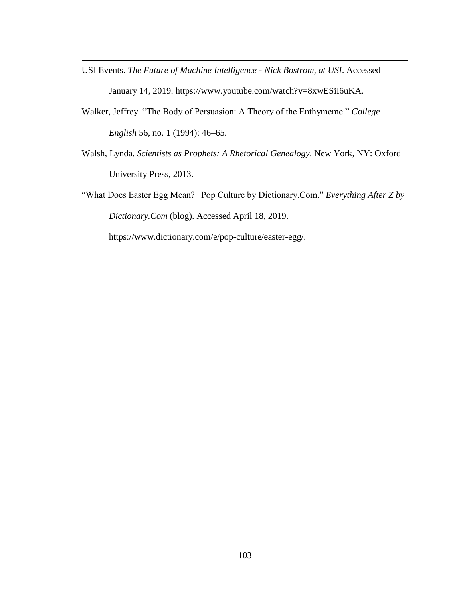USI Events. *The Future of Machine Intelligence - Nick Bostrom, at USI*. Accessed January 14, 2019. https://www.youtube.com/watch?v=8xwESiI6uKA.

 $\overline{a}$ 

- Walker, Jeffrey. "The Body of Persuasion: A Theory of the Enthymeme." *College English* 56, no. 1 (1994): 46–65.
- Walsh, Lynda. *Scientists as Prophets: A Rhetorical Genealogy*. New York, NY: Oxford University Press, 2013.
- "What Does Easter Egg Mean? | Pop Culture by Dictionary.Com." *Everything After Z by Dictionary.Com* (blog). Accessed April 18, 2019.

https://www.dictionary.com/e/pop-culture/easter-egg/.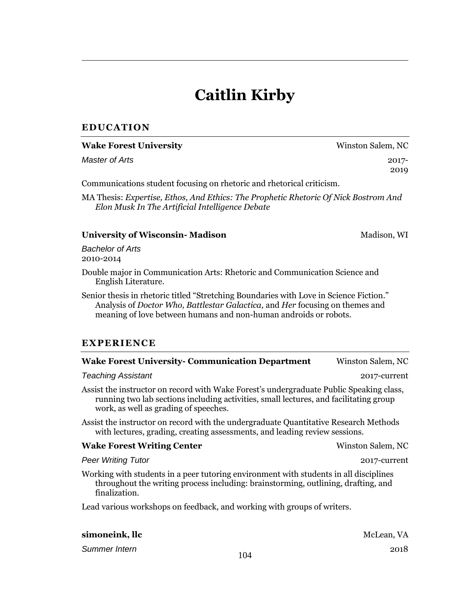# **Caitlin Kirby**

## **EDUCATION**

 $\overline{a}$ 

| <b>Wake Forest University</b>                                                                                                                                                                                                              | Winston Salem, NC |
|--------------------------------------------------------------------------------------------------------------------------------------------------------------------------------------------------------------------------------------------|-------------------|
| <b>Master of Arts</b>                                                                                                                                                                                                                      | $2017 -$<br>2019  |
| Communications student focusing on rhetoric and rhetorical criticism.                                                                                                                                                                      |                   |
| MA Thesis: Expertise, Ethos, And Ethics: The Prophetic Rhetoric Of Nick Bostrom And<br>Elon Musk In The Artificial Intelligence Debate                                                                                                     |                   |
| <b>University of Wisconsin- Madison</b>                                                                                                                                                                                                    | Madison, WI       |
| <b>Bachelor of Arts</b><br>2010-2014                                                                                                                                                                                                       |                   |
| Double major in Communication Arts: Rhetoric and Communication Science and<br>English Literature.                                                                                                                                          |                   |
| Senior thesis in rhetoric titled "Stretching Boundaries with Love in Science Fiction."<br>Analysis of Doctor Who, Battlestar Galactica, and Her focusing on themes and<br>meaning of love between humans and non-human androids or robots. |                   |
| <b>EXPERIENCE</b>                                                                                                                                                                                                                          |                   |
| <b>Wake Forest University- Communication Department</b>                                                                                                                                                                                    | Winston Salem, NC |
| <b>Teaching Assistant</b>                                                                                                                                                                                                                  | 2017-current      |
| Assist the instructor on record with Wake Forest's undergraduate Public Speaking class,<br>running two lab sections including activities, small lectures, and facilitating group<br>work, as well as grading of speeches.                  |                   |
| Assist the instructor on record with the undergraduate Quantitative Research Methods<br>with lectures, grading, creating assessments, and leading review sessions.                                                                         |                   |
| <b>Wake Forest Writing Center</b>                                                                                                                                                                                                          | Winston Salem, NC |
| <b>Peer Writing Tutor</b>                                                                                                                                                                                                                  | 2017-current      |
| Working with students in a peer tutoring environment with students in all disciplines<br>throughout the writing process including: brainstorming, outlining, drafting, and<br>finalization.                                                |                   |
| Lead various workshops on feedback, and working with groups of writers.                                                                                                                                                                    |                   |
| simoneink, llc                                                                                                                                                                                                                             | McLean, VA        |

*Summer Intern* 2018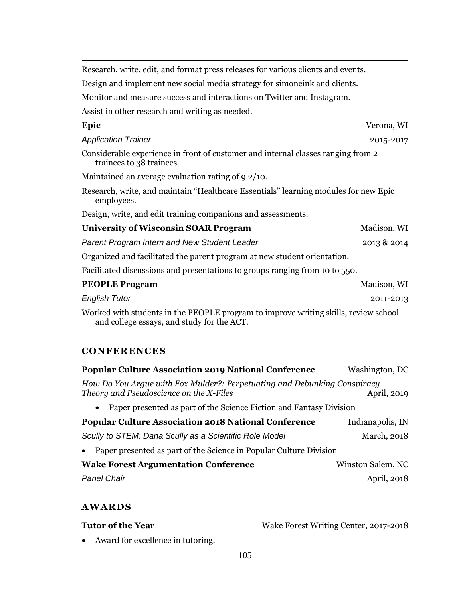$\overline{a}$ Research, write, edit, and format press releases for various clients and events. Design and implement new social media strategy for simoneink and clients. Monitor and measure success and interactions on Twitter and Instagram. Assist in other research and writing as needed. **Epic** Verona, WI *Application Trainer* 2015-2017 Considerable experience in front of customer and internal classes ranging from 2 trainees to 38 trainees. Maintained an average evaluation rating of 9.2/10. Research, write, and maintain "Healthcare Essentials" learning modules for new Epic employees. Design, write, and edit training companions and assessments. **University of Wisconsin SOAR Program Madison, WI** *Parent Program Intern and New Student Leader* 2013 & 2014 Organized and facilitated the parent program at new student orientation. Facilitated discussions and presentations to groups ranging from 10 to 550. **PEOPLE Program** Madison, WI *English Tutor* 2011-2013 Worked with students in the PEOPLE program to improve writing skills, review school and college essays, and study for the ACT.

#### **CONFERENCES**

| <b>Popular Culture Association 2019 National Conference</b>                                                         | Washington, DC    |
|---------------------------------------------------------------------------------------------------------------------|-------------------|
| How Do You Arque with Fox Mulder?: Perpetuating and Debunking Conspiracy<br>Theory and Pseudoscience on the X-Files | April, 2019       |
| Paper presented as part of the Science Fiction and Fantasy Division<br>$\bullet$                                    |                   |
| <b>Popular Culture Association 2018 National Conference</b>                                                         | Indianapolis, IN  |
| Scully to STEM: Dana Scully as a Scientific Role Model                                                              | March, 2018       |
| Paper presented as part of the Science in Popular Culture Division                                                  |                   |
| <b>Wake Forest Argumentation Conference</b>                                                                         | Winston Salem, NC |
| <b>Panel Chair</b>                                                                                                  | April, 2018       |

## **AWARDS**

Wake Forest Writing Center, 2017-2018

Award for excellence in tutoring.